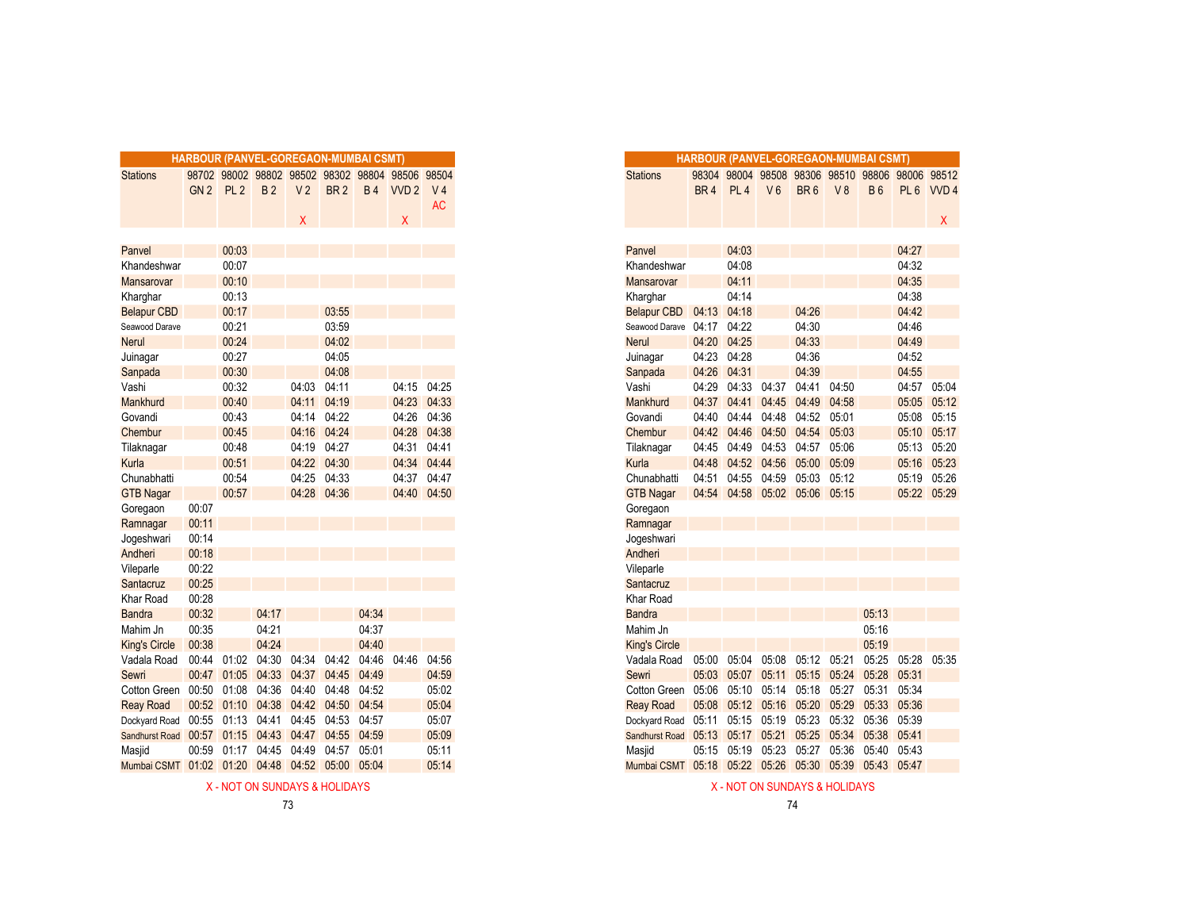|                      |                 |                 |           | HARBOUR (PANVEL-GOREGAON-MUMBAI CSMT) |                 |             |                                                                     |                             |
|----------------------|-----------------|-----------------|-----------|---------------------------------------|-----------------|-------------|---------------------------------------------------------------------|-----------------------------|
| <b>Stations</b>      | GN <sub>2</sub> | PL <sub>2</sub> | <b>B2</b> | V <sub>2</sub>                        | BR <sub>2</sub> | <b>B4</b>   | 98702 98002 98802 98502 98302 98804 98506 98504<br>VVD <sub>2</sub> | V <sub>4</sub><br><b>AC</b> |
|                      |                 |                 |           | X                                     |                 |             | $\sf X$                                                             |                             |
|                      |                 |                 |           |                                       |                 |             |                                                                     |                             |
| Panvel               |                 | 00:03           |           |                                       |                 |             |                                                                     |                             |
| Khandeshwar          |                 | 00:07           |           |                                       |                 |             |                                                                     |                             |
| <b>Mansarovar</b>    |                 | 00:10           |           |                                       |                 |             |                                                                     |                             |
| Kharghar             |                 | 00:13           |           |                                       |                 |             |                                                                     |                             |
| <b>Belapur CBD</b>   |                 | 00:17           |           |                                       | 03:55           |             |                                                                     |                             |
| Seawood Darave       |                 | 00:21           |           |                                       | 03:59           |             |                                                                     |                             |
| <b>Nerul</b>         |                 | 00:24           |           |                                       | 04:02           |             |                                                                     |                             |
| Juinagar             |                 | 00:27           |           |                                       | 04:05           |             |                                                                     |                             |
| Sanpada              |                 | 00:30           |           |                                       | 04:08           |             |                                                                     |                             |
| Vashi                |                 | 00:32           |           | 04:03                                 | 04:11           |             |                                                                     | 04:15 04:25                 |
| Mankhurd             |                 | 00:40           |           | 04:11                                 | 04:19           |             | 04:23                                                               | 04:33                       |
| Govandi              |                 | 00:43           |           | 04:14                                 | 04:22           |             | 04:26                                                               | 04:36                       |
| Chembur              |                 | 00:45           |           | 04:16                                 | 04:24           |             | 04:28                                                               | 04:38                       |
| Tilaknagar           |                 | 00:48           |           | 04:19                                 | 04:27           |             | 04:31                                                               | 04:41                       |
| Kurla                |                 | 00:51           |           | 04:22                                 | 04:30           |             | 04:34                                                               | 04:44                       |
| Chunabhatti          |                 | 00:54           |           | 04:25                                 | 04:33           |             | 04:37                                                               | 04:47                       |
| <b>GTB Nagar</b>     |                 | 00:57           |           | 04:28                                 | 04:36           |             |                                                                     | 04:40 04:50                 |
| Goregaon             | 00:07           |                 |           |                                       |                 |             |                                                                     |                             |
| Ramnagar             | 00:11           |                 |           |                                       |                 |             |                                                                     |                             |
| Jogeshwari           | 00:14           |                 |           |                                       |                 |             |                                                                     |                             |
| Andheri              | 00:18           |                 |           |                                       |                 |             |                                                                     |                             |
| Vileparle            | 00:22           |                 |           |                                       |                 |             |                                                                     |                             |
| Santacruz            | 00:25           |                 |           |                                       |                 |             |                                                                     |                             |
| Khar Road            | 00:28           |                 |           |                                       |                 |             |                                                                     |                             |
| <b>Bandra</b>        | 00:32           |                 | 04:17     |                                       |                 | 04:34       |                                                                     |                             |
| Mahim Jn             | 00:35           |                 | 04:21     |                                       |                 | 04:37       |                                                                     |                             |
| <b>King's Circle</b> | 00:38           |                 | 04:24     |                                       |                 | 04:40       |                                                                     |                             |
| Vadala Road          | 00:44           | 01:02           | 04:30     | 04:34                                 | 04:42           | 04:46       | 04:46                                                               | 04:56                       |
| Sewri                | 00:47           | 01:05           | 04:33     | 04:37                                 | 04:45           | 04:49       |                                                                     | 04:59                       |
| Cotton Green 00:50   |                 | 01:08           | 04:36     | 04:40                                 | 04:48           | 04:52       |                                                                     | 05:02                       |
| <b>Reay Road</b>     |                 | 00:52 01:10     | 04:38     | 04:42                                 | 04:50           | 04:54       |                                                                     | 05:04                       |
| Dockyard Road        | 00:55           | 01:13           | 04:41     | 04:45                                 | 04:53           | 04:57       |                                                                     | 05:07                       |
| Sandhurst Road       | 00:57           | 01:15           | 04:43     | 04:47                                 |                 | 04:55 04:59 |                                                                     | 05:09                       |
| Masjid               | 00:59           | 01:17           | 04:45     | 04:49                                 | 04:57           | 05:01       |                                                                     | 05:11                       |
| Mumbai CSMT 01:02    |                 | 01:20           | 04:48     | 04:52                                 | 05:00           | 05:04       |                                                                     | 05:14                       |

|       |                 |                         | <b>RBOUR (PANVEL-GOREGAON-MUMBAI CSMT)</b> |             |                   |                                                 |           |
|-------|-----------------|-------------------------|--------------------------------------------|-------------|-------------------|-------------------------------------------------|-----------|
|       |                 |                         |                                            |             |                   | 08702 98002 98802 98502 98302 98804 98506 98504 |           |
| GN2   | PL <sub>2</sub> | <b>B2</b>               | V <sub>2</sub>                             | <b>BR2</b>  |                   | B4 WD2 V4                                       |           |
|       |                 |                         |                                            |             |                   |                                                 | <b>AC</b> |
|       |                 |                         | X.                                         |             |                   | X.                                              |           |
|       |                 |                         |                                            |             |                   |                                                 |           |
|       | 00:03           |                         |                                            |             |                   |                                                 |           |
|       | 00:07           |                         |                                            |             |                   |                                                 |           |
|       | 00:10           |                         |                                            |             |                   |                                                 |           |
|       | 00:13           |                         |                                            |             |                   |                                                 |           |
|       | 00:17           |                         |                                            | 03:55       |                   |                                                 |           |
|       | 00:21           |                         |                                            | 03:59       |                   |                                                 |           |
|       | 00:24           |                         |                                            | 04:02       |                   |                                                 |           |
|       | 00:27           |                         |                                            | 04:05       |                   |                                                 |           |
|       | 00:30           |                         |                                            | 04:08       |                   |                                                 |           |
|       | 00:32           |                         | 04:03                                      | 04:11       |                   | 04:15 04:25                                     |           |
|       | 00:40           |                         | 04:11                                      | 04:19       |                   | 04:23 04:33                                     |           |
|       | 00:43           |                         |                                            | 04:14 04:22 |                   | 04:26 04:36                                     |           |
|       | 00:45           |                         | 04:16 04:24                                |             |                   | 04:28 04:38                                     |           |
|       | 00:48           |                         | 04:19 04:27                                |             |                   | 04:31 04:41                                     |           |
|       | 00:51           |                         |                                            | 04:22 04:30 |                   | 04:34 04:44                                     |           |
|       | 00:54           |                         | 04:25 04:33                                |             |                   | 04:37 04:47                                     |           |
|       | 00:57           |                         | 04:28 04:36                                |             |                   | 04:40 04:50                                     |           |
| 00:07 |                 |                         |                                            |             |                   |                                                 |           |
| 00:11 |                 |                         |                                            |             |                   |                                                 |           |
| 00:14 |                 |                         |                                            |             |                   |                                                 |           |
| 00:18 |                 |                         |                                            |             |                   |                                                 |           |
| 00:22 |                 |                         |                                            |             |                   |                                                 |           |
| 00:25 |                 |                         |                                            |             |                   |                                                 |           |
| 00:28 |                 |                         |                                            |             |                   |                                                 |           |
| 00:32 |                 | 04:17                   |                                            |             | 04:34             |                                                 |           |
| 00:35 |                 | 04:21                   |                                            |             | 04:37             |                                                 |           |
| 00:38 |                 | 04:24                   |                                            |             | 04:40             |                                                 |           |
|       |                 | 00:44 01:02 04:30 04:34 |                                            |             | 04:42 04:46 04:46 |                                                 | 04:56     |
| 00:47 |                 |                         | 01:05 04:33 04:37 04:45                    |             | 04:49             |                                                 | 04:59     |
| 00:50 | 01:08           | 04:36 04:40             |                                            | 04:48       | 04:52             |                                                 | 05:02     |
|       |                 |                         | 00:52 01:10 04:38 04:42 04:50              |             | 04:54             |                                                 | 05:04     |
| 00:55 |                 | 01:13 04:41 04:45       |                                            | 04:53 04:57 |                   |                                                 | 05:07     |
| 00:57 |                 |                         | 01:15 04:43 04:47 04:55 04:59              |             |                   |                                                 | 05:09     |
| 00:59 | 01:17 04:45     |                         | 04:49                                      | 04:57 05:01 |                   |                                                 | 05:11     |
|       |                 |                         | 01:02  01:20  04:48  04:52  05:00  05:04   |             |                   |                                                 | 05:14     |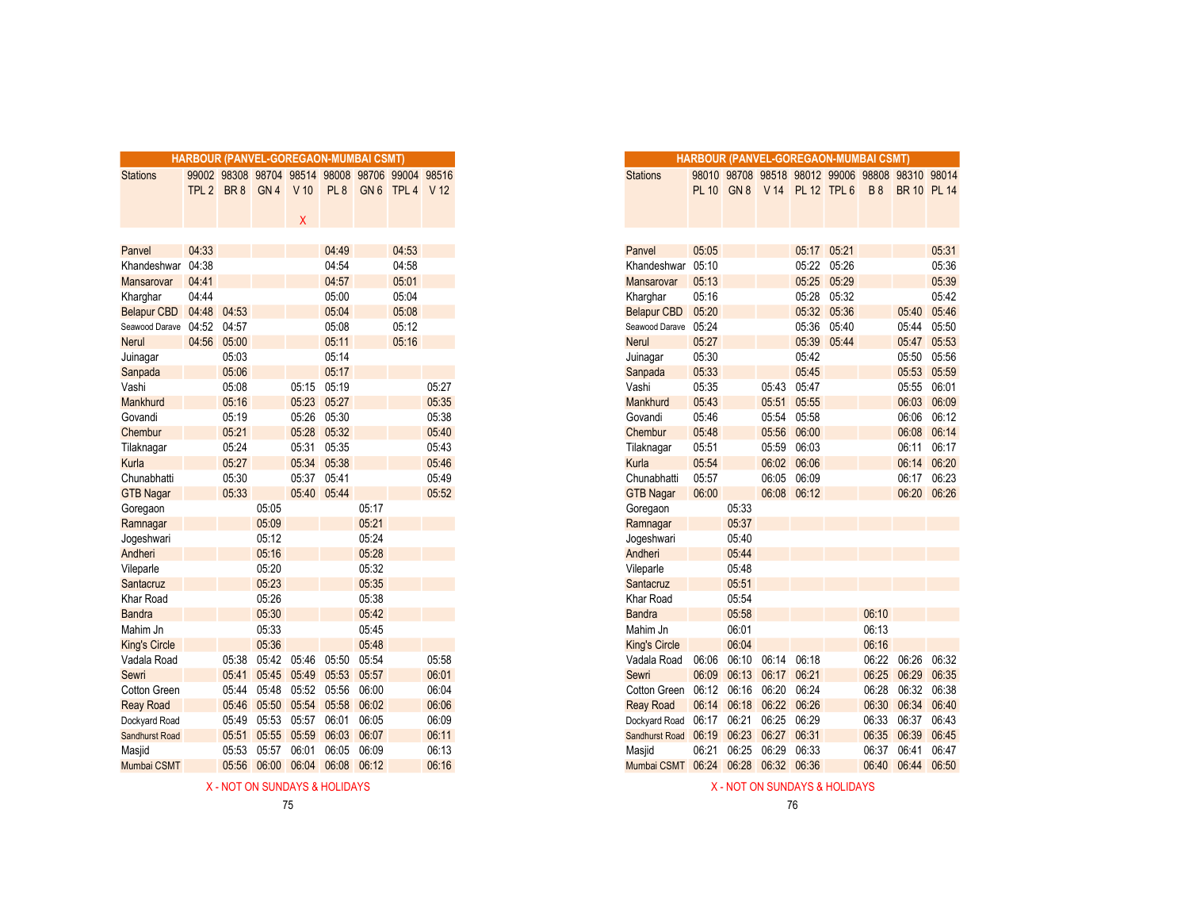|                       |       |             |                 |        | HARBOUR (PANVEL-GOREGAON-MUMBAI CSMT) |       |                                                                    |       |
|-----------------------|-------|-------------|-----------------|--------|---------------------------------------|-------|--------------------------------------------------------------------|-------|
| <b>Stations</b>       |       | TPL 2 BR 8  |                 | $V$ 10 | PL <sub>8</sub>                       |       | 99002 98308 98704 98514 98008 98706 99004 98516<br>GN 6 TPL 4 V 12 |       |
|                       |       |             | GN <sub>4</sub> |        |                                       |       |                                                                    |       |
|                       |       |             |                 | X      |                                       |       |                                                                    |       |
|                       |       |             |                 |        |                                       |       |                                                                    |       |
| Panvel                | 04:33 |             |                 |        | 04:49                                 |       | 04:53                                                              |       |
| Khandeshwar           | 04:38 |             |                 |        | 04:54                                 |       | 04:58                                                              |       |
| <b>Mansarovar</b>     | 04:41 |             |                 |        | 04:57                                 |       | 05:01                                                              |       |
| Kharghar              | 04:44 |             |                 |        | 05:00                                 |       | 05:04                                                              |       |
| Belapur CBD 04:48     |       | 04:53       |                 |        | 05:04                                 |       | 05:08                                                              |       |
| Seawood Darave 04:52  |       | 04:57       |                 |        | 05:08                                 |       | 05:12                                                              |       |
| <b>Nerul</b>          |       | 04:56 05:00 |                 |        | 05:11                                 |       | 05:16                                                              |       |
| Juinagar              |       | 05:03       |                 |        | 05:14                                 |       |                                                                    |       |
| Sanpada               |       | 05:06       |                 |        | 05:17                                 |       |                                                                    |       |
| Vashi                 |       | 05:08       |                 | 05:15  | 05:19                                 |       |                                                                    | 05:27 |
| Mankhurd              |       | 05:16       |                 | 05:23  | 05:27                                 |       |                                                                    | 05:35 |
| Govandi               |       | 05:19       |                 | 05:26  | 05:30                                 |       |                                                                    | 05:38 |
| Chembur               |       | 05:21       |                 | 05:28  | 05:32                                 |       |                                                                    | 05:40 |
| Tilaknagar            |       | 05:24       |                 | 05:31  | 05:35                                 |       |                                                                    | 05:43 |
| Kurla                 |       | 05:27       |                 | 05:34  | 05:38                                 |       |                                                                    | 05:46 |
| Chunabhatti           |       | 05:30       |                 | 05:37  | 05:41                                 |       |                                                                    | 05:49 |
| <b>GTB Nagar</b>      |       | 05:33       |                 | 05:40  | 05:44                                 |       |                                                                    | 05:52 |
| Goregaon              |       |             | 05:05           |        |                                       | 05:17 |                                                                    |       |
| Ramnagar              |       |             | 05:09           |        |                                       | 05:21 |                                                                    |       |
| Jogeshwari            |       |             | 05:12           |        |                                       | 05:24 |                                                                    |       |
| Andheri               |       |             | 05:16           |        |                                       | 05:28 |                                                                    |       |
| Vileparle             |       |             | 05:20           |        |                                       | 05:32 |                                                                    |       |
| Santacruz             |       |             | 05:23           |        |                                       | 05:35 |                                                                    |       |
| Khar Road             |       |             | 05:26           |        |                                       | 05:38 |                                                                    |       |
| <b>Bandra</b>         |       |             | 05:30           |        |                                       | 05:42 |                                                                    |       |
| Mahim Jn              |       |             | 05:33           |        |                                       | 05:45 |                                                                    |       |
| <b>King's Circle</b>  |       |             | 05:36           |        |                                       | 05:48 |                                                                    |       |
| Vadala Road           |       | 05:38       | 05:42           | 05:46  | 05:50                                 | 05:54 |                                                                    | 05:58 |
| Sewri                 |       | 05:41       | 05:45           | 05:49  | 05:53                                 | 05:57 |                                                                    | 06:01 |
| Cotton Green          |       | 05:44       | 05:48           |        | 05:52 05:56                           | 06:00 |                                                                    | 06:04 |
| <b>Reay Road</b>      |       | 05:46       | 05:50           | 05:54  | 05:58                                 | 06:02 |                                                                    | 06:06 |
| Dockyard Road         |       | 05:49       | 05:53           | 05:57  | 06:01                                 | 06:05 |                                                                    | 06:09 |
| <b>Sandhurst Road</b> |       | 05:51       | 05:55           | 05:59  | 06:03                                 | 06:07 |                                                                    | 06:11 |
| Masjid                |       | 05:53       | 05:57           | 06:01  | 06:05                                 | 06:09 |                                                                    | 06:13 |
| Mumbai CSMT           |       |             |                 |        | 05.56 06.00 06.04 06.08 06.12         |       |                                                                    | 06.16 |

|                      |             |       |             | <b>HARBOUR (PANVEL-GOREGAON-MUMBAI CSMT)</b> |                 |       |                                                 |       |
|----------------------|-------------|-------|-------------|----------------------------------------------|-----------------|-------|-------------------------------------------------|-------|
| <b>Stations</b>      |             |       |             |                                              |                 |       | 99002 98308 98704 98514 98008 98706 99004 98516 |       |
|                      | TPL 2 BR 8  |       | GN 4 V 10   |                                              | PL <sub>8</sub> |       | GN 6 TPL 4 V 12                                 |       |
|                      |             |       |             |                                              |                 |       |                                                 |       |
|                      |             |       |             | Χ                                            |                 |       |                                                 |       |
|                      |             |       |             |                                              |                 |       |                                                 |       |
| Panvel               | 04:33       |       |             |                                              | 04:49           |       | 04:53                                           |       |
| Khandeshwar          | 04:38       |       |             |                                              | 04:54           |       | 04:58                                           |       |
| Mansarovar           | 04:41       |       |             |                                              | 04:57           |       | 05:01                                           |       |
| Kharghar             | 04:44       |       |             |                                              | 05:00           |       | 05:04                                           |       |
| <b>Belapur CBD</b>   | 04:48 04:53 |       |             |                                              | 05:04           |       | 05:08                                           |       |
| Seawood Darave 04:52 |             | 04:57 |             |                                              | 05:08           |       | 05:12                                           |       |
| <b>Nerul</b>         | 04:56       | 05:00 |             |                                              | 05:11           |       | 05:16                                           |       |
| Juinagar             |             | 05:03 |             |                                              | 05:14           |       |                                                 |       |
| Sanpada              |             | 05:06 |             |                                              | 05:17           |       |                                                 |       |
| Vashi                |             | 05:08 |             | 05:15                                        | 05:19           |       |                                                 | 05:27 |
| <b>Mankhurd</b>      |             | 05:16 |             | 05:23                                        | 05:27           |       |                                                 | 05:35 |
| Govandi              |             | 05:19 |             | 05:26                                        | 05:30           |       |                                                 | 05:38 |
| Chembur              |             | 05:21 |             | 05:28                                        | 05:32           |       |                                                 | 05:40 |
| Tilaknagar           |             | 05:24 |             | 05:31                                        | 05:35           |       |                                                 | 05:43 |
| Kurla                |             | 05:27 |             |                                              | 05:34 05:38     |       |                                                 | 05:46 |
| Chunabhatti          |             | 05:30 |             | 05:37                                        | 05:41           |       |                                                 | 05:49 |
| <b>GTB Nagar</b>     |             | 05:33 |             |                                              | 05:40 05:44     |       |                                                 | 05:52 |
| Goregaon             |             |       | 05:05       |                                              |                 | 05:17 |                                                 |       |
| Ramnagar             |             |       | 05:09       |                                              |                 | 05:21 |                                                 |       |
| Jogeshwari           |             |       | 05:12       |                                              |                 | 05:24 |                                                 |       |
| Andheri              |             |       | 05:16       |                                              |                 | 05:28 |                                                 |       |
| Vileparle            |             |       | 05:20       |                                              |                 | 05:32 |                                                 |       |
| Santacruz            |             |       | 05:23       |                                              |                 | 05:35 |                                                 |       |
| Khar Road            |             |       | 05:26       |                                              |                 | 05:38 |                                                 |       |
| <b>Bandra</b>        |             |       | 05:30       |                                              |                 | 05:42 |                                                 |       |
| Mahim Jn             |             |       | 05:33       |                                              |                 | 05:45 |                                                 |       |
| <b>King's Circle</b> |             |       | 05:36       |                                              |                 | 05:48 |                                                 |       |
| Vadala Road          |             | 05:38 | 05:42 05:46 |                                              | 05:50           | 05:54 |                                                 | 05:58 |
| Sewri                |             | 05:41 | 05:45       | 05:49                                        | 05:53           | 05:57 |                                                 | 06:01 |
| Cotton Green         |             | 05:44 | 05:48       | 05:52 05:56                                  |                 | 06:00 |                                                 | 06:04 |
| Reay Road            |             | 05:46 | 05:50       |                                              | 05:54 05:58     | 06:02 |                                                 | 06:06 |
| Dockyard Road        |             | 05:49 | 05:53       | 05:57                                        | 06:01           | 06:05 |                                                 | 06:09 |
| Sandhurst Road       |             | 05:51 | 05:55       | 05:59                                        | 06:03           | 06:07 |                                                 | 06:11 |
| Masjid               |             | 05:53 | 05:57       | 06:01                                        | 06:05           | 06:09 |                                                 | 06:13 |
| Mumbai CSMT          |             | 05:56 | 06:00       | 06:04                                        | 06:08           | 06:12 |                                                 | 06:16 |

X - NOT ON SUNDAYS & HOLIDAYS A COLORYS CONSUMING SALES AND THE SALES AND A SUNDAYS A HOLIDAYS A HOLIDAYS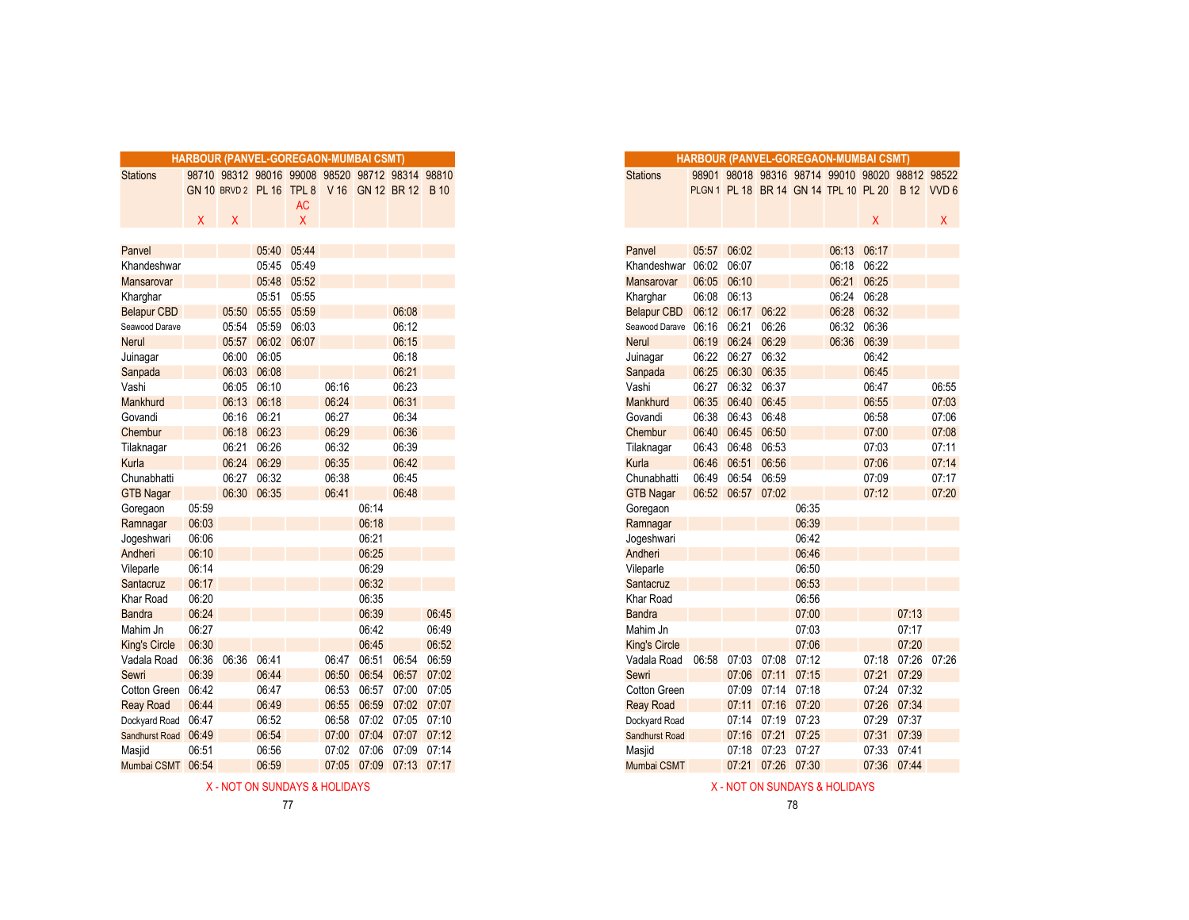|                      | HARBOUR (PANVEL-GOREGAON-MUMBAI CSMT) |       |             |                                                 |       |       |             |             |
|----------------------|---------------------------------------|-------|-------------|-------------------------------------------------|-------|-------|-------------|-------------|
| <b>Stations</b>      |                                       |       |             | 98710 98312 98016 99008 98520 98712 98314 98810 |       |       |             |             |
|                      |                                       |       |             | GN 10 BRVD 2 PL 16 TPL 8 V 16 GN 12 BR 12 B 10  |       |       |             |             |
|                      |                                       |       |             | AC                                              |       |       |             |             |
|                      | $\mathsf{X}$                          | X     |             | X                                               |       |       |             |             |
|                      |                                       |       |             |                                                 |       |       |             |             |
| Panvel               |                                       |       | 05:40       | 05:44                                           |       |       |             |             |
| Khandeshwar          |                                       |       | 05:45       | 05:49                                           |       |       |             |             |
| Mansarovar           |                                       |       | 05:48       | 05:52                                           |       |       |             |             |
| Kharghar             |                                       |       | 05:51       | 05:55                                           |       |       |             |             |
| <b>Belapur CBD</b>   |                                       | 05:50 | 05:55       | 05:59                                           |       |       | 06:08       |             |
| Seawood Darave       |                                       | 05:54 | 05:59       | 06:03                                           |       |       | 06:12       |             |
| <b>Nerul</b>         |                                       | 05:57 |             | 06:02 06:07                                     |       |       | 06:15       |             |
| Juinagar             |                                       | 06:00 | 06:05       |                                                 |       |       | 06:18       |             |
| Sanpada              |                                       | 06:03 | 06:08       |                                                 |       |       | 06:21       |             |
| Vashi                |                                       | 06:05 | 06:10       |                                                 | 06:16 |       | 06:23       |             |
| Mankhurd             |                                       | 06:13 | 06:18       |                                                 | 06:24 |       | 06:31       |             |
| Govandi              |                                       | 06:16 | 06:21       |                                                 | 06:27 |       | 06:34       |             |
| Chembur              |                                       | 06:18 | 06:23       |                                                 | 06:29 |       | 06:36       |             |
| Tilaknagar           |                                       | 06:21 | 06:26       |                                                 | 06:32 |       | 06:39       |             |
| Kurla                |                                       | 06:24 | 06:29       |                                                 | 06:35 |       | 06:42       |             |
| Chunabhatti          |                                       | 06:27 | 06:32       |                                                 | 06:38 |       | 06:45       |             |
| <b>GTB Nagar</b>     |                                       |       | 06:30 06:35 |                                                 | 06:41 |       | 06:48       |             |
| Goregaon             | 05:59                                 |       |             |                                                 |       | 06:14 |             |             |
| Ramnagar             | 06:03                                 |       |             |                                                 |       | 06:18 |             |             |
| Jogeshwari           | 06:06                                 |       |             |                                                 |       | 06:21 |             |             |
| Andheri              | 06:10                                 |       |             |                                                 |       | 06:25 |             |             |
| Vileparle            | 06:14                                 |       |             |                                                 |       | 06:29 |             |             |
| Santacruz            | 06:17                                 |       |             |                                                 |       | 06:32 |             |             |
| Khar Road            | 06:20                                 |       |             |                                                 |       | 06:35 |             |             |
| <b>Bandra</b>        | 06:24                                 |       |             |                                                 |       | 06:39 |             | 06:45       |
| Mahim Jn             | 06:27                                 |       |             |                                                 |       | 06:42 |             | 06:49       |
| <b>King's Circle</b> | 06:30                                 |       |             |                                                 |       | 06:45 |             | 06:52       |
| Vadala Road          | 06:36                                 | 06:36 | 06:41       |                                                 | 06:47 | 06:51 | 06:54       | 06:59       |
| Sewri                | 06:39                                 |       | 06:44       |                                                 | 06:50 | 06:54 | 06:57       | 07:02       |
| Cotton Green         | 06:42                                 |       | 06:47       |                                                 | 06:53 | 06:57 | 07:00       | 07:05       |
| <b>Reay Road</b>     | 06:44                                 |       | 06:49       |                                                 | 06:55 | 06:59 |             | 07:02 07:07 |
| Dockyard Road        | 06:47                                 |       | 06:52       |                                                 | 06:58 | 07:02 | 07:05       | 07:10       |
| Sandhurst Road 06:49 |                                       |       | 06:54       |                                                 | 07:00 | 07:04 |             | 07:07 07:12 |
| Masjid               | 06:51                                 |       | 06:56       |                                                 | 07:02 | 07:06 | 07:09       | 07:14       |
| Mumbai CSMT          | 06:54                                 |       | 06:59       |                                                 | 07:05 | 07:09 | 07:13 07:17 |             |

X - NOT ON SUNDAYS & HOLIDAYS ASSOCIATED AND A SUNDAYS ASSOCIATED ASSOCIATED ASSOCIATED AND A SUNDAYS ASSOCIATED AND A SUNDAYS ASSOCIATED AND A SUNDAYS ASSOCIATED AND A SUNDAYS ASSOCIATED AND A SUNDAYS ASSOCIATED AND A SUN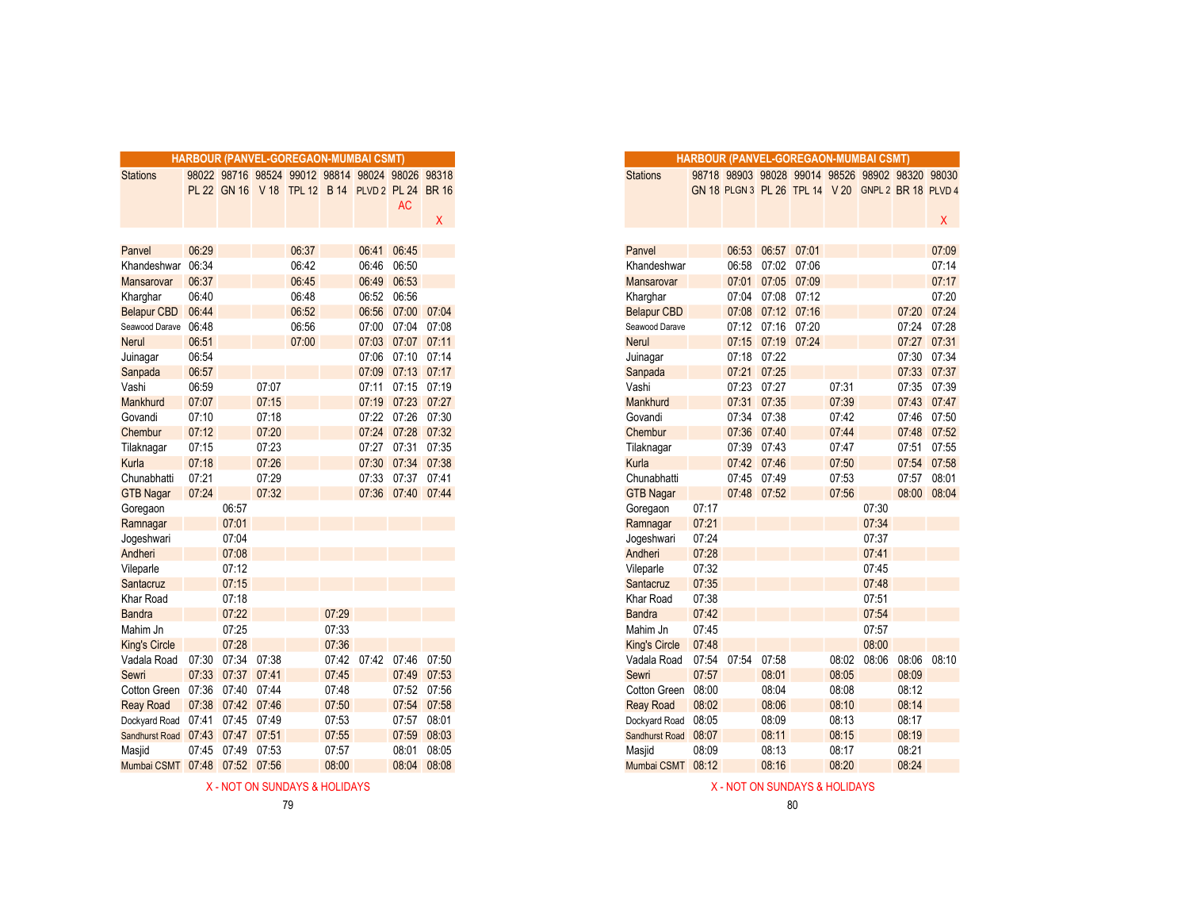|                                  |       |                   |       |       |       | <b>HARBOUR (PANVEL-GOREGAON-MUMBAI CSMT)</b>    |                   |             |
|----------------------------------|-------|-------------------|-------|-------|-------|-------------------------------------------------|-------------------|-------------|
| <b>Stations</b>                  |       |                   |       |       |       | 98022 98716 98524 99012 98814 98024 98026 98318 |                   |             |
|                                  |       |                   |       |       |       | PL 22 GN 16 V 18 TPL 12 B 14 PLVD 2 PL 24 BR 16 |                   |             |
|                                  |       |                   |       |       |       |                                                 | <b>AC</b>         |             |
|                                  |       |                   |       |       |       |                                                 |                   | Χ           |
|                                  |       |                   |       |       |       |                                                 |                   |             |
| Panvel                           | 06:29 |                   |       | 06:37 |       | 06:41                                           | 06:45             |             |
| Khandeshwar                      | 06:34 |                   |       | 06:42 |       | 06:46                                           | 06:50             |             |
| Mansarovar                       | 06:37 |                   |       | 06:45 |       |                                                 | 06:49 06:53       |             |
| Kharghar                         | 06:40 |                   |       | 06:48 |       | 06:52                                           | 06:56             |             |
| <b>Belapur CBD</b>               | 06:44 |                   |       | 06:52 |       |                                                 | 06:56 07:00       | 07:04       |
| Seawood Darave 06:48             |       |                   |       | 06:56 |       |                                                 | 07:00 07:04       | 07:08       |
| <b>Nerul</b>                     | 06:51 |                   |       | 07:00 |       |                                                 | 07:03 07:07 07:11 |             |
| Juinagar                         | 06:54 |                   |       |       |       | 07:06                                           | 07:10 07:14       |             |
| Sanpada                          | 06:57 |                   |       |       |       |                                                 | 07:09 07:13 07:17 |             |
| Vashi                            | 06:59 |                   | 07:07 |       |       | 07:11                                           | 07:15 07:19       |             |
| Mankhurd                         | 07:07 |                   | 07:15 |       |       |                                                 | 07:19 07:23 07:27 |             |
| Govandi                          | 07:10 |                   | 07:18 |       |       |                                                 | 07:22 07:26 07:30 |             |
| Chembur                          | 07:12 |                   | 07:20 |       |       |                                                 | 07:24 07:28 07:32 |             |
| Tilaknagar                       | 07:15 |                   | 07:23 |       |       | 07:27                                           | 07:31 07:35       |             |
| Kurla                            | 07:18 |                   | 07:26 |       |       |                                                 | 07:30 07:34 07:38 |             |
| Chunabhatti                      | 07:21 |                   | 07:29 |       |       | 07:33                                           | 07:37 07:41       |             |
| <b>GTB Nagar</b>                 | 07:24 |                   | 07:32 |       |       |                                                 | 07:36 07:40 07:44 |             |
| Goregaon                         |       | 06:57             |       |       |       |                                                 |                   |             |
| Ramnagar                         |       | 07:01             |       |       |       |                                                 |                   |             |
| Jogeshwari                       |       | 07:04             |       |       |       |                                                 |                   |             |
| Andheri                          |       | 07:08             |       |       |       |                                                 |                   |             |
| Vileparle                        |       | 07:12             |       |       |       |                                                 |                   |             |
| Santacruz                        |       | 07:15             |       |       |       |                                                 |                   |             |
| Khar Road                        |       | 07:18             |       |       |       |                                                 |                   |             |
| <b>Bandra</b>                    |       | 07:22             |       |       | 07:29 |                                                 |                   |             |
| Mahim Jn                         |       | 07:25             |       |       | 07:33 |                                                 |                   |             |
| <b>King's Circle</b>             |       | 07:28             |       |       | 07:36 |                                                 |                   |             |
| Vadala Road                      |       | 07:30 07:34       | 07:38 |       |       | 07:42 07:42                                     | 07:46             | 07:50       |
| Sewri                            |       | 07:33 07:37 07:41 |       |       | 07:45 |                                                 |                   | 07:49 07:53 |
| Cotton Green                     |       | 07:36 07:40 07:44 |       |       | 07:48 |                                                 |                   | 07:52 07:56 |
| <b>Reay Road</b>                 |       | 07:38 07:42 07:46 |       |       | 07:50 |                                                 |                   | 07:54 07:58 |
| Dockyard Road 07:41              |       | 07:45             | 07:49 |       | 07:53 |                                                 | 07:57             | 08:01       |
| Sandhurst Road 07:43 07:47 07:51 |       |                   |       |       | 07:55 |                                                 | 07:59             | 08:03       |
| Masjid                           |       | 07:45 07:49       | 07:53 |       | 07:57 |                                                 | 08:01             | 08:05       |
| Mumbai CSMT 07:48 07:52 07:56    |       |                   |       |       | 08:00 |                                                 | 08:04             | 08:08       |

X - NOT ON SUNDAYS & HOLIDAYS AND SUNDAYS A HOLIDAYS AND SUNDAYS A HOLIDAYS A HOLIDAYS

|                               |                   |                   |       | HARBOUR (PANVEL-GOREGAON-MUMBAI CSMT)           |       |                         |                   |             |
|-------------------------------|-------------------|-------------------|-------|-------------------------------------------------|-------|-------------------------|-------------------|-------------|
| <b>Stations</b>               |                   |                   |       | 98022 98716 98524 99012 98814 98024 98026 98318 |       |                         |                   |             |
|                               |                   |                   |       | PL 22 GN 16 V 18 TPL 12 B 14 PLVD 2 PL 24 BR 16 |       |                         |                   |             |
|                               |                   |                   |       |                                                 |       |                         | <b>AC</b>         |             |
|                               |                   |                   |       |                                                 |       |                         |                   | X           |
|                               |                   |                   |       |                                                 |       |                         |                   |             |
| Panvel                        | 06:29             |                   |       | 06:37                                           |       |                         | 06:41 06:45       |             |
| Khandeshwar                   | 06:34             |                   |       | 06:42                                           |       |                         | 06:46 06:50       |             |
| Mansarovar                    | 06:37             |                   |       | 06:45                                           |       |                         | 06:49 06:53       |             |
| Kharghar                      | 06:40             |                   |       | 06:48                                           |       | 06:52 06:56             |                   |             |
| <b>Belapur CBD</b>            | 06:44             |                   |       | 06:52                                           |       |                         | 06:56 07:00 07:04 |             |
| Seawood Darave                | 06:48             |                   |       | 06:56                                           |       |                         | 07:00 07:04 07:08 |             |
| Nerul                         | 06:51             |                   |       | 07:00                                           |       |                         | 07:03 07:07 07:11 |             |
| Juinagar                      | 06:54             |                   |       |                                                 |       |                         | 07:06 07:10 07:14 |             |
| Sanpada                       | 06:57             |                   |       |                                                 |       |                         | 07:09 07:13 07:17 |             |
| Vashi                         | 06:59             |                   | 07:07 |                                                 |       |                         | 07:11 07:15 07:19 |             |
| Mankhurd                      | 07:07             |                   | 07:15 |                                                 |       |                         | 07:19 07:23 07:27 |             |
| Govandi                       | 07:10             |                   | 07:18 |                                                 |       |                         | 07:22 07:26 07:30 |             |
| Chembur                       | 07:12             |                   | 07:20 |                                                 |       |                         | 07:24 07:28 07:32 |             |
| Tilaknagar                    | 07:15             |                   | 07:23 |                                                 |       |                         | 07:27 07:31       | 07:35       |
| Kurla                         | 07:18             |                   | 07:26 |                                                 |       |                         | 07:30 07:34       | 07:38       |
| Chunabhatti                   | 07:21             |                   | 07:29 |                                                 |       |                         | 07:33 07:37 07:41 |             |
| <b>GTB Nagar</b>              | 07:24             |                   | 07:32 |                                                 |       |                         | 07:36 07:40 07:44 |             |
| Goregaon                      |                   | 06:57             |       |                                                 |       |                         |                   |             |
| Ramnagar                      |                   | 07:01             |       |                                                 |       |                         |                   |             |
| Jogeshwari                    |                   | 07:04             |       |                                                 |       |                         |                   |             |
| Andheri                       |                   | 07:08             |       |                                                 |       |                         |                   |             |
| Vileparle                     |                   | 07:12             |       |                                                 |       |                         |                   |             |
| Santacruz                     |                   | 07:15             |       |                                                 |       |                         |                   |             |
| Khar Road                     |                   | 07:18             |       |                                                 |       |                         |                   |             |
| Bandra                        |                   | 07:22             |       |                                                 | 07:29 |                         |                   |             |
| Mahim Jn                      |                   | 07:25             |       |                                                 | 07:33 |                         |                   |             |
| <b>King's Circle</b>          |                   | 07:28             |       |                                                 | 07:36 |                         |                   |             |
| Vadala Road                   | 07:30             | 07:34 07:38       |       |                                                 |       | 07:42 07:42 07:46 07:50 |                   |             |
| Sewri                         | 07:33             | 07:37             | 07:41 |                                                 | 07:45 |                         |                   | 07:49 07:53 |
| Cotton Green                  | 07:36             | 07:40             | 07:44 |                                                 | 07:48 |                         |                   | 07:52 07:56 |
| <b>Reay Road</b>              |                   | 07:38 07:42 07:46 |       |                                                 | 07:50 |                         | 07:54             | 07:58       |
| Dockyard Road                 | 07:41 07:45 07:49 |                   |       |                                                 | 07:53 |                         |                   | 07:57 08:01 |
| Sandhurst Road                | 07:43 07:47 07:51 |                   |       |                                                 | 07:55 |                         | 07:59             | 08:03       |
| Masjid                        | 07:45             | 07:49             | 07:53 |                                                 | 07:57 |                         | 08:01             | 08:05       |
| Mumbai CSMT 07:48 07:52 07:56 |                   |                   |       |                                                 | 08:00 |                         |                   | 08:04 08:08 |
|                               |                   |                   |       |                                                 |       |                         |                   |             |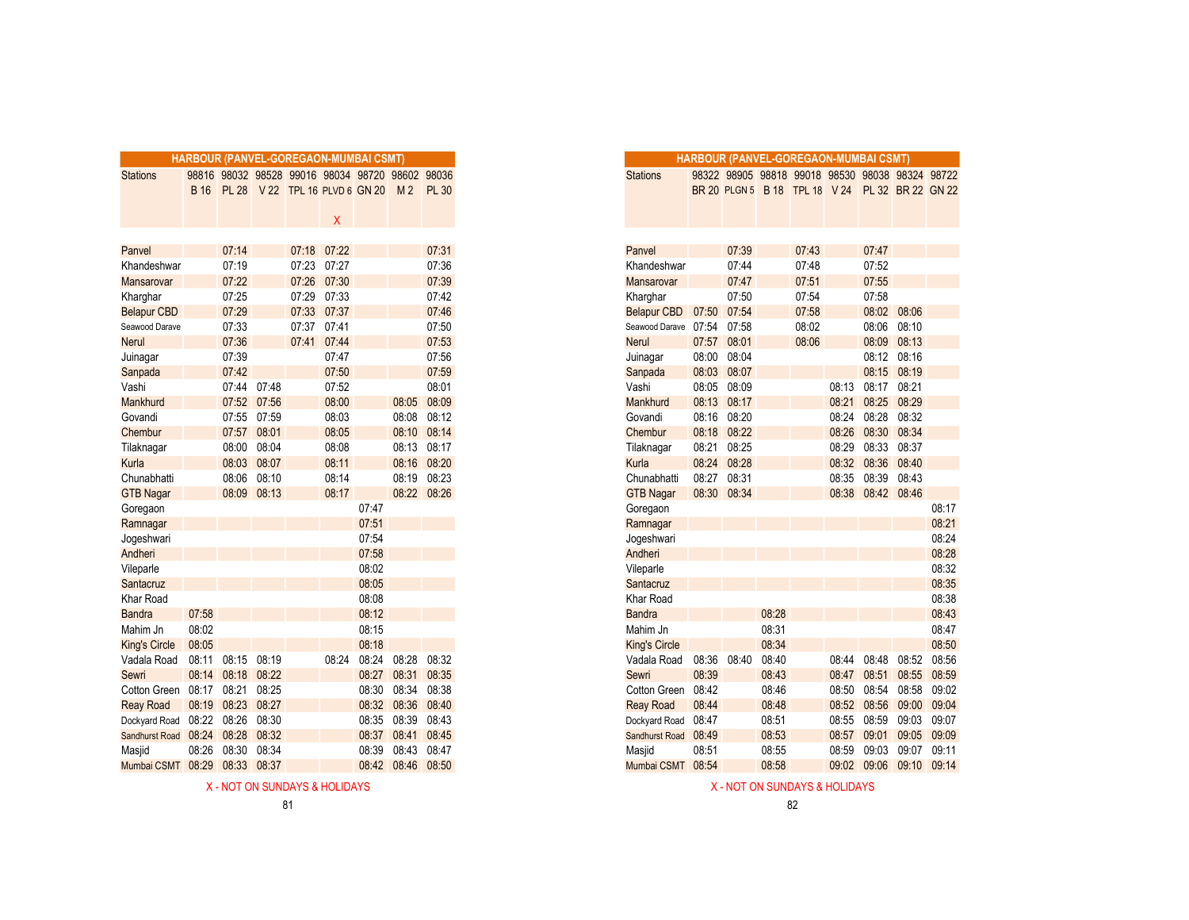|                      | HARBOUR (PANVEL-GOREGAON-MUMBAI CSMT) |              |             |                                           |             |       |                   |              |
|----------------------|---------------------------------------|--------------|-------------|-------------------------------------------|-------------|-------|-------------------|--------------|
| <b>Stations</b>      | 98816                                 |              |             | 98032 98528 99016 98034 98720 98602 98036 |             |       |                   |              |
|                      | <b>B</b> 16                           | <b>PL 28</b> |             | V 22 TPL 16 PLVD 6 GN 20                  |             |       | M <sub>2</sub>    | <b>PL 30</b> |
|                      |                                       |              |             |                                           |             |       |                   |              |
|                      |                                       |              |             |                                           | X           |       |                   |              |
|                      |                                       |              |             |                                           |             |       |                   |              |
| Panvel               |                                       | 07:14        |             |                                           | 07:18 07:22 |       |                   | 07:31        |
| Khandeshwar          |                                       | 07:19        |             | 07:23                                     | 07:27       |       |                   | 07:36        |
| <b>Mansarovar</b>    |                                       | 07:22        |             | 07:26                                     | 07:30       |       |                   | 07:39        |
| Kharghar             |                                       | 07:25        |             | 07:29                                     | 07:33       |       |                   | 07:42        |
| <b>Belapur CBD</b>   |                                       | 07:29        |             | 07:33                                     | 07:37       |       |                   | 07:46        |
| Seawood Darave       |                                       | 07:33        |             | 07:37                                     | 07:41       |       |                   | 07:50        |
| <b>Nerul</b>         |                                       | 07:36        |             | 07:41                                     | 07:44       |       |                   | 07:53        |
| Juinagar             |                                       | 07:39        |             |                                           | 07:47       |       |                   | 07:56        |
| Sanpada              |                                       | 07:42        |             |                                           | 07:50       |       |                   | 07:59        |
| Vashi                |                                       | 07:44        | 07:48       |                                           | 07:52       |       |                   | 08:01        |
| Mankhurd             |                                       | 07:52        | 07:56       |                                           | 08:00       |       | 08:05             | 08:09        |
| Govandi              |                                       | 07:55        | 07:59       |                                           | 08:03       |       |                   | 08:08 08:12  |
| Chembur              |                                       | 07:57        | 08:01       |                                           | 08:05       |       | 08:10             | 08:14        |
| Tilaknagar           |                                       | 08:00        | 08:04       |                                           | 08:08       |       |                   | 08:13 08:17  |
| Kurla                |                                       |              | 08:03 08:07 |                                           | 08:11       |       |                   | 08:16 08:20  |
| Chunabhatti          |                                       | 08:06        | 08:10       |                                           | 08:14       |       | 08:19             | 08:23        |
| <b>GTB Nagar</b>     |                                       | 08:09        | 08:13       |                                           | 08:17       |       |                   | 08:22 08:26  |
| Goregaon             |                                       |              |             |                                           |             | 07:47 |                   |              |
| Ramnagar             |                                       |              |             |                                           |             | 07:51 |                   |              |
| Jogeshwari           |                                       |              |             |                                           |             | 07:54 |                   |              |
| Andheri              |                                       |              |             |                                           |             | 07:58 |                   |              |
| Vileparle            |                                       |              |             |                                           |             | 08:02 |                   |              |
| Santacruz            |                                       |              |             |                                           |             | 08:05 |                   |              |
| Khar Road            |                                       |              |             |                                           |             | 08:08 |                   |              |
| <b>Bandra</b>        | 07:58                                 |              |             |                                           |             | 08:12 |                   |              |
| Mahim Jn             | 08:02                                 |              |             |                                           |             | 08:15 |                   |              |
| <b>King's Circle</b> | 08:05                                 |              |             |                                           |             | 08:18 |                   |              |
| Vadala Road          | 08:11                                 | 08:15        | 08:19       |                                           | 08:24       | 08:24 | 08:28             | 08:32        |
| Sewri                | 08:14                                 | 08:18        | 08:22       |                                           |             | 08:27 | 08:31             | 08:35        |
| Cotton Green         | 08:17                                 | 08:21        | 08:25       |                                           |             | 08:30 | 08:34             | 08:38        |
| <b>Reay Road</b>     |                                       | 08:19 08:23  | 08:27       |                                           |             | 08:32 | 08:36             | 08:40        |
|                      | 08:22 08:26                           |              | 08:30       |                                           |             | 08:35 | 08:39             | 08:43        |
| Dockyard Road        |                                       | 08:28        | 08:32       |                                           |             | 08:37 | 08:41             | 08:45        |
| Sandhurst Road 08:24 |                                       |              | 08:34       |                                           |             |       | 08:43             | 08:47        |
| Masjid               | 08:26                                 | 08:30        |             |                                           |             | 08:39 |                   |              |
| Mumbai CSMT 08:29    |                                       | 08:33 08:37  |             |                                           |             |       | 08:42 08:46 08:50 |              |

X - NOT ON SUNDAYS & HOLIDAYS X - NOT ON SUNDAYS & HOLIDAYS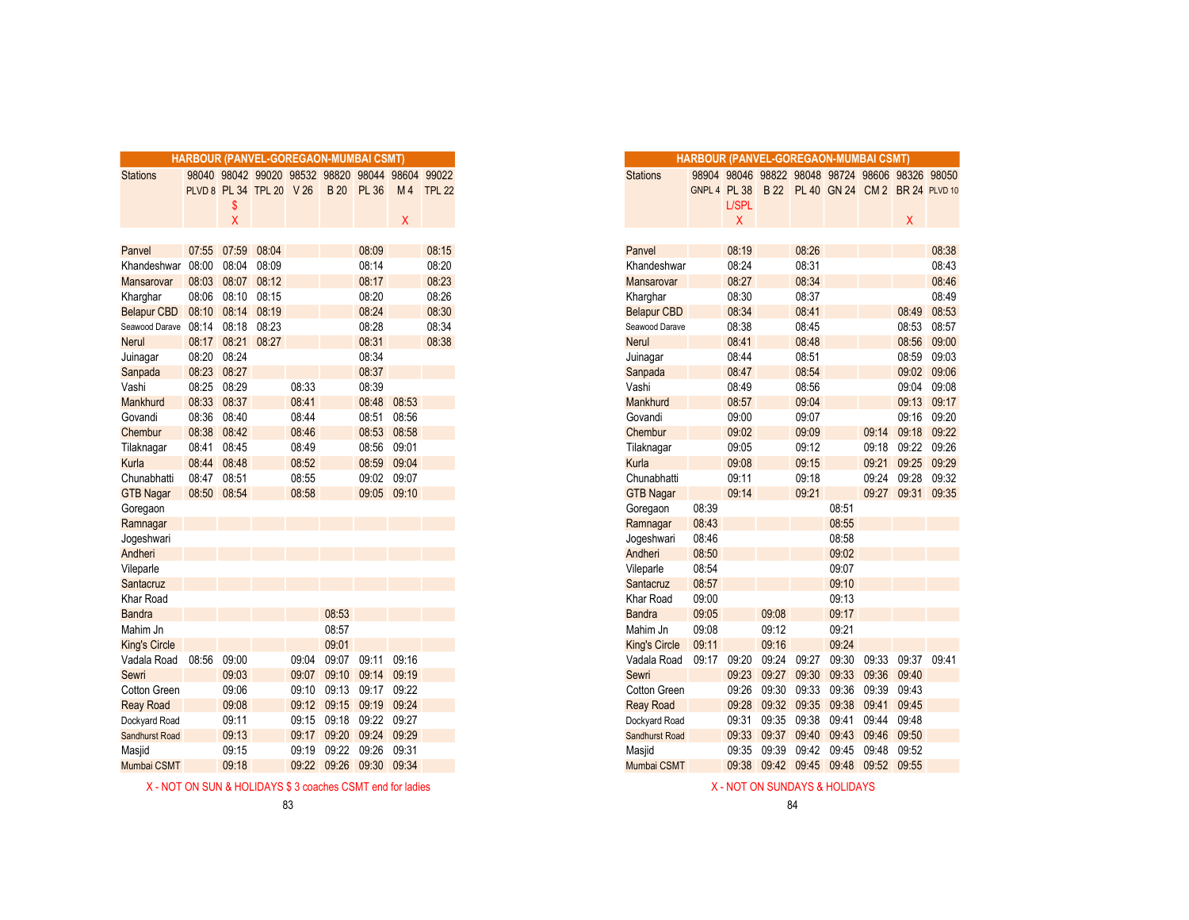|                                |             |                      | HARBOUR (PANVEL-GOREGAON-MUMBAI CSMT)           |       |             |                   |             |                |
|--------------------------------|-------------|----------------------|-------------------------------------------------|-------|-------------|-------------------|-------------|----------------|
| <b>Stations</b>                |             |                      | 98040 98042 99020 98532 98820 98044 98604 99022 |       |             |                   |             |                |
|                                |             |                      | PLVD 8 PL 34 TPL 20 V 26                        |       |             | <b>B</b> 20 PL 36 |             | M 4 TPL 22     |
|                                |             | S                    |                                                 |       |             |                   |             |                |
|                                |             | X                    |                                                 |       |             |                   | X           |                |
|                                |             |                      | 08:04                                           |       |             |                   |             |                |
| Panvel<br>Khandeshwar          |             | 07:55 07:59<br>08:04 | 08:09                                           |       |             | 08:09<br>08:14    |             | 08:15<br>08:20 |
|                                | 08:00       | 08:03 08:07          | 08:12                                           |       |             | 08:17             |             | 08:23          |
| <b>Mansarovar</b>              |             | 08:06 08:10          | 08:15                                           |       |             | 08:20             |             | 08:26          |
| Kharghar<br><b>Belapur CBD</b> | 08:10 08:14 |                      | 08:19                                           |       |             | 08:24             |             | 08:30          |
| Seawood Darave                 | 08:14       | 08:18                | 08:23                                           |       |             | 08:28             |             | 08:34          |
| <b>Nerul</b>                   |             | 08:17 08:21          | 08:27                                           |       |             | 08:31             |             | 08:38          |
| Juinagar                       | 08:20 08:24 |                      |                                                 |       |             | 08:34             |             |                |
| Sanpada                        | 08:23 08:27 |                      |                                                 |       |             | 08:37             |             |                |
| Vashi                          | 08:25 08:29 |                      |                                                 | 08:33 |             | 08:39             |             |                |
| Mankhurd                       | 08:33 08:37 |                      |                                                 | 08:41 |             | 08:48             | 08:53       |                |
| Govandi                        | 08:36 08:40 |                      |                                                 | 08:44 |             | 08:51             | 08:56       |                |
| Chembur                        | 08:38       | 08:42                |                                                 | 08:46 |             | 08:53             | 08:58       |                |
| Tilaknagar                     | 08:41       | 08:45                |                                                 | 08:49 |             | 08:56             | 09:01       |                |
| Kurla                          | 08:44 08:48 |                      |                                                 | 08:52 |             |                   | 08:59 09:04 |                |
| Chunabhatti                    | 08:47 08:51 |                      |                                                 | 08:55 |             | 09:02             | 09:07       |                |
| <b>GTB Nagar</b>               | 08:50 08:54 |                      |                                                 | 08:58 |             |                   | 09:05 09:10 |                |
| Goregaon                       |             |                      |                                                 |       |             |                   |             |                |
| Ramnagar                       |             |                      |                                                 |       |             |                   |             |                |
| Jogeshwari                     |             |                      |                                                 |       |             |                   |             |                |
| Andheri                        |             |                      |                                                 |       |             |                   |             |                |
| Vileparle                      |             |                      |                                                 |       |             |                   |             |                |
| Santacruz                      |             |                      |                                                 |       |             |                   |             |                |
| Khar Road                      |             |                      |                                                 |       |             |                   |             |                |
| <b>Bandra</b>                  |             |                      |                                                 |       | 08:53       |                   |             |                |
| Mahim Jn                       |             |                      |                                                 |       | 08:57       |                   |             |                |
| <b>King's Circle</b>           |             |                      |                                                 |       | 09:01       |                   |             |                |
| Vadala Road                    | 08:56       | 09:00                |                                                 |       | 09:04 09:07 | 09:11             | 09:16       |                |
| Sewri                          |             | 09:03                |                                                 | 09:07 | 09:10       | 09:14             | 09:19       |                |
| Cotton Green                   |             | 09:06                |                                                 | 09:10 | 09:13       | 09:17             | 09:22       |                |
| <b>Reay Road</b>               |             | 09:08                |                                                 | 09:12 | 09:15       | 09:19 09:24       |             |                |
| Dockyard Road                  |             | 09:11                |                                                 | 09:15 | 09:18       | 09:22             | 09:27       |                |
| Sandhurst Road                 |             | 09:13                |                                                 | 09:17 | 09:20       | 09:24             | 09:29       |                |
| Masjid                         |             | 09:15                |                                                 | 09:19 | 09:22       | 09:26             | 09:31       |                |
| Mumbai CSMT                    |             | 09:18                |                                                 | 09:22 | 09:26       | 09:30 09:34       |             |                |

X - NOT ON SUN & HOLIDAYS \$ 3 coaches CSMT end for ladies X - NOT ON SUNDAYS & HOLIDAYS

| <b>Stations</b><br>98044 98604 99022<br>98040 98042 99020 98532 98820<br>PLVD 8 PL 34 TPL 20 V 26<br><b>PL 36</b><br>TPL <sub>22</sub><br><b>B</b> 20<br>M <sub>4</sub><br>\$<br>X<br>X<br>Panvel<br>07:59<br>08:04<br>08:09<br>07:55<br>08:00<br>08:04<br>08:09<br>08:14<br>Khandeshwar<br>08:07<br>08:12<br>08:17<br>08:03<br>Mansarovar<br>08:06<br>08:10<br>08:15<br>08:20<br>Kharghar<br>08:19<br>08:10<br>08:14<br>08:24<br><b>Belapur CBD</b><br>08:14<br>08:18<br>08:23<br>08:28<br>Seawood Darave<br>08:31<br>08:17 08:21<br>08:27<br>Nerul<br>08:20<br>08:24<br>08:34<br>Juinagar<br>08:37<br>08:23<br>08:27<br>Sanpada<br>08:25<br>08:29<br>08:39<br>08:33<br>Vashi<br>08:53<br>08:33<br>08:37<br>08:41<br>08:48<br><b>Mankhurd</b><br>08:36<br>08:40<br>08:44<br>08:51<br>08:56<br>Govandi<br>08:38<br>08:42<br>08:53<br>08:46<br>08:58<br>Chembur<br>08:56<br>08:41<br>08:45<br>08:49<br>09:01<br>Tilaknagar<br>08:44 08:48<br>08:52<br>08:59<br>09:04<br>Kurla<br>08:51<br>08:55<br>09:02 09:07<br>Chunabhatti<br>08:47<br>08:50 08:54<br>08:58<br>09:05 09:10<br><b>GTB Nagar</b> |
|--------------------------------------------------------------------------------------------------------------------------------------------------------------------------------------------------------------------------------------------------------------------------------------------------------------------------------------------------------------------------------------------------------------------------------------------------------------------------------------------------------------------------------------------------------------------------------------------------------------------------------------------------------------------------------------------------------------------------------------------------------------------------------------------------------------------------------------------------------------------------------------------------------------------------------------------------------------------------------------------------------------------------------------------------------------------------------------------------|
| 08:15<br>08:20<br>08:23<br>08:26<br>08:30<br>08:34<br>08:38                                                                                                                                                                                                                                                                                                                                                                                                                                                                                                                                                                                                                                                                                                                                                                                                                                                                                                                                                                                                                                      |
|                                                                                                                                                                                                                                                                                                                                                                                                                                                                                                                                                                                                                                                                                                                                                                                                                                                                                                                                                                                                                                                                                                  |
|                                                                                                                                                                                                                                                                                                                                                                                                                                                                                                                                                                                                                                                                                                                                                                                                                                                                                                                                                                                                                                                                                                  |
|                                                                                                                                                                                                                                                                                                                                                                                                                                                                                                                                                                                                                                                                                                                                                                                                                                                                                                                                                                                                                                                                                                  |
|                                                                                                                                                                                                                                                                                                                                                                                                                                                                                                                                                                                                                                                                                                                                                                                                                                                                                                                                                                                                                                                                                                  |
|                                                                                                                                                                                                                                                                                                                                                                                                                                                                                                                                                                                                                                                                                                                                                                                                                                                                                                                                                                                                                                                                                                  |
|                                                                                                                                                                                                                                                                                                                                                                                                                                                                                                                                                                                                                                                                                                                                                                                                                                                                                                                                                                                                                                                                                                  |
|                                                                                                                                                                                                                                                                                                                                                                                                                                                                                                                                                                                                                                                                                                                                                                                                                                                                                                                                                                                                                                                                                                  |
|                                                                                                                                                                                                                                                                                                                                                                                                                                                                                                                                                                                                                                                                                                                                                                                                                                                                                                                                                                                                                                                                                                  |
|                                                                                                                                                                                                                                                                                                                                                                                                                                                                                                                                                                                                                                                                                                                                                                                                                                                                                                                                                                                                                                                                                                  |
|                                                                                                                                                                                                                                                                                                                                                                                                                                                                                                                                                                                                                                                                                                                                                                                                                                                                                                                                                                                                                                                                                                  |
|                                                                                                                                                                                                                                                                                                                                                                                                                                                                                                                                                                                                                                                                                                                                                                                                                                                                                                                                                                                                                                                                                                  |
|                                                                                                                                                                                                                                                                                                                                                                                                                                                                                                                                                                                                                                                                                                                                                                                                                                                                                                                                                                                                                                                                                                  |
|                                                                                                                                                                                                                                                                                                                                                                                                                                                                                                                                                                                                                                                                                                                                                                                                                                                                                                                                                                                                                                                                                                  |
|                                                                                                                                                                                                                                                                                                                                                                                                                                                                                                                                                                                                                                                                                                                                                                                                                                                                                                                                                                                                                                                                                                  |
|                                                                                                                                                                                                                                                                                                                                                                                                                                                                                                                                                                                                                                                                                                                                                                                                                                                                                                                                                                                                                                                                                                  |
|                                                                                                                                                                                                                                                                                                                                                                                                                                                                                                                                                                                                                                                                                                                                                                                                                                                                                                                                                                                                                                                                                                  |
|                                                                                                                                                                                                                                                                                                                                                                                                                                                                                                                                                                                                                                                                                                                                                                                                                                                                                                                                                                                                                                                                                                  |
|                                                                                                                                                                                                                                                                                                                                                                                                                                                                                                                                                                                                                                                                                                                                                                                                                                                                                                                                                                                                                                                                                                  |
| Goregaon                                                                                                                                                                                                                                                                                                                                                                                                                                                                                                                                                                                                                                                                                                                                                                                                                                                                                                                                                                                                                                                                                         |
| Ramnagar                                                                                                                                                                                                                                                                                                                                                                                                                                                                                                                                                                                                                                                                                                                                                                                                                                                                                                                                                                                                                                                                                         |
| Jogeshwari                                                                                                                                                                                                                                                                                                                                                                                                                                                                                                                                                                                                                                                                                                                                                                                                                                                                                                                                                                                                                                                                                       |
| Andheri                                                                                                                                                                                                                                                                                                                                                                                                                                                                                                                                                                                                                                                                                                                                                                                                                                                                                                                                                                                                                                                                                          |
| Vileparle                                                                                                                                                                                                                                                                                                                                                                                                                                                                                                                                                                                                                                                                                                                                                                                                                                                                                                                                                                                                                                                                                        |
| Santacruz                                                                                                                                                                                                                                                                                                                                                                                                                                                                                                                                                                                                                                                                                                                                                                                                                                                                                                                                                                                                                                                                                        |
| Khar Road                                                                                                                                                                                                                                                                                                                                                                                                                                                                                                                                                                                                                                                                                                                                                                                                                                                                                                                                                                                                                                                                                        |
| 08:53<br><b>Bandra</b>                                                                                                                                                                                                                                                                                                                                                                                                                                                                                                                                                                                                                                                                                                                                                                                                                                                                                                                                                                                                                                                                           |
| 08:57<br>Mahim Jn                                                                                                                                                                                                                                                                                                                                                                                                                                                                                                                                                                                                                                                                                                                                                                                                                                                                                                                                                                                                                                                                                |
| 09:01<br><b>King's Circle</b>                                                                                                                                                                                                                                                                                                                                                                                                                                                                                                                                                                                                                                                                                                                                                                                                                                                                                                                                                                                                                                                                    |
| 09:11<br>08:56<br>09:00<br>09:07<br>09:16<br>Vadala Road<br>09:04                                                                                                                                                                                                                                                                                                                                                                                                                                                                                                                                                                                                                                                                                                                                                                                                                                                                                                                                                                                                                                |
| 09:03<br>Sewri<br>09:07<br>09:10<br>09:14<br>09:19                                                                                                                                                                                                                                                                                                                                                                                                                                                                                                                                                                                                                                                                                                                                                                                                                                                                                                                                                                                                                                               |
| 09:06<br>09:13<br>09:17<br>09:22<br>Cotton Green<br>09:10                                                                                                                                                                                                                                                                                                                                                                                                                                                                                                                                                                                                                                                                                                                                                                                                                                                                                                                                                                                                                                        |
| 09:08<br>09:12 09:15 09:19 09:24<br><b>Reay Road</b>                                                                                                                                                                                                                                                                                                                                                                                                                                                                                                                                                                                                                                                                                                                                                                                                                                                                                                                                                                                                                                             |
| 09:22<br>09:27<br>Dockyard Road<br>09:11<br>09:15 09:18                                                                                                                                                                                                                                                                                                                                                                                                                                                                                                                                                                                                                                                                                                                                                                                                                                                                                                                                                                                                                                          |
| 09:13<br>09:24<br>09:29<br>Sandhurst Road<br>09:17<br>09:20                                                                                                                                                                                                                                                                                                                                                                                                                                                                                                                                                                                                                                                                                                                                                                                                                                                                                                                                                                                                                                      |
| 09:26<br>09:15<br>09:19<br>09:22<br>09:31<br>Masjid                                                                                                                                                                                                                                                                                                                                                                                                                                                                                                                                                                                                                                                                                                                                                                                                                                                                                                                                                                                                                                              |
| 09:18<br>09:22 09:26 09:30 09:34<br>Mumbai CSMT                                                                                                                                                                                                                                                                                                                                                                                                                                                                                                                                                                                                                                                                                                                                                                                                                                                                                                                                                                                                                                                  |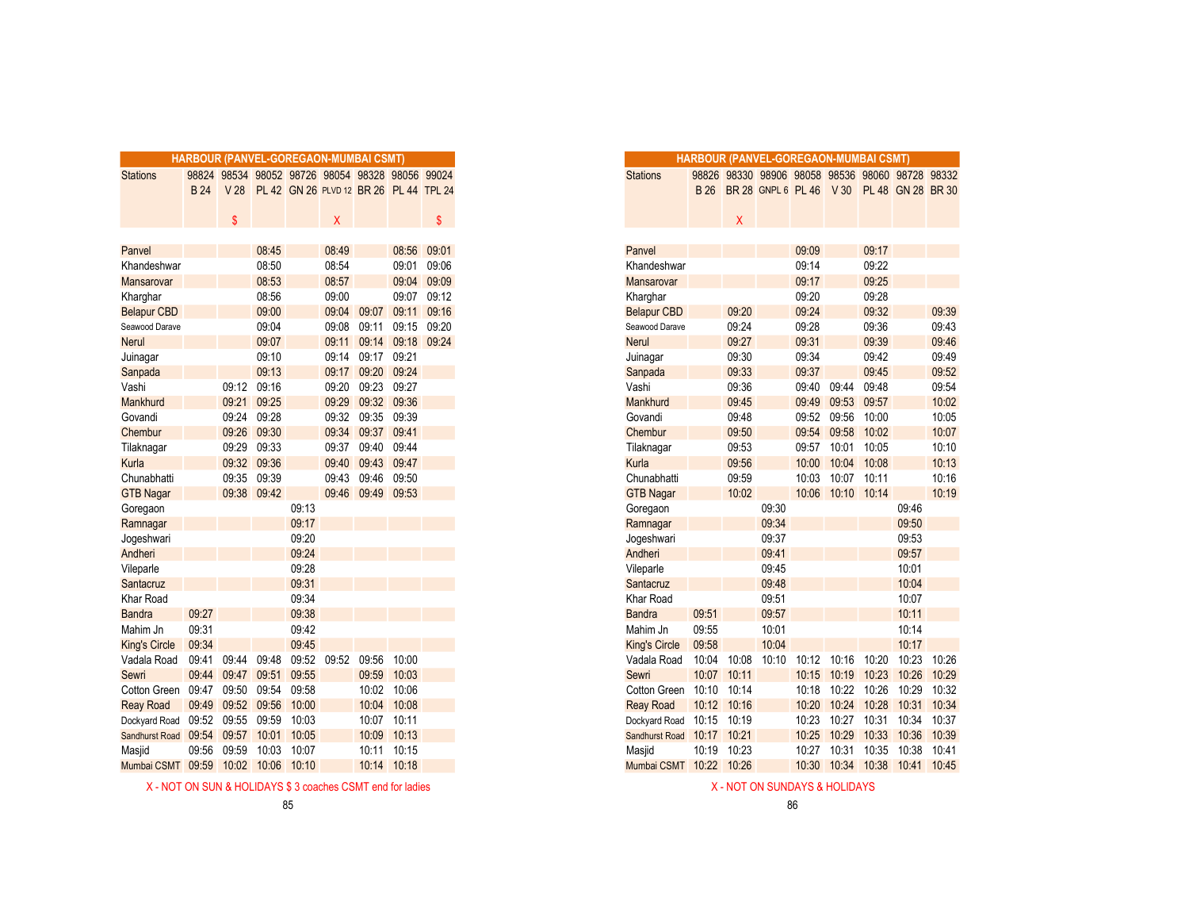|                       |             |                 |             |       | <b>HARBOUR (PANVEL-GOREGAON-MUMBAI CSMT)</b> |                   |       |             |
|-----------------------|-------------|-----------------|-------------|-------|----------------------------------------------|-------------------|-------|-------------|
| <b>Stations</b>       | 98824       |                 |             |       | 98534 98052 98726 98054 98328 98056 99024    |                   |       |             |
|                       | <b>B24</b>  | V <sub>28</sub> |             |       | PL 42 GN 26 PLVD 12 BR 26 PL 44 TPL 24       |                   |       |             |
|                       |             |                 |             |       |                                              |                   |       |             |
|                       |             | \$              |             |       | X                                            |                   |       | \$          |
|                       |             |                 |             |       |                                              |                   |       |             |
| Panvel                |             |                 | 08:45       |       | 08:49                                        |                   | 08:56 | 09:01       |
| Khandeshwar           |             |                 | 08:50       |       | 08:54                                        |                   | 09:01 | 09:06       |
| Mansarovar            |             |                 | 08:53       |       | 08:57                                        |                   | 09:04 | 09:09       |
| Kharghar              |             |                 | 08:56       |       | 09:00                                        |                   | 09:07 | 09:12       |
| <b>Belapur CBD</b>    |             |                 | 09:00       |       | 09:04                                        | 09:07             | 09:11 | 09:16       |
| Seawood Darave        |             |                 | 09:04       |       | 09:08                                        | 09:11             | 09:15 | 09:20       |
| <b>Nerul</b>          |             |                 | 09:07       |       | 09:11                                        | 09:14             |       | 09:18 09:24 |
| Juinagar              |             |                 | 09:10       |       | 09:14                                        | 09:17             | 09:21 |             |
| Sanpada               |             |                 | 09:13       |       | 09:17                                        | 09:20             | 09:24 |             |
| Vashi                 |             |                 | 09:12 09:16 |       | 09:20                                        | 09:23             | 09:27 |             |
| Mankhurd              |             | 09:21           | 09:25       |       | 09:29                                        | 09:32             | 09:36 |             |
| Govandi               |             | 09:24           | 09:28       |       | 09:32                                        | 09:35             | 09:39 |             |
| Chembur               |             | 09:26           | 09:30       |       | 09:34                                        | 09:37             | 09:41 |             |
| Tilaknagar            |             | 09:29           | 09:33       |       | 09:37                                        | 09:40             | 09:44 |             |
| Kurla                 |             | 09:32           | 09:36       |       | 09:40                                        | 09:43             | 09:47 |             |
| Chunabhatti           |             | 09:35           | 09:39       |       | 09:43                                        | 09:46             | 09:50 |             |
| <b>GTB Nagar</b>      |             |                 | 09:38 09:42 |       |                                              | 09:46 09:49 09:53 |       |             |
| Goregaon              |             |                 |             | 09:13 |                                              |                   |       |             |
| Ramnagar              |             |                 |             | 09:17 |                                              |                   |       |             |
| Jogeshwari            |             |                 |             | 09:20 |                                              |                   |       |             |
| Andheri               |             |                 |             | 09:24 |                                              |                   |       |             |
| Vileparle             |             |                 |             | 09:28 |                                              |                   |       |             |
| Santacruz             |             |                 |             | 09:31 |                                              |                   |       |             |
| Khar Road             |             |                 |             | 09:34 |                                              |                   |       |             |
| <b>Bandra</b>         | 09:27       |                 |             | 09:38 |                                              |                   |       |             |
| Mahim Jn              | 09:31       |                 |             | 09:42 |                                              |                   |       |             |
| <b>King's Circle</b>  | 09:34       |                 |             | 09:45 |                                              |                   |       |             |
| Vadala Road           | 09:41       | 09:44           | 09:48       | 09:52 | 09:52                                        | 09:56             | 10:00 |             |
| Sewri                 | 09:44       | 09:47           | 09:51       | 09:55 |                                              | 09:59             | 10:03 |             |
| Cotton Green          | 09:47 09:50 |                 | 09:54       | 09:58 |                                              | 10:02             | 10:06 |             |
| <b>Reay Road</b>      | 09:49       |                 | 09:52 09:56 | 10:00 |                                              | 10:04             | 10:08 |             |
| Dockyard Road         | 09:52       | 09:55           | 09:59       | 10:03 |                                              | 10:07             | 10:11 |             |
| <b>Sandhurst Road</b> | 09:54       | 09:57           | 10:01       | 10:05 |                                              | 10:09             | 10:13 |             |
| Masjid                | 09:56       | 09:59           | 10:03       | 10:07 |                                              | 10:11             | 10:15 |             |
| Mumbai CSMT           | 09:59       | 10:02           | 10:06       | 10:10 |                                              | 10:14             | 10:18 |             |

X - NOT ON SUN & HOLIDAYS \$ 3 coaches CSMT end for ladies X - NOT ON SUNDAYS & HOLIDAYS

|                       |            |                 |       |       | HARBOUR (PANVEL-GOREGAON-MUMBAI CSMT)     |                   |                   |       |
|-----------------------|------------|-----------------|-------|-------|-------------------------------------------|-------------------|-------------------|-------|
|                       |            |                 |       |       |                                           |                   |                   |       |
| <b>Stations</b>       | 98824      |                 |       |       | 98534 98052 98726 98054 98328 98056 99024 |                   |                   |       |
|                       | <b>B24</b> | V <sub>28</sub> |       |       | PL 42 GN 26 PLVD 12 BR 26 PL 44 TPL 24    |                   |                   |       |
|                       |            | \$              |       |       | Χ                                         |                   |                   | \$    |
|                       |            |                 |       |       |                                           |                   |                   |       |
| Panvel                |            |                 | 08:45 |       | 08:49                                     |                   | 08:56             | 09:01 |
| Khandeshwar           |            |                 | 08:50 |       | 08:54                                     |                   | 09:01             | 09:06 |
| <b>Mansarovar</b>     |            |                 | 08:53 |       | 08:57                                     |                   | 09:04             | 09:09 |
| Kharghar              |            |                 | 08:56 |       | 09:00                                     |                   | 09:07             | 09:12 |
| <b>Belapur CBD</b>    |            |                 | 09:00 |       | 09:04                                     | 09:07             | 09:11             | 09:16 |
| Seawood Darave        |            |                 | 09:04 |       | 09:08                                     | 09:11             | 09:15             | 09:20 |
| Nerul                 |            |                 | 09:07 |       | 09:11                                     |                   | 09:14 09:18 09:24 |       |
| Juinagar              |            |                 | 09:10 |       | 09:14                                     | 09:17             | 09:21             |       |
| Sanpada               |            |                 | 09:13 |       | 09:17                                     | 09:20             | 09:24             |       |
| Vashi                 |            | 09:12           | 09:16 |       | 09:20                                     | 09:23             | 09:27             |       |
| Mankhurd              |            | 09:21           | 09:25 |       | 09:29                                     | 09:32             | 09:36             |       |
| Govandi               |            | 09:24           | 09:28 |       |                                           | 09:32 09:35       | 09:39             |       |
| Chembur               |            | 09:26           | 09:30 |       | 09:34                                     | 09:37             | 09:41             |       |
| Tilaknagar            |            | 09:29           | 09:33 |       | 09:37                                     | 09:40             | 09:44             |       |
| Kurla                 |            | 09:32           | 09:36 |       | 09:40                                     | 09:43             | 09:47             |       |
| Chunabhatti           |            | 09:35           | 09:39 |       | 09:43                                     | 09:46             | 09:50             |       |
| <b>GTB Nagar</b>      |            | 09:38           | 09:42 |       |                                           | 09:46 09:49 09:53 |                   |       |
| Goregaon              |            |                 |       | 09:13 |                                           |                   |                   |       |
| Ramnagar              |            |                 |       | 09:17 |                                           |                   |                   |       |
|                       |            |                 |       | 09:20 |                                           |                   |                   |       |
| Jogeshwari<br>Andheri |            |                 |       | 09:24 |                                           |                   |                   |       |
| Vileparle             |            |                 |       | 09:28 |                                           |                   |                   |       |
| Santacruz             |            |                 |       | 09:31 |                                           |                   |                   |       |
| Khar Road             |            |                 |       | 09:34 |                                           |                   |                   |       |
| <b>Bandra</b>         | 09:27      |                 |       | 09:38 |                                           |                   |                   |       |
| Mahim Jn              | 09:31      |                 |       | 09:42 |                                           |                   |                   |       |
| <b>King's Circle</b>  | 09:34      |                 |       | 09:45 |                                           |                   |                   |       |
| Vadala Road           | 09:41      | 09:44           | 09:48 | 09:52 | 09:52                                     | 09:56             | 10:00             |       |
| Sewri                 | 09:44      | 09:47           | 09:51 | 09:55 |                                           | 09:59             | 10:03             |       |
| Cotton Green          | 09:47      | 09:50           | 09:54 | 09:58 |                                           | 10:02             | 10:06             |       |
| <b>Reay Road</b>      | 09:49      | 09:52           | 09:56 | 10:00 |                                           | 10:04             | 10:08             |       |
| Dockyard Road         | 09:52      | 09:55           | 09:59 | 10:03 |                                           | 10:07             | 10:11             |       |
| <b>Sandhurst Road</b> | 09:54      | 09:57           | 10:01 | 10:05 |                                           | 10:09             | 10:13             |       |
| Masjid                | 09:56      | 09:59           | 10:03 | 10:07 |                                           | 10:11             | 10:15             |       |
| Mumbai CSMT           | 09:59      | 10:02           | 10:06 | 10:10 |                                           |                   | 10:14 10:18       |       |
|                       |            |                 |       |       |                                           |                   |                   |       |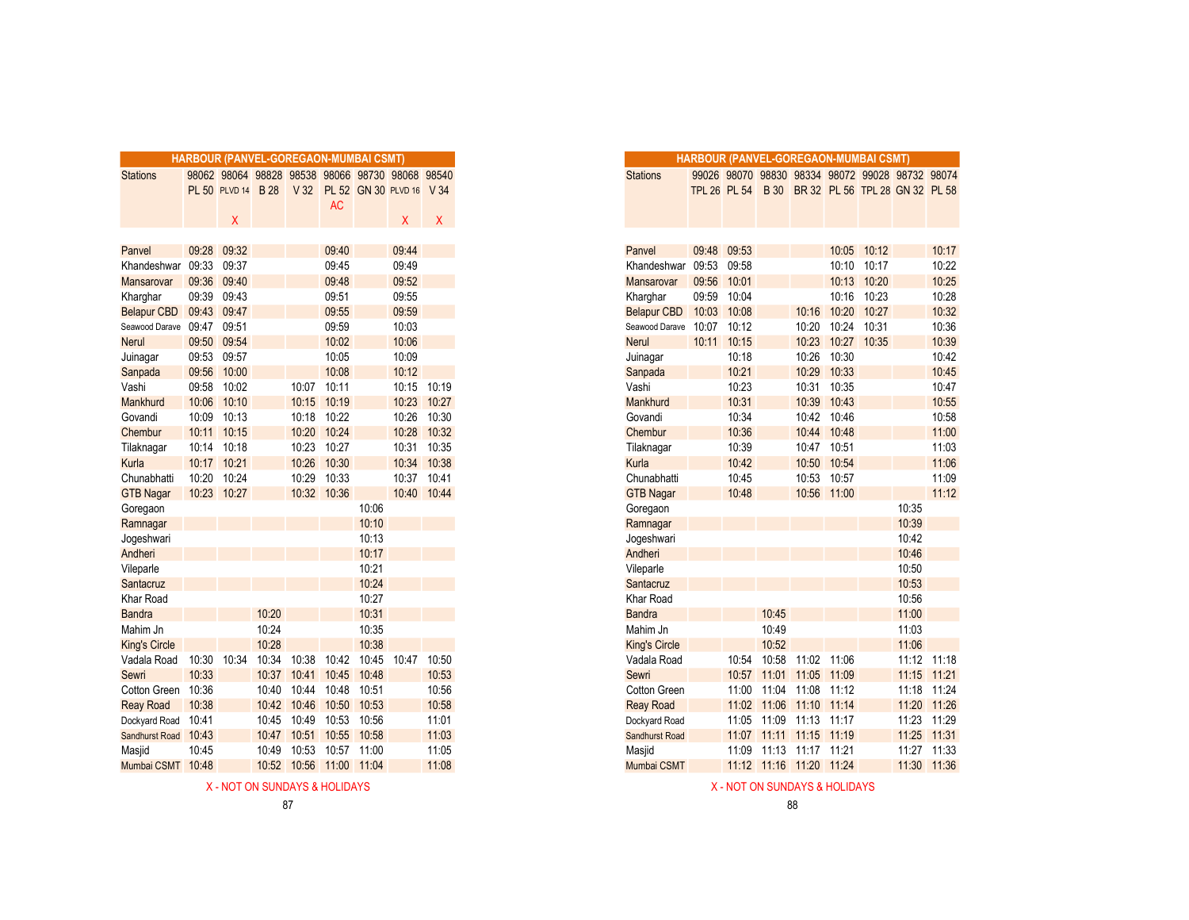|                      |                |                      | <b>HARBOUR (PANVEL-GOREGAON-MUMBAI CSMT)</b>    |       |                |             |                          |             |
|----------------------|----------------|----------------------|-------------------------------------------------|-------|----------------|-------------|--------------------------|-------------|
| <b>Stations</b>      |                |                      | 98062 98064 98828 98538 98066 98730 98068 98540 |       |                |             |                          |             |
|                      |                | <b>PL 50 PLVD 14</b> | <b>B</b> 28                                     | V32   |                |             | PL 52 GN 30 PLVD 16 V 34 |             |
|                      |                |                      |                                                 |       | <b>AC</b>      |             |                          |             |
|                      |                | X                    |                                                 |       |                |             | X.                       | X.          |
|                      |                |                      |                                                 |       |                |             |                          |             |
| Panvel               | 09:28          | 09:32                |                                                 |       | 09:40          |             | 09:44                    |             |
| Khandeshwar          | 09:33          | 09:37                |                                                 |       | 09:45          |             | 09:49                    |             |
| Mansarovar           | 09:36          | 09:40                |                                                 |       | 09:48          |             | 09:52                    |             |
| Kharghar             | 09:39          | 09:43<br>09:47       |                                                 |       | 09:51<br>09:55 |             | 09:55<br>09:59           |             |
| Belapur CBD          | 09:43<br>09:47 | 09:51                |                                                 |       |                |             |                          |             |
| Seawood Darave       | 09:50          | 09:54                |                                                 |       | 09:59<br>10:02 |             | 10:03<br>10:06           |             |
| <b>Nerul</b>         | 09:53 09:57    |                      |                                                 |       | 10:05          |             | 10:09                    |             |
| Juinagar             | 09:56          | 10:00                |                                                 |       | 10:08          |             | 10:12                    |             |
| Sanpada<br>Vashi     | 09:58          | 10:02                |                                                 | 10:07 | 10:11          |             | 10:15                    | 10:19       |
| Mankhurd             | 10:06          | 10:10                |                                                 | 10:15 | 10:19          |             | 10:23                    | 10:27       |
| Govandi              | 10:09          | 10:13                |                                                 | 10:18 | 10:22          |             | 10:26                    | 10:30       |
| Chembur              | 10:11          | 10:15                |                                                 | 10:20 | 10:24          |             | 10:28                    | 10:32       |
| Tilaknagar           | 10:14          | 10:18                |                                                 | 10:23 | 10:27          |             | 10:31                    | 10:35       |
| Kurla                | 10:17          | 10:21                |                                                 | 10:26 | 10:30          |             | 10:34                    | 10:38       |
| Chunabhatti          | 10:20          | 10:24                |                                                 | 10:29 | 10:33          |             |                          | 10:37 10:41 |
| <b>GTB Nagar</b>     |                | 10:23 10:27          |                                                 |       | 10:32 10:36    |             |                          | 10:40 10:44 |
| Goregaon             |                |                      |                                                 |       |                | 10:06       |                          |             |
| Ramnagar             |                |                      |                                                 |       |                | 10:10       |                          |             |
| Jogeshwari           |                |                      |                                                 |       |                | 10:13       |                          |             |
| Andheri              |                |                      |                                                 |       |                | 10:17       |                          |             |
| Vileparle            |                |                      |                                                 |       |                | 10:21       |                          |             |
| Santacruz            |                |                      |                                                 |       |                | 10:24       |                          |             |
| Khar Road            |                |                      |                                                 |       |                | 10:27       |                          |             |
| <b>Bandra</b>        |                |                      | 10:20                                           |       |                | 10:31       |                          |             |
| Mahim Jn             |                |                      | 10:24                                           |       |                | 10:35       |                          |             |
| <b>King's Circle</b> |                |                      | 10:28                                           |       |                | 10:38       |                          |             |
| Vadala Road          | 10:30          | 10:34                | 10:34                                           | 10:38 | 10:42          | 10:45       |                          | 10:47 10:50 |
| Sewri                | 10:33          |                      | 10:37                                           | 10:41 | 10:45          | 10:48       |                          | 10:53       |
| Cotton Green         | 10:36          |                      | 10:40                                           | 10:44 | 10:48          | 10:51       |                          | 10:56       |
| <b>Reay Road</b>     | 10:38          |                      | 10:42                                           | 10:46 | 10:50          | 10:53       |                          | 10:58       |
| Dockyard Road        | 10:41          |                      | 10:45                                           | 10:49 | 10:53          | 10:56       |                          | 11:01       |
| Sandhurst Road       | 10:43          |                      | 10:47                                           | 10:51 | 10:55          | 10:58       |                          | 11:03       |
| Masjid               | 10:45          |                      | 10:49                                           | 10:53 |                | 10:57 11:00 |                          | 11:05       |
| Mumbai CSMT          | 10:48          |                      | 10:52                                           | 10:56 | 11:00          | 11:04       |                          | 11:08       |

|       | <b>RBOUR (PANVEL-GOREGAON-MUMBAI CSMT)</b>      |       |                 |             |                          |              |              |
|-------|-------------------------------------------------|-------|-----------------|-------------|--------------------------|--------------|--------------|
|       | 98062 98064 98828 98538 98066 98730 98068 98540 |       |                 |             |                          |              |              |
|       | PL 50 PLVD 14 B 28                              |       | V <sub>32</sub> |             | PL 52 GN 30 PLVD 16 V 34 |              |              |
|       |                                                 |       |                 | <b>AC</b>   |                          |              |              |
|       | X                                               |       |                 |             |                          | $\mathsf{X}$ | $\mathsf{X}$ |
|       |                                                 |       |                 |             |                          |              |              |
| 09:28 | 09:32                                           |       |                 | 09:40       |                          | 09:44        |              |
| 09:33 | 09:37                                           |       |                 | 09:45       |                          | 09:49        |              |
| 09:36 | 09:40                                           |       |                 | 09:48       |                          | 09:52        |              |
| 09:39 | 09:43                                           |       |                 | 09:51       |                          | 09:55        |              |
| 09:43 | 09:47                                           |       |                 | 09:55       |                          | 09:59        |              |
| 09:47 | 09:51                                           |       |                 | 09:59       |                          | 10:03        |              |
| 09:50 | 09:54                                           |       |                 | 10:02       |                          | 10:06        |              |
| 09:53 | 09:57                                           |       |                 | 10:05       |                          | 10:09        |              |
| 09:56 | 10:00                                           |       |                 | 10:08       |                          | 10:12        |              |
| 09:58 | 10:02                                           |       | 10:07           | 10:11       |                          | 10:15        | 10:19        |
|       | 10:06 10:10                                     |       | 10:15           | 10:19       |                          | 10:23        | 10:27        |
| 10:09 | 10:13                                           |       | 10:18           | 10:22       |                          | 10:26        | 10:30        |
| 10:11 | 10:15                                           |       | 10:20           | 10:24       |                          | 10:28        | 10:32        |
| 10:14 | 10:18                                           |       | 10:23           | 10:27       |                          | 10:31        | 10:35        |
| 10:17 | 10:21                                           |       | 10:26           | 10:30       |                          | 10:34        | 10:38        |
| 10:20 | 10:24                                           |       | 10:29           | 10:33       |                          | 10:37        | 10:41        |
|       | 10:23 10:27                                     |       |                 | 10:32 10:36 |                          |              | 10:40 10:44  |
|       |                                                 |       |                 |             | 10:06                    |              |              |
|       |                                                 |       |                 |             | 10:10                    |              |              |
|       |                                                 |       |                 |             | 10:13                    |              |              |
|       |                                                 |       |                 |             | 10:17                    |              |              |
|       |                                                 |       |                 |             | 10:21                    |              |              |
|       |                                                 |       |                 |             | 10:24                    |              |              |
|       |                                                 | 10:20 |                 |             | 10:27<br>10:31           |              |              |
|       |                                                 | 10:24 |                 |             | 10:35                    |              |              |
|       |                                                 | 10:28 |                 |             | 10:38                    |              |              |
|       | 10:30 10:34                                     | 10:34 | 10:38           | 10:42       | 10:45                    | 10:47        | 10:50        |
| 10:33 |                                                 | 10:37 |                 | 10:41 10:45 | 10:48                    |              | 10:53        |
| 10:36 |                                                 | 10:40 | 10:44           | 10:48       | 10:51                    |              | 10:56        |
| 10:38 |                                                 | 10:42 | 10:46           | 10:50       | 10:53                    |              | 10:58        |
| 10:41 |                                                 | 10:45 | 10:49           | 10:53       | 10:56                    |              | 11:01        |
| 10:43 |                                                 | 10:47 | 10:51           | 10:55       | 10:58                    |              | 11:03        |
| 10:45 |                                                 | 10:49 | 10:53           | 10:57 11:00 |                          |              | 11:05        |
|       |                                                 |       |                 |             |                          |              |              |

X - NOT ON SUNDAYS & HOLIDAYS A MOLIDAYS AND A SUNDAYS A HOLIDAYS A HOLIDAYS A HOLIDAYS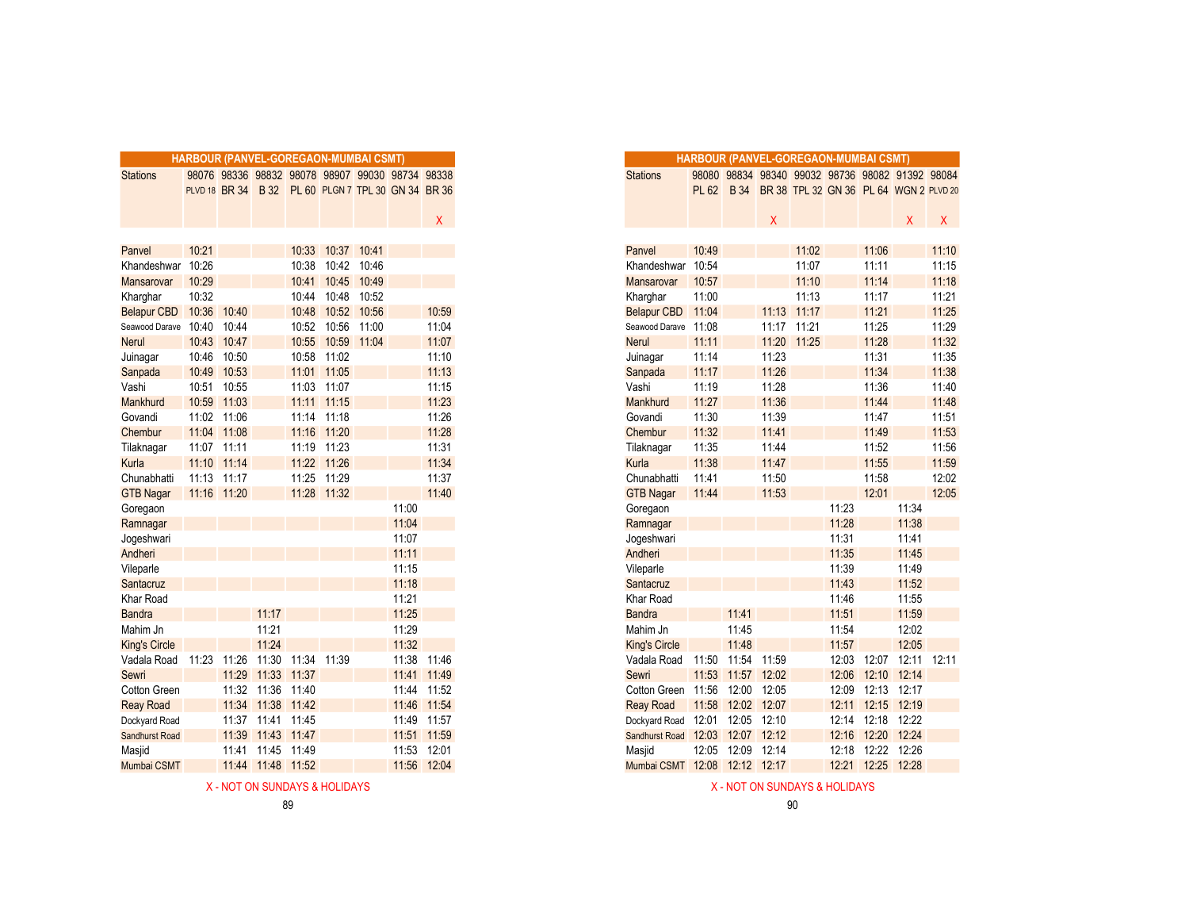|                         | <b>HARBOUR (PANVEL-GOREGAON-MUMBAI CSMT)</b> |             |                   |                   |                                                    |             |       |             |
|-------------------------|----------------------------------------------|-------------|-------------------|-------------------|----------------------------------------------------|-------------|-------|-------------|
| <b>Stations</b>         |                                              |             |                   |                   | 98076 98336 98832 98078 98907 99030 98734 98338    |             |       |             |
|                         |                                              |             |                   |                   | PLVD 18 BR 34 B 32 PL 60 PLGN 7 TPL 30 GN 34 BR 36 |             |       |             |
|                         |                                              |             |                   |                   |                                                    |             |       |             |
|                         |                                              |             |                   |                   |                                                    |             |       | X           |
|                         |                                              |             |                   |                   |                                                    |             |       |             |
| Panvel                  | 10:21                                        |             |                   | 10:33             | 10:37                                              | 10:41       |       |             |
| Khandeshwar             | 10:26                                        |             |                   | 10:38             |                                                    | 10:42 10:46 |       |             |
| Mansarovar              | 10:29                                        |             |                   | 10:41             | 10:45                                              | 10:49       |       |             |
| Kharghar                | 10:32                                        |             |                   | 10:44             | 10:48                                              | 10:52       |       |             |
| Belapur CBD 10:36       |                                              | 10:40       |                   | 10:48             | 10:52                                              | 10:56       |       | 10:59       |
| Seawood Darave 10:40    |                                              | 10:44       |                   | 10:52             | 10:56                                              | 11:00       |       | 11:04       |
| <b>Nerul</b>            | 10:43 10:47                                  |             |                   | 10:55             |                                                    | 10:59 11:04 |       | 11:07       |
| Juinagar                |                                              | 10:46 10:50 |                   | 10:58             | 11:02                                              |             |       | 11:10       |
| Sanpada                 | 10:49                                        | 10:53       |                   |                   | 11:01 11:05                                        |             |       | 11:13       |
| Vashi                   |                                              | 10:51 10:55 |                   | 11:03             | 11:07                                              |             |       | 11:15       |
| Mankhurd                |                                              | 10:59 11:03 |                   |                   | 11:11 11:15                                        |             |       | 11:23       |
| Govandi                 |                                              | 11:02 11:06 |                   |                   | 11:14 11:18                                        |             |       | 11:26       |
| Chembur                 |                                              | 11:04 11:08 |                   |                   | 11:16 11:20                                        |             |       | 11:28       |
| Tilaknagar              | 11:07 11:11                                  |             |                   |                   | 11:19 11:23                                        |             |       | 11:31       |
| Kurla                   | 11:10                                        | 11:14       |                   | 11:22             | 11:26                                              |             |       | 11:34       |
| Chunabhatti             | 11:13 11:17                                  |             |                   | 11:25             | 11:29                                              |             |       | 11:37       |
| <b>GTB Nagar</b>        | 11:16 11:20                                  |             |                   |                   | 11:28 11:32                                        |             |       | 11:40       |
| Goregaon                |                                              |             |                   |                   |                                                    |             | 11:00 |             |
| Ramnagar                |                                              |             |                   |                   |                                                    |             | 11:04 |             |
| Jogeshwari              |                                              |             |                   |                   |                                                    |             | 11:07 |             |
| Andheri                 |                                              |             |                   |                   |                                                    |             | 11:11 |             |
| Vileparle               |                                              |             |                   |                   |                                                    |             | 11:15 |             |
| Santacruz               |                                              |             |                   |                   |                                                    |             | 11:18 |             |
| Khar Road               |                                              |             |                   |                   |                                                    |             | 11:21 |             |
| <b>Bandra</b>           |                                              |             | 11:17             |                   |                                                    |             | 11:25 |             |
| Mahim Jn                |                                              |             | 11:21             |                   |                                                    |             | 11:29 |             |
| <b>King's Circle</b>    |                                              |             | 11:24             |                   |                                                    |             | 11:32 |             |
| Vadala Road 11:23 11:26 |                                              |             |                   | 11:30 11:34 11:39 |                                                    |             |       | 11:38 11:46 |
| Sewri                   |                                              | 11:29       | 11:33 11:37       |                   |                                                    |             |       | 11:41 11:49 |
| <b>Cotton Green</b>     |                                              |             | 11:32 11:36       | 11:40             |                                                    |             |       | 11:44 11:52 |
| <b>Reay Road</b>        |                                              | 11:34       | 11:38             | 11:42             |                                                    |             |       | 11:46 11:54 |
| Dockyard Road           |                                              | 11:37       | 11:41 11:45       |                   |                                                    |             |       | 11:49 11:57 |
| Sandhurst Road          |                                              | 11:39       | 11:43 11:47       |                   |                                                    |             |       | 11:51 11:59 |
| Masjid                  |                                              |             | 11:41 11:45 11:49 |                   |                                                    |             | 11:53 | 12:01       |
| Mumbai CSMT             |                                              | 11:44       | 11:48 11:52       |                   |                                                    |             | 11:56 | 12:04       |

|    |             |             |                   |                   | <b>HARBOUR (PANVEL-GOREGAON-MUMBAI CSMT)</b>       |       |                 |
|----|-------------|-------------|-------------------|-------------------|----------------------------------------------------|-------|-----------------|
|    |             |             |                   |                   | 98076 98336 98832 98078 98907 99030 98734 98338    |       |                 |
|    |             |             |                   |                   | PLVD 18 BR 34 B 32 PL 60 PLGN 7 TPL 30 GN 34 BR 36 |       |                 |
|    |             |             |                   |                   |                                                    |       |                 |
|    |             |             |                   |                   |                                                    |       | $\mathsf{X}^-$  |
|    |             |             |                   |                   |                                                    |       |                 |
|    | 10:21       |             |                   |                   | 10:33 10:37 10:41                                  |       |                 |
|    | ar 10:26    |             |                   | 10:38             | 10:42 10:46                                        |       |                 |
|    | 10:29       |             |                   |                   | 10:41 10:45 10:49                                  |       |                 |
|    | 10:32       |             |                   | 10:44             | 10:48 10:52                                        |       |                 |
| D. | 10:36       | 10:40       |                   |                   | 10:48 10:52 10:56                                  |       | 10:59           |
| ve | 10:40       | 10:44       |                   |                   | 10:52 10:56 11:00                                  |       | 11:04           |
|    |             | 10:43 10:47 |                   |                   | 10:55 10:59 11:04                                  |       | 11:07           |
|    |             | 10:46 10:50 |                   |                   | 10:58 11:02                                        |       | 11:10           |
|    |             | 10:49 10:53 |                   |                   | 11:01 11:05                                        |       | 11:13           |
|    | 10:51 10:55 |             |                   |                   | 11:03 11:07                                        |       | 11:15           |
|    |             | 10:59 11:03 |                   |                   | 11:11 11:15                                        |       | 11:23           |
|    |             | 11:02 11:06 |                   |                   | 11:14 11:18                                        |       | 11:26           |
|    |             | 11:04 11:08 |                   |                   | 11:16 11:20                                        |       | 11:28           |
|    | 11:07 11:11 |             |                   |                   | 11:19 11:23                                        |       | 11:31           |
|    | 11:10 11:14 |             |                   |                   | 11:22 11:26                                        |       | 11:34           |
|    | 11:13 11:17 |             |                   |                   | 11:25 11:29                                        |       | 11:37           |
|    | 11:16 11:20 |             |                   | 11:28             | 11:32                                              |       | 11:40           |
|    |             |             |                   |                   |                                                    | 11:00 |                 |
|    |             |             |                   |                   |                                                    | 11:04 |                 |
|    |             |             |                   |                   |                                                    | 11:07 |                 |
|    |             |             |                   |                   |                                                    | 11:11 |                 |
|    |             |             |                   |                   |                                                    | 11:15 |                 |
|    |             |             |                   |                   |                                                    | 11:18 |                 |
|    |             |             |                   |                   |                                                    | 11:21 |                 |
|    |             |             | 11:17             |                   |                                                    | 11:25 |                 |
|    |             |             | 11:21             |                   |                                                    | 11:29 |                 |
|    |             |             | 11:24             |                   |                                                    | 11:32 |                 |
| d  | 11:23       | 11:26       |                   | 11:30 11:34 11:39 |                                                    | 11:38 | 11:46           |
|    |             | 11:29       | 11:33 11:37       |                   |                                                    |       | 11:41 11:49     |
| эn |             |             | 11:32 11:36 11:40 |                   |                                                    |       | 11:44 11:52     |
|    |             |             | 11:34 11:38 11:42 |                   |                                                    |       | 11:46 11:54     |
| эd |             | 11:37       | 11:41 11:45       |                   |                                                    |       | 11:49 11:57     |
| ad |             | 11:39       | 11:43 11:47       |                   |                                                    |       | 11:51 11:59     |
|    |             |             | 11:41 11:45 11:49 |                   |                                                    |       | 11:53 12:01     |
| ΛT |             |             | 11:44 11:48 11:52 |                   |                                                    |       | $11.56$ $12.04$ |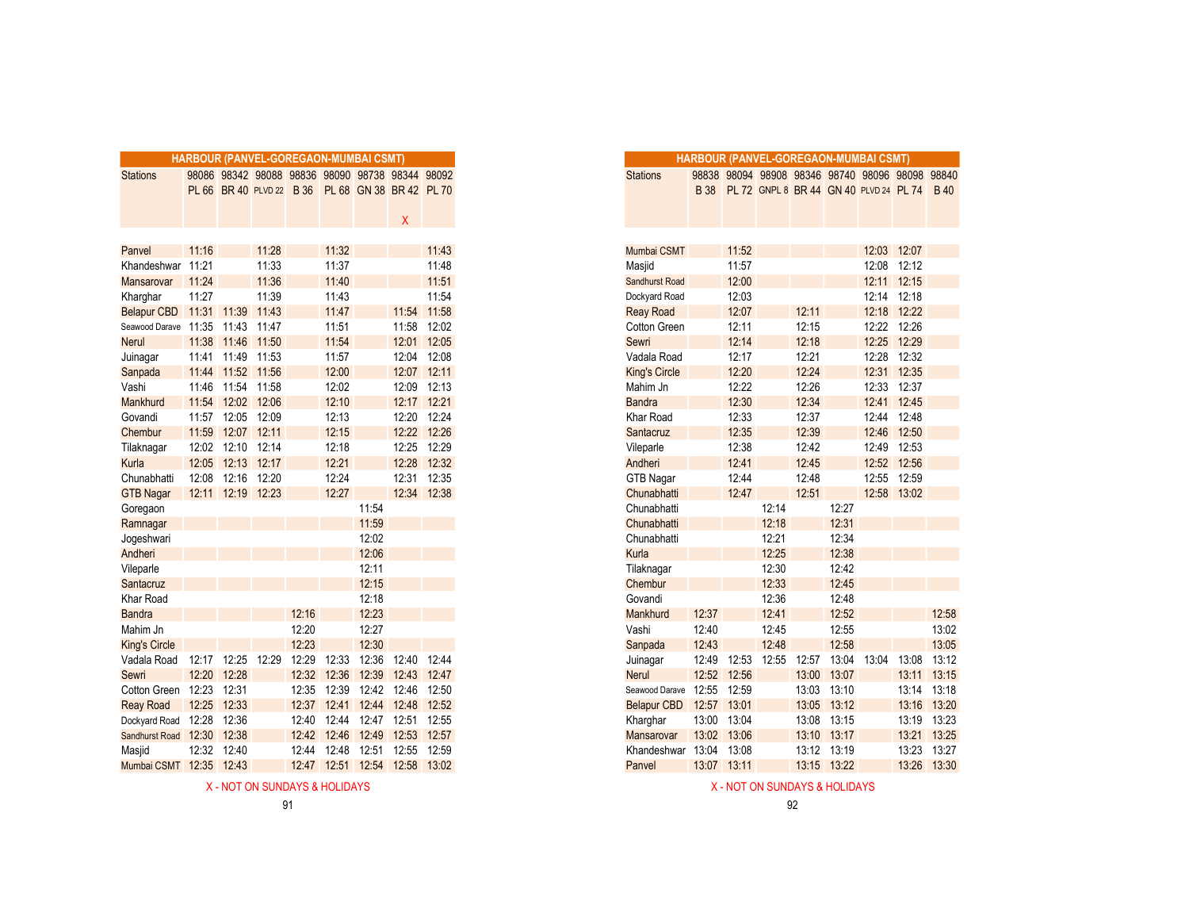|                                  | <b>HARBOUR (PANVEL-GOREGAON-MUMBAI CSMT)</b> |                   |       |       |             |       |                                                                                                     |             |
|----------------------------------|----------------------------------------------|-------------------|-------|-------|-------------|-------|-----------------------------------------------------------------------------------------------------|-------------|
| <b>Stations</b>                  |                                              |                   |       |       |             |       | 98086 98342 98088 98836 98090 98738 98344 98092<br>PL 66 BR 40 PLVD 22 B 36 PL 68 GN 38 BR 42 PL 70 |             |
|                                  |                                              |                   |       |       |             |       |                                                                                                     |             |
|                                  |                                              |                   |       |       |             |       | X                                                                                                   |             |
|                                  |                                              |                   |       |       |             |       |                                                                                                     |             |
| Panvel                           | 11:16                                        |                   | 11:28 |       | 11:32       |       |                                                                                                     | 11:43       |
| Khandeshwar 11:21                |                                              |                   | 11:33 |       | 11:37       |       |                                                                                                     | 11:48       |
| <b>Mansarovar</b>                | 11:24                                        |                   | 11:36 |       | 11:40       |       |                                                                                                     | 11:51       |
| Kharghar                         | 11:27                                        |                   | 11:39 |       | 11:43       |       |                                                                                                     | 11:54       |
| Belapur CBD 11:31 11:39          |                                              |                   | 11:43 |       | 11:47       |       |                                                                                                     | 11:54 11:58 |
| Seawood Darave 11:35 11:43 11:47 |                                              |                   |       |       | 11:51       |       |                                                                                                     | 11:58 12:02 |
| <b>Nerul</b>                     |                                              | 11:38 11:46 11:50 |       |       | 11:54       |       |                                                                                                     | 12:01 12:05 |
| Juinagar                         |                                              | 11:41 11:49 11:53 |       |       | 11:57       |       | 12:04 12:08                                                                                         |             |
| Sanpada                          |                                              | 11:44 11:52 11:56 |       |       | 12:00       |       |                                                                                                     | 12:07 12:11 |
| Vashi                            | 11:46                                        | 11:54             | 11:58 |       | 12:02       |       | 12:09                                                                                               | 12:13       |
| Mankhurd                         | 11:54                                        | 12:02             | 12:06 |       | 12:10       |       | 12:17 12:21                                                                                         |             |
| Govandi                          | 11:57                                        | 12:05 12:09       |       |       | 12:13       |       |                                                                                                     | 12:20 12:24 |
| Chembur                          | 11:59                                        | 12:07 12:11       |       |       | 12:15       |       |                                                                                                     | 12:22 12:26 |
| Tilaknagar                       | 12:02                                        | 12:10 12:14       |       |       | 12:18       |       | 12:25                                                                                               | 12:29       |
| Kurla                            | 12:05                                        | 12:13             | 12:17 |       | 12:21       |       |                                                                                                     | 12:28 12:32 |
| Chunabhatti                      | 12:08                                        | 12:16             | 12:20 |       | 12:24       |       | 12:31                                                                                               | 12:35       |
| <b>GTB Nagar</b>                 |                                              | 12:11 12:19 12:23 |       |       | 12:27       |       |                                                                                                     | 12:34 12:38 |
| Goregaon                         |                                              |                   |       |       |             | 11:54 |                                                                                                     |             |
| Ramnagar                         |                                              |                   |       |       |             | 11:59 |                                                                                                     |             |
| Jogeshwari                       |                                              |                   |       |       |             | 12:02 |                                                                                                     |             |
| Andheri                          |                                              |                   |       |       |             | 12:06 |                                                                                                     |             |
| Vileparle                        |                                              |                   |       |       |             | 12:11 |                                                                                                     |             |
| Santacruz                        |                                              |                   |       |       |             | 12:15 |                                                                                                     |             |
| <b>Khar Road</b>                 |                                              |                   |       |       |             | 12:18 |                                                                                                     |             |
| <b>Bandra</b>                    |                                              |                   |       | 12:16 |             | 12:23 |                                                                                                     |             |
| Mahim Jn                         |                                              |                   |       | 12:20 |             | 12:27 |                                                                                                     |             |
| <b>King's Circle</b>             |                                              |                   |       | 12:23 |             | 12:30 |                                                                                                     |             |
| Vadala Road                      |                                              | 12:17 12:25       | 12:29 | 12:29 | 12:33       | 12:36 | 12:40                                                                                               | 12:44       |
| Sewri                            |                                              | 12:20 12:28       |       | 12:32 | 12:36       | 12:39 | 12:43 12:47                                                                                         |             |
| Cotton Green 12:23               |                                              | 12:31             |       | 12:35 | 12:39       |       | 12:42 12:46 12:50                                                                                   |             |
| <b>Reay Road</b>                 |                                              | 12:25 12:33       |       | 12:37 |             |       | 12:41 12:44 12:48 12:52                                                                             |             |
| Dockyard Road                    | 12:28 12:36                                  |                   |       | 12:40 | 12:44       | 12:47 | 12:51                                                                                               | 12:55       |
| Sandhurst Road 12:30             |                                              | 12:38             |       | 12:42 | 12:46       | 12:49 | 12:53 12:57                                                                                         |             |
| Masjid                           |                                              | 12:32 12:40       |       |       | 12:44 12:48 | 12:51 | 12:55                                                                                               | 12:59       |
| Mumbai CSMT 12:35 12:43          |                                              |                   |       |       |             |       | 12.47 12:51 12:54 12:58 13:02                                                                       |             |

X - NOT ON SUNDAYS & HOLIDAYS ASSOCIATED AND A SUNDAYS ASSOCIATED ASSOCIATED ASSOCIATED AND A SUNDAYS ASSOCIATED AND A SUNDAYS ASSOCIATED AND A SUNDAYS ASSOCIATED AND A SUNDAYS ASSOCIATED AND A SUNDAYS ASSOCIATED AND A SUN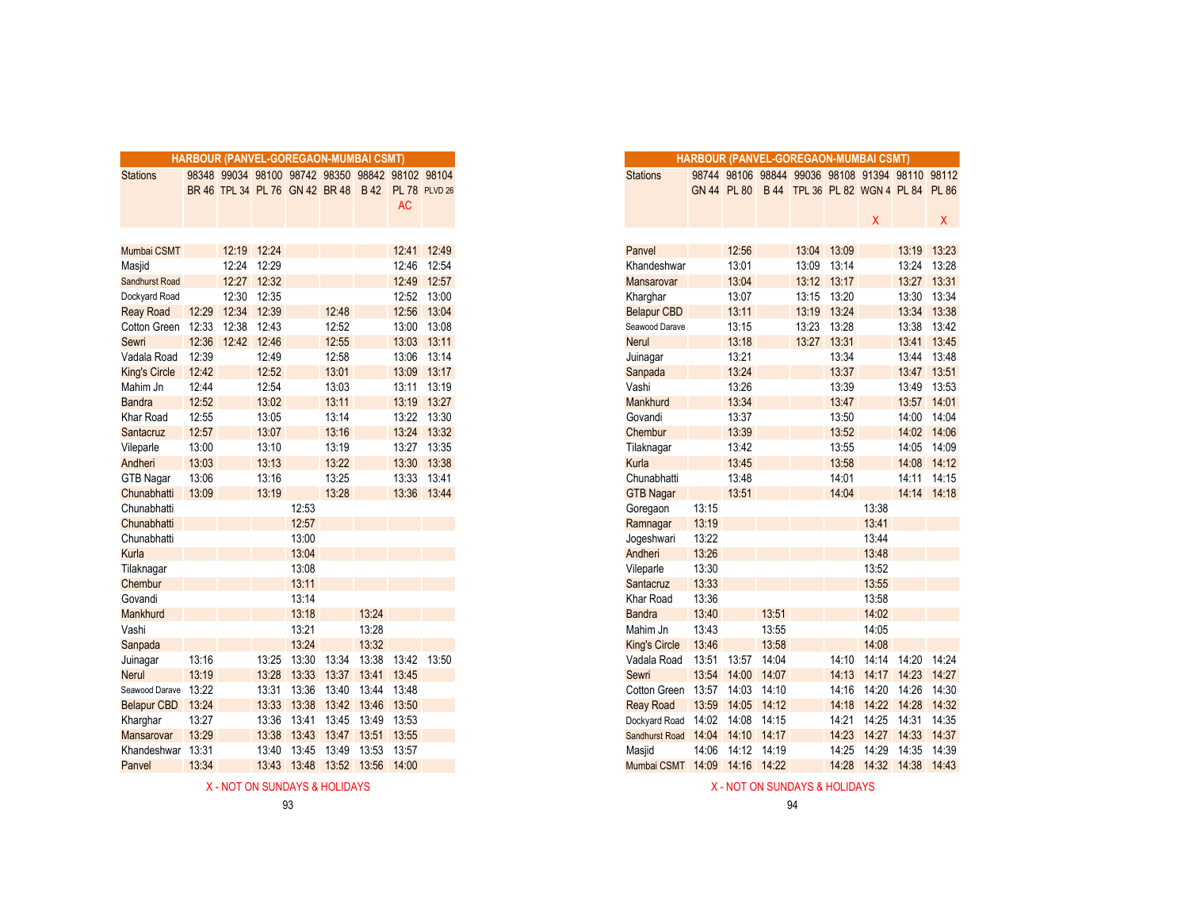|                      |       |             |       | <b>HARBOUR (PANVEL-GOREGAON-MUMBAI CSMT)</b>    |       |       |             |                      |
|----------------------|-------|-------------|-------|-------------------------------------------------|-------|-------|-------------|----------------------|
| <b>Stations</b>      |       |             |       | 98348 99034 98100 98742 98350 98842 98102 98104 |       |       |             |                      |
|                      |       |             |       | BR 46 TPL 34 PL 76 GN 42 BR 48 B 42             |       |       |             | <b>PL 78 PLVD 26</b> |
|                      |       |             |       |                                                 |       |       | <b>AC</b>   |                      |
|                      |       |             |       |                                                 |       |       |             |                      |
|                      |       |             |       |                                                 |       |       |             |                      |
| Mumbai CSMT          |       | 12:19       | 12:24 |                                                 |       |       |             | 12:41 12:49          |
| Masjid               |       | 12:24       | 12:29 |                                                 |       |       | 12:46       | 12:54                |
| Sandhurst Road       |       | 12:27       | 12:32 |                                                 |       |       | 12:49       | 12:57                |
| Dockyard Road        |       | 12:30       | 12:35 |                                                 |       |       |             | 12:52 13:00          |
| <b>Reay Road</b>     |       | 12:29 12:34 | 12:39 |                                                 | 12:48 |       |             | 12:56 13:04          |
| Cotton Green 12:33   |       | 12:38       | 12:43 |                                                 | 12:52 |       |             | 13:00 13:08          |
| Sewri                | 12:36 | 12:42 12:46 |       |                                                 | 12:55 |       |             | 13:03 13:11          |
| Vadala Road          | 12:39 |             | 12:49 |                                                 | 12:58 |       |             | 13:06 13:14          |
| <b>King's Circle</b> | 12:42 |             | 12:52 |                                                 | 13:01 |       |             | 13:09 13:17          |
| Mahim Jn             | 12:44 |             | 12:54 |                                                 | 13:03 |       | 13:11       | 13:19                |
| <b>Bandra</b>        | 12:52 |             | 13:02 |                                                 | 13:11 |       |             | 13:19 13:27          |
| Khar Road            | 12:55 |             | 13:05 |                                                 | 13:14 |       |             | 13:22 13:30          |
| Santacruz            | 12:57 |             | 13:07 |                                                 | 13:16 |       |             | 13:24 13:32          |
| Vileparle            | 13:00 |             | 13:10 |                                                 | 13:19 |       |             | 13:27 13:35          |
| Andheri              | 13:03 |             | 13:13 |                                                 | 13:22 |       | 13:30       | 13:38                |
| <b>GTB Nagar</b>     | 13:06 |             | 13:16 |                                                 | 13:25 |       |             | 13:33 13:41          |
| Chunabhatti          | 13:09 |             | 13:19 |                                                 | 13:28 |       |             | 13:36 13:44          |
| Chunabhatti          |       |             |       | 12:53                                           |       |       |             |                      |
| Chunabhatti          |       |             |       | 12:57                                           |       |       |             |                      |
| Chunabhatti          |       |             |       | 13:00                                           |       |       |             |                      |
| Kurla                |       |             |       | 13:04                                           |       |       |             |                      |
| Tilaknagar           |       |             |       | 13:08                                           |       |       |             |                      |
| Chembur              |       |             |       | 13:11                                           |       |       |             |                      |
| Govandi              |       |             |       | 13:14                                           |       |       |             |                      |
| Mankhurd             |       |             |       | 13:18                                           |       | 13:24 |             |                      |
| Vashi                |       |             |       | 13:21                                           |       | 13:28 |             |                      |
| Sanpada              |       |             |       | 13:24                                           |       | 13:32 |             |                      |
| Juinagar             | 13:16 |             | 13:25 | 13:30                                           | 13:34 | 13:38 |             | 13:42 13:50          |
| <b>Nerul</b>         | 13:19 |             | 13:28 | 13:33                                           | 13:37 | 13:41 | 13:45       |                      |
| Seawood Darave 13:22 |       |             | 13:31 | 13:36                                           | 13:40 | 13:44 | 13:48       |                      |
| Belapur CBD 13:24    |       |             | 13:33 | 13:38                                           | 13:42 | 13:46 | 13:50       |                      |
| Kharghar             | 13:27 |             | 13:36 | 13:41                                           | 13:45 | 13:49 | 13:53       |                      |
| <b>Mansarovar</b>    | 13:29 |             | 13:38 | 13:43                                           | 13:47 |       | 13:51 13:55 |                      |
| Khandeshwar 13:31    |       |             | 13:40 | 13:45                                           | 13:49 | 13:53 | 13:57       |                      |
| Panvel               | 13:34 |             | 13:43 | 13:48                                           | 13:52 | 13:56 | 14:00       |                      |
|                      |       |             |       |                                                 |       |       |             |                      |

| X - NOT ON SUNDAYS & HOLIDAYS | X - NOT ON SUNDAYS & HOLIDAYS |
|-------------------------------|-------------------------------|
|-------------------------------|-------------------------------|

|                       | HARBOUR (PANVEL-GOREGAON-MUMBAI CSMT) |       |       |                                                   |                         |             |             |             |
|-----------------------|---------------------------------------|-------|-------|---------------------------------------------------|-------------------------|-------------|-------------|-------------|
|                       |                                       |       |       |                                                   |                         |             |             |             |
| <b>Stations</b>       |                                       |       |       | 98348 99034 98100 98742 98350 98842 98102 98104   |                         |             |             |             |
|                       |                                       |       |       | BR 46 TPL 34 PL 76 GN 42 BR 48 B 42 PL 78 PLVD 26 |                         |             | <b>AC</b>   |             |
|                       |                                       |       |       |                                                   |                         |             |             |             |
|                       |                                       |       |       |                                                   |                         |             |             |             |
| Mumbai CSMT           |                                       | 12:19 | 12:24 |                                                   |                         |             | 12:41       | 12:49       |
| Masjid                |                                       | 12:24 | 12:29 |                                                   |                         |             | 12:46       | 12:54       |
| <b>Sandhurst Road</b> |                                       | 12:27 | 12:32 |                                                   |                         |             |             | 12:49 12:57 |
| Dockyard Road         |                                       | 12:30 | 12:35 |                                                   |                         |             |             | 12:52 13:00 |
| <b>Reay Road</b>      | 12:29                                 | 12:34 | 12:39 |                                                   | 12:48                   |             |             | 12:56 13:04 |
| Cotton Green 12:33    |                                       | 12:38 | 12:43 |                                                   | 12:52                   |             | 13:00       | 13:08       |
| Sewri                 | 12:36                                 | 12:42 | 12:46 |                                                   | 12:55                   |             | 13:03       | 13:11       |
| Vadala Road           | 12:39                                 |       | 12:49 |                                                   | 12:58                   |             | 13:06       | 13:14       |
| <b>King's Circle</b>  | 12:42                                 |       | 12:52 |                                                   | 13:01                   |             |             | 13:09 13:17 |
| Mahim Jn              | 12:44                                 |       | 12:54 |                                                   | 13:03                   |             |             | 13:11 13:19 |
| <b>Bandra</b>         | 12:52                                 |       | 13:02 |                                                   | 13:11                   |             |             | 13:19 13:27 |
| Khar Road             | 12:55                                 |       | 13:05 |                                                   | 13:14                   |             |             | 13:22 13:30 |
| Santacruz             | 12:57                                 |       | 13:07 |                                                   | 13:16                   |             |             | 13:24 13:32 |
| Vileparle             | 13:00                                 |       | 13:10 |                                                   | 13:19                   |             |             | 13:27 13:35 |
| Andheri               | 13:03                                 |       | 13:13 |                                                   | 13:22                   |             |             | 13:30 13:38 |
| <b>GTB Nagar</b>      | 13:06                                 |       | 13:16 |                                                   | 13:25                   |             |             | 13:33 13:41 |
| Chunabhatti           | 13:09                                 |       | 13:19 |                                                   | 13:28                   |             | 13:36       | 13:44       |
| Chunabhatti           |                                       |       |       | 12:53                                             |                         |             |             |             |
| Chunabhatti           |                                       |       |       | 12:57                                             |                         |             |             |             |
| Chunabhatti           |                                       |       |       | 13:00                                             |                         |             |             |             |
| Kurla                 |                                       |       |       | 13:04                                             |                         |             |             |             |
| Tilaknagar            |                                       |       |       | 13:08                                             |                         |             |             |             |
| Chembur               |                                       |       |       | 13:11                                             |                         |             |             |             |
| Govandi               |                                       |       |       | 13:14                                             |                         |             |             |             |
| Mankhurd              |                                       |       |       | 13:18                                             |                         | 13:24       |             |             |
| Vashi                 |                                       |       |       | 13:21                                             |                         | 13:28       |             |             |
| Sanpada               |                                       |       |       | 13:24                                             |                         | 13:32       |             |             |
| Juinagar              | 13:16                                 |       | 13:25 | 13:30                                             | 13:34                   | 13:38       | 13:42 13:50 |             |
| Nerul                 | 13:19                                 |       | 13:28 | 13:33                                             | 13:37                   | 13:41 13:45 |             |             |
| Seawood Darave        | 13:22                                 |       | 13:31 | 13:36                                             | 13:40                   | 13:44       | 13:48       |             |
| <b>Belapur CBD</b>    | 13:24                                 |       | 13:33 |                                                   | 13:38 13:42 13:46 13:50 |             |             |             |
| Kharghar              | 13:27                                 |       | 13:36 | 13:41                                             | 13:45                   | 13:49       | 13:53       |             |
| <b>Mansarovar</b>     | 13:29                                 |       | 13:38 |                                                   | 13:43 13:47             | 13:51 13:55 |             |             |
| Khandeshwar           | 13:31                                 |       | 13:40 | 13:45                                             | 13:49                   | 13:53 13:57 |             |             |
| Panvel                | 13:34                                 |       |       | 13:43 13:48 13:52 13:56 14:00                     |                         |             |             |             |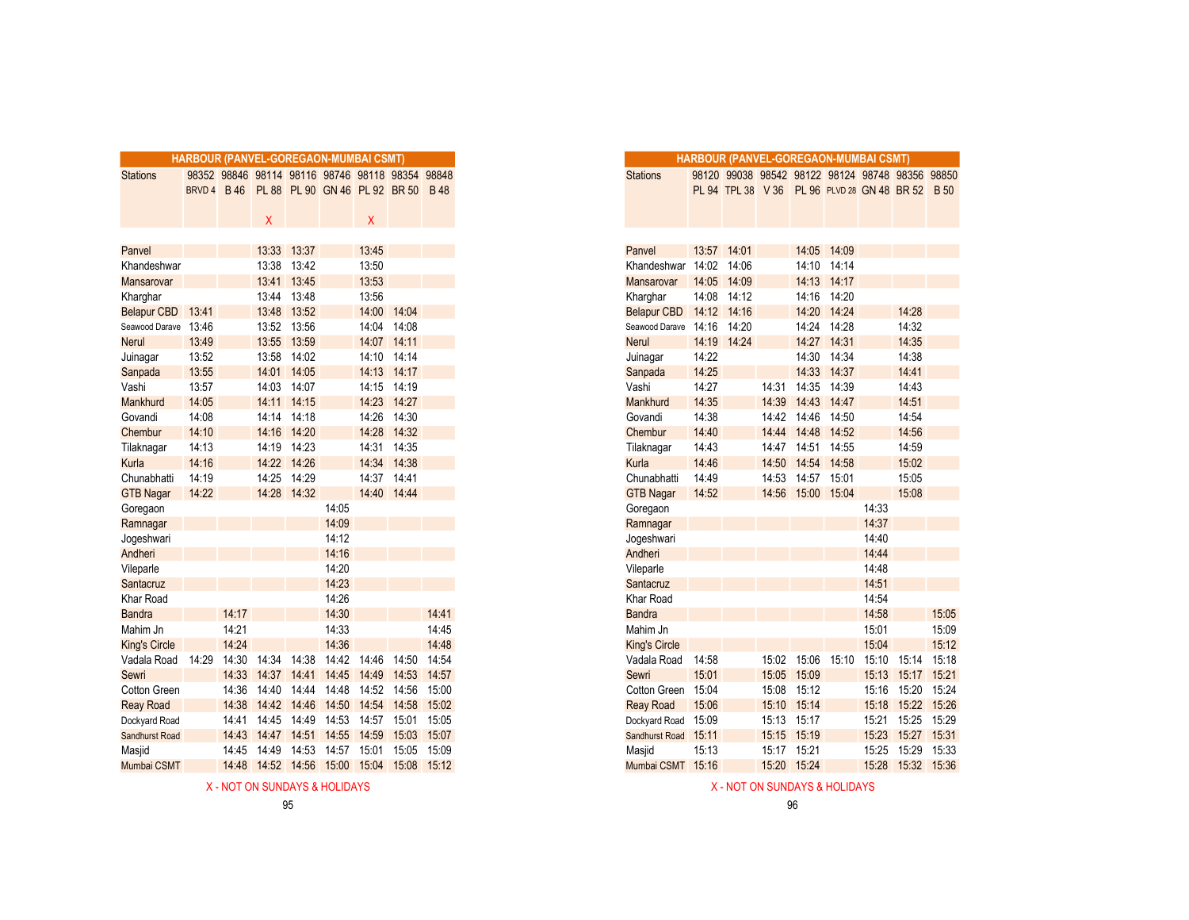|                       |              |             |       |             | <b>HARBOUR (PANVEL-GOREGAON-MUMBAI CSMT)</b>    |             |             |             |
|-----------------------|--------------|-------------|-------|-------------|-------------------------------------------------|-------------|-------------|-------------|
| <b>Stations</b>       |              |             |       |             | 98352 98846 98114 98116 98746 98118 98354 98848 |             |             |             |
|                       | <b>BRVD4</b> | <b>B</b> 46 |       |             | PL 88 PL 90 GN 46 PL 92 BR 50 B 48              |             |             |             |
|                       |              |             |       |             |                                                 |             |             |             |
|                       |              |             | X     |             |                                                 | X           |             |             |
|                       |              |             |       |             |                                                 |             |             |             |
| Panvel                |              |             | 13:33 | 13:37       |                                                 | 13:45       |             |             |
| Khandeshwar           |              |             |       | 13:38 13:42 |                                                 | 13:50       |             |             |
| Mansarovar            |              |             | 13:41 | 13:45       |                                                 | 13:53       |             |             |
| Kharghar              |              |             | 13:44 | 13:48       |                                                 | 13:56       |             |             |
| Belapur CBD 13:41     |              |             | 13:48 | 13:52       |                                                 | 14:00       | 14:04       |             |
| Seawood Darave 13:46  |              |             |       | 13:52 13:56 |                                                 | 14:04       | 14:08       |             |
| <b>Nerul</b>          | 13:49        |             | 13:55 | 13:59       |                                                 | 14:07       | 14:11       |             |
| Juinagar              | 13:52        |             | 13:58 | 14:02       |                                                 | 14:10       | 14:14       |             |
| Sanpada               | 13:55        |             | 14:01 | 14:05       |                                                 | 14:13       | 14:17       |             |
| Vashi                 | 13:57        |             | 14:03 | 14:07       |                                                 | 14:15       | 14:19       |             |
| Mankhurd              | 14:05        |             | 14:11 | 14:15       |                                                 | 14:23       | 14:27       |             |
| Govandi               | 14:08        |             | 14:14 | 14:18       |                                                 | 14:26       | 14:30       |             |
| Chembur               | 14:10        |             | 14:16 | 14:20       |                                                 | 14:28       | 14:32       |             |
| Tilaknagar            | 14:13        |             | 14:19 | 14:23       |                                                 | 14:31       | 14:35       |             |
| Kurla                 | 14:16        |             | 14:22 | 14:26       |                                                 | 14:34       | 14:38       |             |
| Chunabhatti           | 14:19        |             | 14:25 | 14:29       |                                                 | 14:37       | 14:41       |             |
| <b>GTB Nagar</b>      | 14:22        |             |       | 14:28 14:32 |                                                 |             | 14:40 14:44 |             |
| Goregaon              |              |             |       |             | 14:05                                           |             |             |             |
| Ramnagar              |              |             |       |             | 14:09                                           |             |             |             |
| Jogeshwari            |              |             |       |             | 14:12                                           |             |             |             |
| Andheri               |              |             |       |             | 14:16                                           |             |             |             |
| Vileparle             |              |             |       |             | 14:20                                           |             |             |             |
| Santacruz             |              |             |       |             | 14:23                                           |             |             |             |
| Khar Road             |              |             |       |             | 14:26                                           |             |             |             |
| <b>Bandra</b>         |              | 14:17       |       |             | 14:30                                           |             |             | 14:41       |
| Mahim Jn              |              | 14:21       |       |             | 14:33                                           |             |             | 14:45       |
| <b>King's Circle</b>  |              | 14:24       |       |             | 14:36                                           |             |             | 14:48       |
| Vadala Road 14:29     |              | 14:30       | 14:34 | 14:38       | 14:42                                           | 14:46       | 14:50       | 14:54       |
| Sewri                 |              | 14:33       | 14:37 | 14:41       | 14:45                                           | 14:49       | 14:53       | 14:57       |
| Cotton Green          |              | 14:36       | 14:40 | 14:44       | 14:48                                           | 14:52       | 14:56       | 15:00       |
| <b>Reay Road</b>      |              | 14:38       | 14:42 | 14:46       | 14:50                                           | 14:54       | 14:58       | 15:02       |
| Dockyard Road         |              | 14:41       | 14:45 | 14:49       | 14:53                                           | 14:57       | 15:01       | 15:05       |
| <b>Sandhurst Road</b> |              | 14:43       | 14:47 | 14:51       | 14:55                                           | 14:59       | 15:03       | 15:07       |
| Masjid                |              | 14:45       | 14:49 | 14:53       |                                                 | 14:57 15:01 | 15:05       | 15:09       |
| Mumbai CSMT           |              | 14:48       |       | 14:52 14:56 | 15:00                                           | 15:04       |             | 15:08 15:12 |
|                       |              |             |       |             |                                                 |             |             |             |

|                |       |                | RBOUR (PANVEL-GOREGAON-MUMBAI CSMT) |             |       |                                                 |             |
|----------------|-------|----------------|-------------------------------------|-------------|-------|-------------------------------------------------|-------------|
|                |       |                |                                     |             |       | 98352 98846 98114 98116 98746 98118 98354 98848 |             |
| BRVD 4 B 46    |       |                |                                     |             |       | PL 88 PL 90 GN 46 PL 92 BR 50 B 48              |             |
|                |       | X              |                                     |             | Χ     |                                                 |             |
|                |       |                |                                     |             |       |                                                 |             |
|                |       |                | 13:33 13:37                         |             | 13:45 |                                                 |             |
|                |       |                | 13:38 13:42                         |             | 13:50 |                                                 |             |
|                |       | 13:41          | 13:45                               |             | 13:53 |                                                 |             |
|                |       | 13:44          | 13:48                               |             | 13:56 |                                                 |             |
| 13:41          |       | 13:48          | 13:52                               |             | 14:00 | 14:04                                           |             |
| 13:46          |       | 13:52          | 13:56                               |             | 14:04 | 14:08                                           |             |
| 13:49          |       | 13:55          | 13:59                               |             | 14:07 | 14:11                                           |             |
| 13:52          |       | 13:58          | 14:02                               |             | 14:10 | 14:14                                           |             |
| 13:55          |       | 14:01          | 14:05                               |             |       | 14:13 14:17                                     |             |
| 13:57          |       | 14:03          | 14:07                               |             | 14:15 | 14:19                                           |             |
| 14:05          |       | 14:11          | 14:15                               |             | 14:23 | 14:27                                           |             |
| 14:08          |       |                | 14:14 14:18                         |             | 14:26 | 14:30                                           |             |
| 14:10          |       | 14:16          | 14:20                               |             | 14:28 | 14:32                                           |             |
| 14:13          |       | 14:19          | 14:23                               |             | 14:31 | 14:35                                           |             |
| 14:16          |       | 14:22<br>14:25 | 14:26                               |             | 14:34 | 14:38<br>14:41                                  |             |
| 14:19<br>14:22 |       |                | 14:29<br>14:28 14:32                |             | 14:37 | 14:40 14:44                                     |             |
|                |       |                |                                     | 14:05       |       |                                                 |             |
|                |       |                |                                     | 14:09       |       |                                                 |             |
|                |       |                |                                     | 14:12       |       |                                                 |             |
|                |       |                |                                     | 14:16       |       |                                                 |             |
|                |       |                |                                     | 14:20       |       |                                                 |             |
|                |       |                |                                     | 14:23       |       |                                                 |             |
|                |       |                |                                     | 14:26       |       |                                                 |             |
|                | 14:17 |                |                                     | 14:30       |       |                                                 | 14:41       |
|                | 14:21 |                |                                     | 14:33       |       |                                                 | 14:45       |
|                | 14:24 |                |                                     | 14:36       |       |                                                 | 14:48       |
| 14:29          | 14:30 | 14:34          | 14:38                               | 14:42       | 14:46 | 14:50                                           | 14:54       |
|                | 14:33 | 14:37          | 14:41                               | 14:45       | 14:49 | 14:53                                           | 14:57       |
|                | 14:36 | 14:40          | 14:44                               | 14:48       | 14:52 | 14:56                                           | 15:00       |
|                | 14:38 | 14:42          | 14:46                               | 14:50       | 14:54 | 14:58                                           | 15:02       |
|                | 14:41 | 14:45          | 14:49                               | 14:53       | 14:57 | 15:01 15:05                                     |             |
|                | 14:43 | 14:47          |                                     | 14:51 14:55 | 14:59 |                                                 | 15:03 15:07 |
|                | 14:45 | 14:49          | 14:53                               | 14:57       | 15:01 | 15:05                                           | 15:09       |
|                | 14:48 | 14:52 14:56    |                                     | 15:00       | 15:04 | 15:08 15:12                                     |             |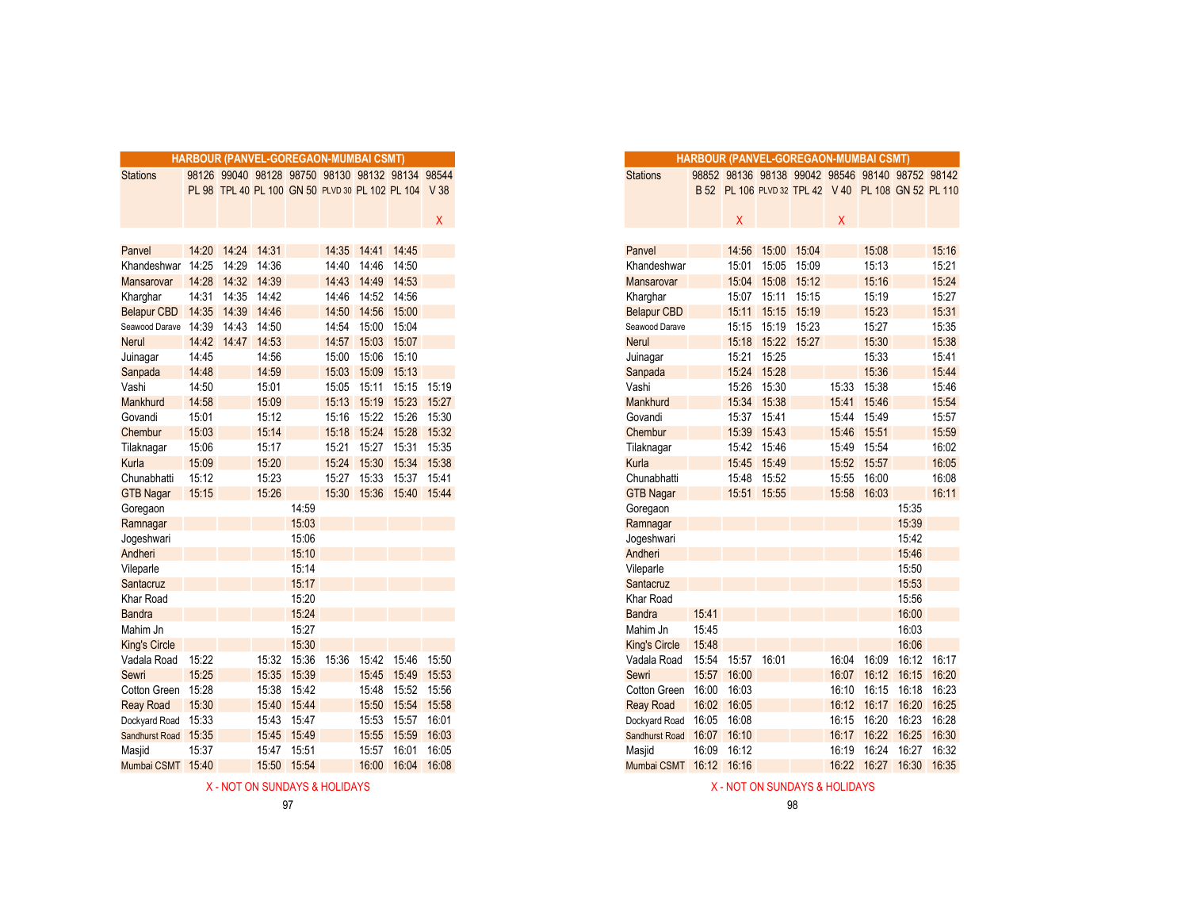|                         |       |             |       |             |       | <b>HARBOUR (PANVEL-GOREGAON-MUMBAI CSMT)</b> |                                                      |             |
|-------------------------|-------|-------------|-------|-------------|-------|----------------------------------------------|------------------------------------------------------|-------------|
| <b>Stations</b>         |       |             |       |             |       |                                              | 98126 99040 98128 98750 98130 98132 98134 98544      |             |
|                         |       |             |       |             |       |                                              | PL 98 TPL 40 PL 100 GN 50 PLVD 30 PL 102 PL 104 V 38 |             |
|                         |       |             |       |             |       |                                              |                                                      |             |
|                         |       |             |       |             |       |                                              |                                                      | X.          |
|                         |       |             |       |             |       |                                              |                                                      |             |
| Panvel                  | 14:20 | 14:24       | 14:31 |             |       | 14:35 14:41                                  | 14:45                                                |             |
| Khandeshwar 14:25       |       | 14:29       | 14:36 |             | 14:40 | 14:46                                        | 14:50                                                |             |
| <b>Mansarovar</b>       | 14:28 | 14:32       | 14:39 |             | 14:43 | 14:49                                        | 14:53                                                |             |
| Kharghar                | 14:31 | 14:35       | 14:42 |             | 14:46 | 14:52                                        | 14:56                                                |             |
| Belapur CBD 14:35 14:39 |       |             | 14:46 |             | 14:50 | 14:56                                        | 15:00                                                |             |
| Seawood Darave 14:39    |       | 14:43       | 14:50 |             | 14:54 | 15:00 15:04                                  |                                                      |             |
| <b>Nerul</b>            |       | 14:42 14:47 | 14:53 |             | 14:57 | 15:03                                        | 15:07                                                |             |
| Juinagar                | 14:45 |             | 14:56 |             | 15:00 | 15:06                                        | 15:10                                                |             |
| Sanpada                 | 14:48 |             | 14:59 |             | 15:03 | 15:09                                        | 15:13                                                |             |
| Vashi                   | 14:50 |             | 15:01 |             | 15:05 | 15:11                                        | 15:15                                                | 15:19       |
| Mankhurd                | 14:58 |             | 15:09 |             | 15:13 |                                              | 15:19 15:23 15:27                                    |             |
| Govandi                 | 15:01 |             | 15:12 |             | 15:16 | 15:22                                        | 15:26 15:30                                          |             |
| Chembur                 | 15:03 |             | 15:14 |             | 15:18 | 15:24                                        | 15:28                                                | 15:32       |
| Tilaknagar              | 15:06 |             | 15:17 |             | 15:21 | 15:27                                        | 15:31                                                | 15:35       |
| Kurla                   | 15:09 |             | 15:20 |             | 15:24 | 15:30                                        | 15:34                                                | 15:38       |
| Chunabhatti             | 15:12 |             | 15:23 |             | 15:27 | 15:33                                        |                                                      | 15:37 15:41 |
| <b>GTB Nagar</b>        | 15:15 |             | 15:26 |             |       |                                              | 15:30 15:36 15:40 15:44                              |             |
| Goregaon                |       |             |       | 14:59       |       |                                              |                                                      |             |
| Ramnagar                |       |             |       | 15:03       |       |                                              |                                                      |             |
| Jogeshwari              |       |             |       | 15:06       |       |                                              |                                                      |             |
| Andheri                 |       |             |       | 15:10       |       |                                              |                                                      |             |
| Vileparle               |       |             |       | 15:14       |       |                                              |                                                      |             |
| Santacruz               |       |             |       | 15:17       |       |                                              |                                                      |             |
| Khar Road               |       |             |       | 15:20       |       |                                              |                                                      |             |
| <b>Bandra</b>           |       |             |       | 15:24       |       |                                              |                                                      |             |
| Mahim Jn                |       |             |       | 15:27       |       |                                              |                                                      |             |
| <b>King's Circle</b>    |       |             |       | 15:30       |       |                                              |                                                      |             |
| Vadala Road             | 15:22 |             |       | 15:32 15:36 | 15:36 | 15:42                                        | 15:46                                                | 15:50       |
| Sewri                   | 15:25 |             | 15:35 | 15:39       |       | 15:45                                        | 15:49                                                | 15:53       |
| Cotton Green            | 15:28 |             | 15:38 | 15:42       |       | 15:48                                        | 15:52                                                | 15:56       |
| <b>Reay Road</b>        | 15:30 |             | 15:40 | 15:44       |       | 15:50                                        | 15:54                                                | 15:58       |
| Dockyard Road           | 15:33 |             | 15:43 | 15:47       |       | 15:53                                        | 15:57                                                | 16:01       |
| Sandhurst Road 15:35    |       |             | 15:45 | 15:49       |       | 15:55                                        | 15:59                                                | 16:03       |
| Masjid                  | 15:37 |             | 15:47 | 15:51       |       | 15:57                                        | 16:01                                                | 16:05       |
| Mumbai CSMT 15:40       |       |             | 15:50 | 15:54       |       | 16:00                                        | 16:04                                                | 16:08       |

|                      |       |       |       |       | HARBOUR (PANVEL-GOREGAON-MUMBAI CSMT) |       |                                                      |       |
|----------------------|-------|-------|-------|-------|---------------------------------------|-------|------------------------------------------------------|-------|
| <b>Stations</b>      |       |       |       |       |                                       |       | 98126 99040 98128 98750 98130 98132 98134 98544      |       |
|                      |       |       |       |       |                                       |       | PL 98 TPL 40 PL 100 GN 50 PLVD 30 PL 102 PL 104 V 38 |       |
|                      |       |       |       |       |                                       |       |                                                      |       |
|                      |       |       |       |       |                                       |       |                                                      | X.    |
| Panvel               | 14:20 | 14:24 | 14:31 |       | 14:35                                 | 14:41 | 14:45                                                |       |
| Khandeshwar          | 14:25 | 14:29 | 14:36 |       | 14:40                                 | 14:46 | 14:50                                                |       |
| Mansarovar           | 14:28 | 14:32 | 14:39 |       | 14:43                                 | 14:49 | 14:53                                                |       |
| Kharghar             | 14:31 | 14:35 | 14:42 |       | 14:46                                 | 14:52 | 14:56                                                |       |
| <b>Belapur CBD</b>   | 14:35 | 14:39 | 14:46 |       | 14:50                                 | 14:56 | 15:00                                                |       |
| Seawood Darave       | 14:39 | 14:43 | 14:50 |       | 14:54                                 | 15:00 | 15:04                                                |       |
| Nerul                | 14:42 | 14:47 | 14:53 |       | 14:57                                 | 15:03 | 15:07                                                |       |
| Juinagar             | 14:45 |       | 14:56 |       | 15:00                                 | 15:06 | 15:10                                                |       |
| Sanpada              | 14:48 |       | 14:59 |       | 15:03                                 | 15:09 | 15:13                                                |       |
| Vashi                | 14:50 |       | 15:01 |       | 15:05                                 | 15:11 | 15:15                                                | 15:19 |
| Mankhurd             | 14:58 |       | 15:09 |       | 15:13                                 | 15:19 | 15:23                                                | 15:27 |
| Govandi              | 15:01 |       | 15:12 |       | 15:16                                 |       | 15:22 15:26                                          | 15:30 |
| Chembur              | 15:03 |       | 15:14 |       | 15:18                                 |       | 15:24 15:28                                          | 15:32 |
| Tilaknagar           | 15:06 |       | 15:17 |       | 15:21                                 | 15:27 | 15:31                                                | 15:35 |
| Kurla                | 15:09 |       | 15:20 |       | 15:24                                 | 15:30 | 15:34                                                | 15:38 |
| Chunabhatti          | 15:12 |       | 15:23 |       | 15:27                                 | 15:33 | 15:37                                                | 15:41 |
| <b>GTB Nagar</b>     | 15:15 |       | 15:26 |       |                                       |       | 15:30  15:36  15:40  15:44                           |       |
| Goregaon             |       |       |       | 14:59 |                                       |       |                                                      |       |
| Ramnagar             |       |       |       | 15:03 |                                       |       |                                                      |       |
| Jogeshwari           |       |       |       | 15:06 |                                       |       |                                                      |       |
| Andheri              |       |       |       | 15:10 |                                       |       |                                                      |       |
| Vileparle            |       |       |       | 15:14 |                                       |       |                                                      |       |
| Santacruz            |       |       |       | 15:17 |                                       |       |                                                      |       |
| Khar Road            |       |       |       | 15:20 |                                       |       |                                                      |       |
| <b>Bandra</b>        |       |       |       | 15:24 |                                       |       |                                                      |       |
| Mahim Jn             |       |       |       | 15:27 |                                       |       |                                                      |       |
| <b>King's Circle</b> |       |       |       | 15:30 |                                       |       |                                                      |       |
| Vadala Road          | 15:22 |       | 15:32 | 15:36 | 15:36                                 | 15:42 | 15:46                                                | 15:50 |
| <b>Sewri</b>         | 15:25 |       | 15:35 | 15:39 |                                       | 15:45 | 15:49                                                | 15:53 |
| Cotton Green         | 15:28 |       | 15:38 | 15:42 |                                       | 15:48 | 15:52                                                | 15:56 |
| <b>Reay Road</b>     | 15:30 |       | 15:40 | 15:44 |                                       | 15:50 | 15:54 15:58                                          |       |
| Dockyard Road        | 15:33 |       | 15:43 | 15:47 |                                       |       | 15:53 15:57 16:01                                    |       |
| Sandhurst Road 15:35 |       |       | 15:45 | 15:49 |                                       | 15:55 | 15:59                                                | 16:03 |
| Masjid               | 15:37 |       | 15:47 | 15:51 |                                       | 15:57 | 16:01                                                | 16:05 |
| Mumbai CSMT 15:40    |       |       | 15:50 | 15:54 |                                       | 16:00 | 16:04 16:08                                          |       |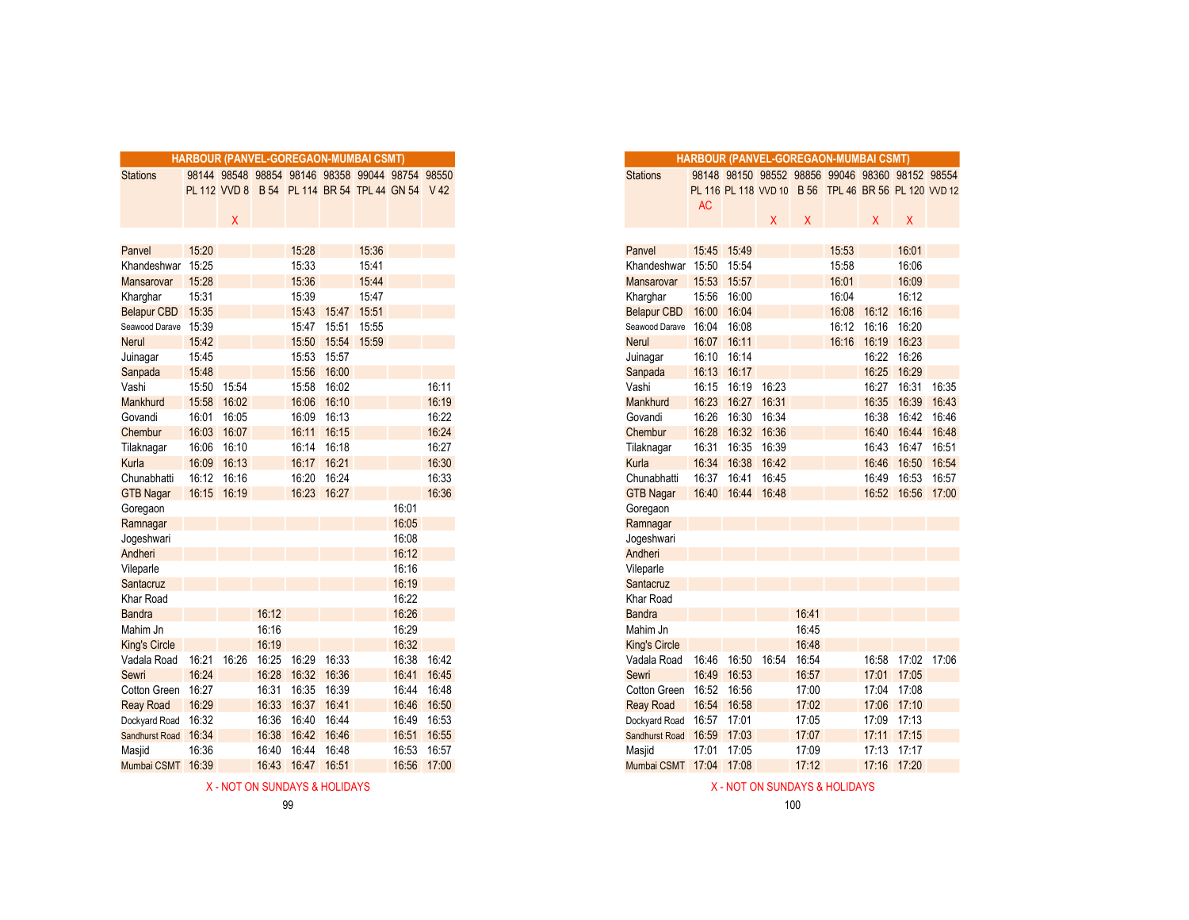|                      |       |       |       |       | <b>HARBOUR (PANVEL-GOREGAON-MUMBAI CSMT)</b> |       |                                                  |             |
|----------------------|-------|-------|-------|-------|----------------------------------------------|-------|--------------------------------------------------|-------------|
| <b>Stations</b>      |       |       |       |       |                                              |       | 98144 98548 98854 98146 98358 99044 98754 98550  |             |
|                      |       |       |       |       |                                              |       | PL 112 VVD 8 B 54 PL 114 BR 54 TPL 44 GN 54 V 42 |             |
|                      |       |       |       |       |                                              |       |                                                  |             |
|                      |       | X     |       |       |                                              |       |                                                  |             |
|                      |       |       |       |       |                                              |       |                                                  |             |
| Panvel               | 15:20 |       |       | 15:28 |                                              | 15:36 |                                                  |             |
| Khandeshwar          | 15:25 |       |       | 15:33 |                                              | 15:41 |                                                  |             |
| Mansarovar           | 15:28 |       |       | 15:36 |                                              | 15:44 |                                                  |             |
| Kharghar             | 15:31 |       |       | 15:39 |                                              | 15:47 |                                                  |             |
| <b>Belapur CBD</b>   | 15:35 |       |       | 15:43 | 15:47                                        | 15:51 |                                                  |             |
| Seawood Darave       | 15:39 |       |       | 15:47 | 15:51                                        | 15:55 |                                                  |             |
| <b>Nerul</b>         | 15:42 |       |       | 15:50 | 15:54                                        | 15:59 |                                                  |             |
| Juinagar             | 15:45 |       |       | 15:53 | 15:57                                        |       |                                                  |             |
| Sanpada              | 15:48 |       |       | 15:56 | 16:00                                        |       |                                                  |             |
| Vashi                | 15:50 | 15:54 |       | 15:58 | 16:02                                        |       |                                                  | 16:11       |
| Mankhurd             | 15:58 | 16:02 |       | 16:06 | 16:10                                        |       |                                                  | 16:19       |
| Govandi              | 16:01 | 16:05 |       | 16:09 | 16:13                                        |       |                                                  | 16:22       |
| Chembur              | 16:03 | 16:07 |       | 16:11 | 16:15                                        |       |                                                  | 16:24       |
| Tilaknagar           | 16:06 | 16:10 |       | 16:14 | 16:18                                        |       |                                                  | 16:27       |
| Kurla                | 16:09 | 16:13 |       | 16:17 | 16:21                                        |       |                                                  | 16:30       |
| Chunabhatti          | 16:12 | 16:16 |       | 16:20 | 16:24                                        |       |                                                  | 16:33       |
| <b>GTB Nagar</b>     | 16:15 | 16:19 |       | 16:23 | 16:27                                        |       |                                                  | 16:36       |
| Goregaon             |       |       |       |       |                                              |       | 16:01                                            |             |
| Ramnagar             |       |       |       |       |                                              |       | 16:05                                            |             |
| Jogeshwari           |       |       |       |       |                                              |       | 16:08                                            |             |
| Andheri              |       |       |       |       |                                              |       | 16:12                                            |             |
| Vileparle            |       |       |       |       |                                              |       | 16:16                                            |             |
| Santacruz            |       |       |       |       |                                              |       | 16:19                                            |             |
| <b>Khar Road</b>     |       |       |       |       |                                              |       | 16:22                                            |             |
| <b>Bandra</b>        |       |       | 16:12 |       |                                              |       | 16:26                                            |             |
| Mahim Jn             |       |       | 16:16 |       |                                              |       | 16:29                                            |             |
| <b>King's Circle</b> |       |       | 16:19 |       |                                              |       | 16:32                                            |             |
| Vadala Road          | 16:21 | 16:26 | 16:25 | 16:29 | 16:33                                        |       | 16:38                                            | 16:42       |
| Sewri                | 16:24 |       | 16:28 | 16:32 | 16:36                                        |       | 16:41                                            | 16:45       |
| Cotton Green         | 16:27 |       | 16:31 | 16:35 | 16:39                                        |       | 16:44                                            | 16:48       |
| <b>Reay Road</b>     | 16:29 |       | 16:33 | 16:37 | 16:41                                        |       | 16:46                                            | 16:50       |
| Dockyard Road        | 16:32 |       | 16:36 | 16:40 | 16:44                                        |       | 16:49                                            | 16:53       |
| Sandhurst Road       | 16:34 |       | 16:38 | 16:42 | 16:46                                        |       | 16:51                                            | 16:55       |
| Masjid               | 16:36 |       | 16:40 | 16:44 | 16:48                                        |       | 16:53                                            | 16:57       |
| Mumbai CSMT 16:39    |       |       | 16:43 |       | 16:47 16:51                                  |       |                                                  | 16:56 17:00 |

|                                |                | <b>HARBOUR (PANVEL-GOREGAON-MUMBAI CSMT)</b> |       |                |             |                |                                                  |             |
|--------------------------------|----------------|----------------------------------------------|-------|----------------|-------------|----------------|--------------------------------------------------|-------------|
| <b>Stations</b>                |                |                                              |       |                |             |                | 98144 98548 98854 98146 98358 99044 98754 98550  |             |
|                                |                |                                              |       |                |             |                | PL 112 VVD 8 B 54 PL 114 BR 54 TPL 44 GN 54 V 42 |             |
|                                |                |                                              |       |                |             |                |                                                  |             |
|                                |                | Χ                                            |       |                |             |                |                                                  |             |
|                                |                |                                              |       |                |             |                |                                                  |             |
| Panvel                         | 15:20<br>15:25 |                                              |       | 15:28          |             | 15:36          |                                                  |             |
| Khandeshwar                    |                |                                              |       | 15:33          |             | 15:41          |                                                  |             |
| Mansarovar                     | 15:28<br>15:31 |                                              |       | 15:36<br>15:39 |             | 15:44<br>15:47 |                                                  |             |
| Kharghar<br><b>Belapur CBD</b> | 15:35          |                                              |       | 15:43          | 15:47       | 15:51          |                                                  |             |
|                                | 15:39          |                                              |       | 15:47          | 15:51       | 15:55          |                                                  |             |
| Seawood Darave<br>Nerul        | 15:42          |                                              |       | 15:50          | 15:54 15:59 |                |                                                  |             |
| Juinagar                       | 15:45          |                                              |       | 15:53 15:57    |             |                |                                                  |             |
| Sanpada                        | 15:48          |                                              |       | 15:56          | 16:00       |                |                                                  |             |
| Vashi                          | 15:50          | 15:54                                        |       | 15:58          | 16:02       |                |                                                  | 16:11       |
| Mankhurd                       | 15:58          | 16:02                                        |       | 16:06          | 16:10       |                |                                                  | 16:19       |
| Govandi                        | 16:01          | 16:05                                        |       | 16:09          | 16:13       |                |                                                  | 16:22       |
| Chembur                        | 16:03          | 16:07                                        |       | 16:11          | 16:15       |                |                                                  | 16:24       |
| Tilaknagar                     | 16:06          | 16:10                                        |       | 16:14          | 16:18       |                |                                                  | 16:27       |
| Kurla                          | 16:09          | 16:13                                        |       | 16:17          | 16:21       |                |                                                  | 16:30       |
| Chunabhatti                    | 16:12          | 16:16                                        |       | 16:20          | 16:24       |                |                                                  | 16:33       |
| <b>GTB Nagar</b>               | 16:15 16:19    |                                              |       |                | 16:23 16:27 |                |                                                  | 16:36       |
| Goregaon                       |                |                                              |       |                |             |                | 16:01                                            |             |
| Ramnagar                       |                |                                              |       |                |             |                | 16:05                                            |             |
| Jogeshwari                     |                |                                              |       |                |             |                | 16:08                                            |             |
| Andheri                        |                |                                              |       |                |             |                | 16:12                                            |             |
| Vileparle                      |                |                                              |       |                |             |                | 16:16                                            |             |
| Santacruz                      |                |                                              |       |                |             |                | 16:19                                            |             |
| Khar Road                      |                |                                              |       |                |             |                | 16:22                                            |             |
| <b>Bandra</b>                  |                |                                              | 16:12 |                |             |                | 16:26                                            |             |
| Mahim Jn                       |                |                                              | 16:16 |                |             |                | 16:29                                            |             |
| <b>King's Circle</b>           |                |                                              | 16:19 |                |             |                | 16:32                                            |             |
| Vadala Road                    | 16:21 16:26    |                                              | 16:25 | 16:29          | 16:33       |                | 16:38                                            | 16:42       |
| Sewri                          | 16:24          |                                              | 16:28 | 16:32          | 16:36       |                |                                                  | 16:41 16:45 |
| Cotton Green                   | 16:27          |                                              | 16:31 | 16:35          | 16:39       |                | 16:44                                            | 16:48       |
| <b>Reay Road</b>               | 16:29          |                                              | 16:33 | 16:37          | 16:41       |                | 16:46                                            | 16:50       |
| Dockyard Road                  | 16:32          |                                              | 16:36 | 16:40          | 16:44       |                | 16:49                                            | 16:53       |
| <b>Sandhurst Road</b>          | 16:34          |                                              | 16:38 | 16:42          | 16:46       |                | 16:51                                            | 16:55       |
| Masjid                         | 16:36          |                                              | 16:40 | 16:44          | 16:48       |                | 16:53                                            | 16:57       |
| Mumbai CSMT                    | 16:39          |                                              | 16:43 | 16:47          | 16:51       |                | 16:56                                            | 17:00       |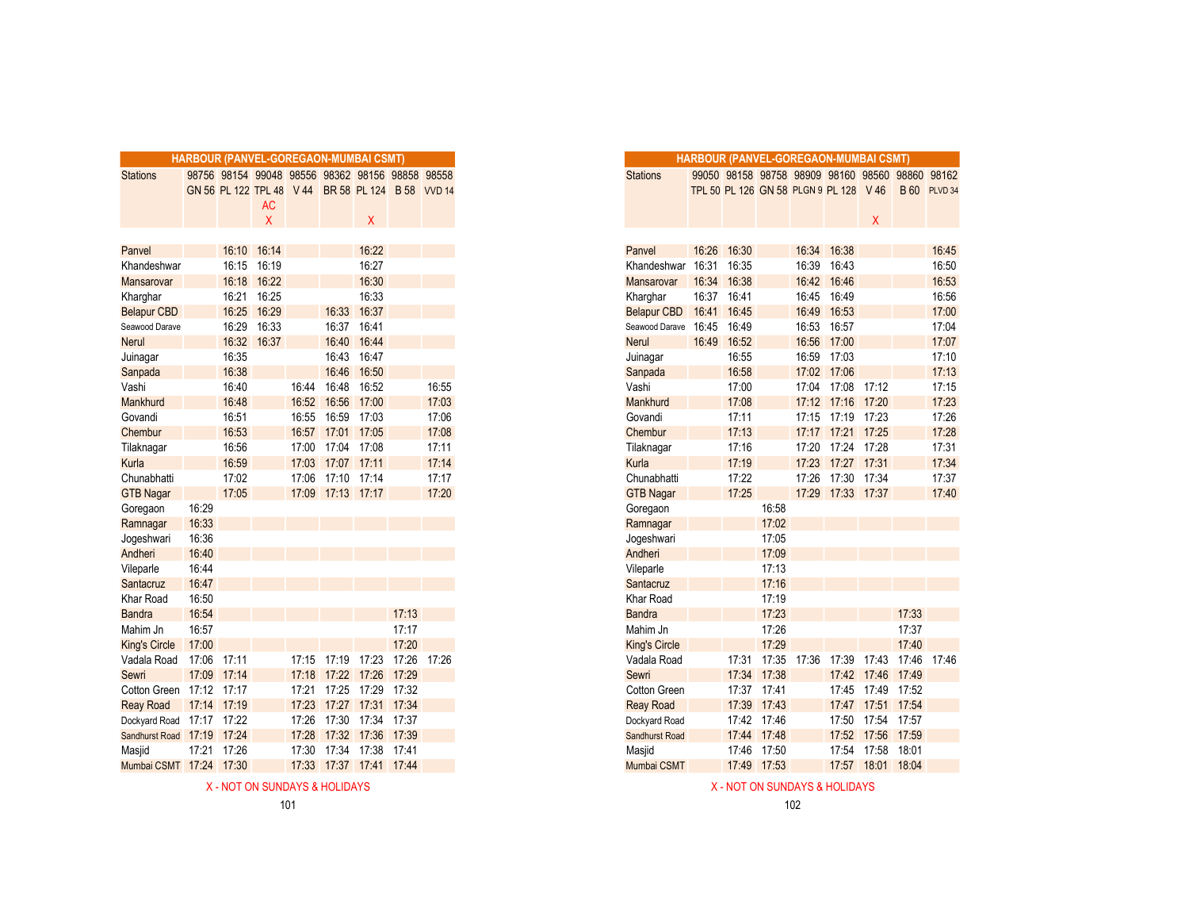|                            | HARBOUR (PANVEL-GOREGAON-MUMBAI CSMT) |             |           |       |                   |                                                   |       |       |
|----------------------------|---------------------------------------|-------------|-----------|-------|-------------------|---------------------------------------------------|-------|-------|
| <b>Stations</b>            |                                       |             |           |       |                   | 98756 98154 99048 98556 98362 98156 98858 98558   |       |       |
|                            |                                       |             |           |       |                   | GN 56 PL 122 TPL 48 V 44 BR 58 PL 124 B 58 VVD 14 |       |       |
|                            |                                       |             | <b>AC</b> |       |                   |                                                   |       |       |
|                            |                                       |             | X         |       |                   | X                                                 |       |       |
|                            |                                       |             |           |       |                   |                                                   |       |       |
| Panvel                     |                                       | 16:10       | 16:14     |       |                   | 16:22                                             |       |       |
| Khandeshwar                |                                       | 16:15       | 16:19     |       |                   | 16:27                                             |       |       |
| Mansarovar                 |                                       | 16:18       | 16:22     |       |                   | 16:30                                             |       |       |
| Kharghar                   |                                       | 16:21       | 16:25     |       |                   | 16:33                                             |       |       |
| <b>Belapur CBD</b>         |                                       | 16:25       | 16:29     |       | 16:33             | 16:37                                             |       |       |
| Seawood Darave             |                                       | 16:29       | 16:33     |       | 16:37             | 16:41                                             |       |       |
| <b>Nerul</b>               |                                       | 16:32       | 16:37     |       | 16:40             | 16:44                                             |       |       |
| Juinagar                   |                                       | 16:35       |           |       | 16:43             | 16:47                                             |       |       |
| Sanpada                    |                                       | 16:38       |           |       | 16:46             | 16:50                                             |       |       |
| Vashi                      |                                       | 16:40       |           |       | 16:44 16:48       | 16:52                                             |       | 16:55 |
| Mankhurd                   |                                       | 16:48       |           | 16:52 | 16:56             | 17:00                                             |       | 17:03 |
| Govandi                    |                                       | 16:51       |           | 16:55 |                   | 16:59 17:03                                       |       | 17:06 |
| Chembur                    |                                       | 16:53       |           |       | 16:57 17:01 17:05 |                                                   |       | 17:08 |
| Tilaknagar                 |                                       | 16:56       |           | 17:00 | 17:04             | 17:08                                             |       | 17:11 |
| Kurla                      |                                       | 16:59       |           | 17:03 | 17:07             | 17:11                                             |       | 17:14 |
| Chunabhatti                |                                       | 17:02       |           | 17:06 | 17:10             | 17:14                                             |       | 17:17 |
| <b>GTB Nagar</b>           |                                       | 17:05       |           |       | 17:09 17:13 17:17 |                                                   |       | 17:20 |
| Goregaon                   | 16:29                                 |             |           |       |                   |                                                   |       |       |
| Ramnagar                   | 16:33                                 |             |           |       |                   |                                                   |       |       |
| Jogeshwari                 | 16:36                                 |             |           |       |                   |                                                   |       |       |
| Andheri                    | 16:40                                 |             |           |       |                   |                                                   |       |       |
| Vileparle                  | 16:44                                 |             |           |       |                   |                                                   |       |       |
| Santacruz                  | 16:47                                 |             |           |       |                   |                                                   |       |       |
| Khar Road                  | 16:50                                 |             |           |       |                   |                                                   |       |       |
| <b>Bandra</b>              | 16:54                                 |             |           |       |                   |                                                   | 17:13 |       |
| Mahim Jn                   | 16:57                                 |             |           |       |                   |                                                   | 17:17 |       |
| <b>King's Circle</b>       | 17:00                                 |             |           |       |                   |                                                   | 17:20 |       |
| Vadala Road                | 17:06 17:11                           |             |           | 17:15 | 17:19 17:23       |                                                   | 17:26 | 17:26 |
| Sewri                      | 17:09                                 | 17:14       |           | 17:18 | 17:22 17:26       |                                                   | 17:29 |       |
| Cotton Green 17:12 17:17   |                                       |             |           | 17:21 | 17:25             | 17:29                                             | 17:32 |       |
| <b>Reay Road</b>           | 17:14                                 | 17:19       |           | 17:23 | 17:27             | 17:31                                             | 17:34 |       |
| Dockyard Road 17:17 17:22  |                                       |             |           | 17:26 | 17:30             | 17:34                                             | 17:37 |       |
| Sandhurst Road 17:19 17:24 |                                       |             |           | 17:28 |                   | 17:32 17:36                                       | 17:39 |       |
| Masjid                     |                                       | 17:21 17:26 |           | 17:30 | 17:34             | 17:38                                             | 17:41 |       |
| Mumbai CSMT 17:24          |                                       | 17:30       |           | 17:33 | 17:37             | 17:41 17:44                                       |       |       |

X - NOT ON SUNDAYS & HOLIDAYS ASSOCIATED AND A SUNDAYS ASSOCIATED ASSOCIATED ASSOCIATED AND A SUNDAYS ASSOCIATED AND A SUNDAYS ASSOCIATED AND A SUNDAYS ASSOCIATED AND A SUNDAYS ASSOCIATED AND A SUNDAYS ASSOCIATED AND A SUN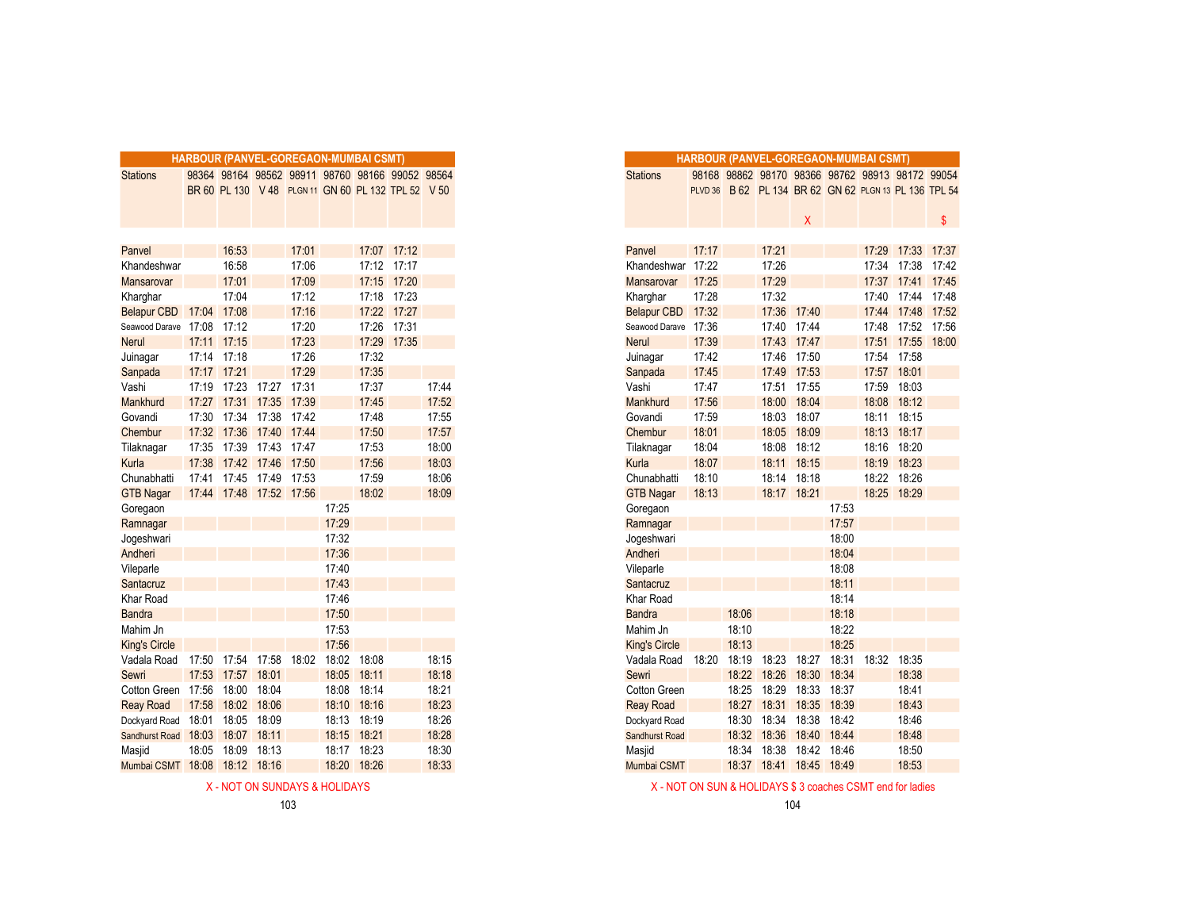|                               |             |                         |             |       | HARBOUR (PANVEL-GOREGAON-MUMBAI CSMT) |             |                                                    |       |
|-------------------------------|-------------|-------------------------|-------------|-------|---------------------------------------|-------------|----------------------------------------------------|-------|
| <b>Stations</b>               |             |                         |             |       |                                       |             | 98364 98164 98562 98911 98760 98166 99052 98564    |       |
|                               |             |                         |             |       |                                       |             | BR 60 PL 130 V 48 PLGN 11 GN 60 PL 132 TPL 52 V 50 |       |
|                               |             |                         |             |       |                                       |             |                                                    |       |
|                               |             |                         |             |       |                                       |             |                                                    |       |
|                               |             |                         |             |       |                                       |             |                                                    |       |
| Panvel                        |             | 16:53                   |             | 17:01 |                                       |             | 17:07 17:12                                        |       |
| Khandeshwar                   |             | 16:58                   |             | 17:06 |                                       |             | 17:12 17:17                                        |       |
| Mansarovar                    |             | 17:01                   |             | 17:09 |                                       |             | 17:15 17:20                                        |       |
| Kharghar                      |             | 17:04                   |             | 17:12 |                                       | 17:18       | 17:23                                              |       |
| <b>Belapur CBD</b>            | 17:04 17:08 |                         |             | 17:16 |                                       |             | 17:22 17:27                                        |       |
| Seawood Darave 17:08 17:12    |             |                         |             | 17:20 |                                       | 17:26       | 17:31                                              |       |
| <b>Nerul</b>                  |             | 17:11 17:15             |             | 17:23 |                                       |             | 17:29 17:35                                        |       |
| Juinagar                      |             | 17:14 17:18             |             | 17:26 |                                       | 17:32       |                                                    |       |
| Sanpada                       | 17:17       | 17:21                   |             | 17:29 |                                       | 17:35       |                                                    |       |
| Vashi                         | 17:19       | 17:23                   | 17:27       | 17:31 |                                       | 17:37       |                                                    | 17:44 |
| Mankhurd                      | 17:27       |                         | 17:31 17:35 | 17:39 |                                       | 17:45       |                                                    | 17:52 |
| Govandi                       | 17:30       | 17:34 17:38             |             | 17:42 |                                       | 17:48       |                                                    | 17:55 |
| Chembur                       | 17:32       | 17:36 17:40 17:44       |             |       |                                       | 17:50       |                                                    | 17:57 |
| Tilaknagar                    | 17:35       | 17:39                   | 17:43 17:47 |       |                                       | 17:53       |                                                    | 18:00 |
| Kurla                         | 17:38       |                         | 17:42 17:46 | 17:50 |                                       | 17:56       |                                                    | 18:03 |
| Chunabhatti                   | 17:41       | 17:45                   | 17:49       | 17:53 |                                       | 17:59       |                                                    | 18:06 |
| <b>GTB Nagar</b>              |             | 17:44 17:48 17:52 17:56 |             |       |                                       | 18:02       |                                                    | 18:09 |
| Goregaon                      |             |                         |             |       | 17:25                                 |             |                                                    |       |
| Ramnagar                      |             |                         |             |       | 17:29                                 |             |                                                    |       |
| Jogeshwari                    |             |                         |             |       | 17:32                                 |             |                                                    |       |
| Andheri                       |             |                         |             |       | 17:36                                 |             |                                                    |       |
| Vileparle                     |             |                         |             |       | 17:40                                 |             |                                                    |       |
| Santacruz                     |             |                         |             |       | 17:43                                 |             |                                                    |       |
| Khar Road                     |             |                         |             |       | 17:46                                 |             |                                                    |       |
| <b>Bandra</b>                 |             |                         |             |       | 17:50                                 |             |                                                    |       |
| Mahim Jn                      |             |                         |             |       | 17:53                                 |             |                                                    |       |
| <b>King's Circle</b>          |             |                         |             |       | 17:56                                 |             |                                                    |       |
| Vadala Road                   |             | 17:50 17:54 17:58       |             | 18:02 | 18:02                                 | 18:08       |                                                    | 18:15 |
| Sewri                         |             | 17:53 17:57             | 18:01       |       | 18:05                                 | 18:11       |                                                    | 18:18 |
| Cotton Green 17:56            |             | 18:00                   | 18:04       |       | 18:08                                 | 18:14       |                                                    | 18:21 |
| <b>Reay Road</b>              |             | 17:58 18:02             | 18:06       |       | 18:10                                 | 18:16       |                                                    | 18:23 |
| Dockyard Road                 | 18:01       | 18:05                   | 18:09       |       | 18:13                                 | 18:19       |                                                    | 18:26 |
| Sandhurst Road 18:03          |             | 18:07                   | 18:11       |       | 18:15                                 | 18:21       |                                                    | 18:28 |
| Masjid                        | 18:05       | 18:09                   | 18:13       |       |                                       | 18:17 18:23 |                                                    | 18:30 |
| Mumbai CSMT 18:08 18:12 18:16 |             |                         |             |       | 18:20                                 | 18:26       |                                                    | 18:33 |
|                               |             |                         |             |       |                                       |             |                                                    |       |

|             |                         |       |       | RBOUR (PANVEL-GOREGAON-MUMBAI CSMT) |             |                                                    |       |
|-------------|-------------------------|-------|-------|-------------------------------------|-------------|----------------------------------------------------|-------|
|             |                         |       |       |                                     |             | 98364 98164 98562 98911 98760 98166 99052 98564    |       |
|             |                         |       |       |                                     |             | BR 60 PL 130 V 48 PLGN 11 GN 60 PL 132 TPL 52 V 50 |       |
|             |                         |       |       |                                     |             |                                                    |       |
|             |                         |       |       |                                     |             |                                                    |       |
|             |                         |       |       |                                     |             |                                                    |       |
|             | 16:53                   |       | 17:01 |                                     |             | 17:07 17:12                                        |       |
|             | 16:58                   |       | 17:06 |                                     |             | 17:12 17:17                                        |       |
|             | 17:01                   |       | 17:09 |                                     |             | 17:15 17:20                                        |       |
|             | 17:04                   |       | 17:12 |                                     |             | 17:18 17:23                                        |       |
| 17:04 17:08 |                         |       | 17:16 |                                     |             | 17:22 17:27                                        |       |
|             | 17:08 17:12             |       | 17:20 |                                     | 17:26       | 17:31                                              |       |
|             | 17:11 17:15             |       | 17:23 |                                     | 17:29       | 17:35                                              |       |
| 17:14 17:18 |                         |       | 17:26 |                                     | 17:32       |                                                    |       |
| 17:17 17:21 |                         |       | 17:29 |                                     | 17:35       |                                                    |       |
|             | 17:19 17:23 17:27       |       | 17:31 |                                     | 17:37       |                                                    | 17:44 |
|             | 17:27 17:31 17:35       |       | 17:39 |                                     | 17:45       |                                                    | 17:52 |
| 17:30       | 17:34 17:38             |       | 17:42 |                                     | 17:48       |                                                    | 17:55 |
|             | 17:32 17:36 17:40       |       | 17:44 |                                     | 17:50       |                                                    | 17:57 |
|             | 17:35 17:39 17:43       |       | 17:47 |                                     | 17:53       |                                                    | 18:00 |
| 17:38       | 17:42 17:46             |       | 17:50 |                                     | 17:56       |                                                    | 18:03 |
| 17:41       | 17:45 17:49 17:53       |       |       |                                     | 17:59       |                                                    | 18:06 |
|             | 17:44 17:48 17:52 17:56 |       |       |                                     | 18:02       |                                                    | 18:09 |
|             |                         |       |       | 17:25                               |             |                                                    |       |
|             |                         |       |       | 17:29                               |             |                                                    |       |
|             |                         |       |       | 17:32                               |             |                                                    |       |
|             |                         |       |       | 17:36                               |             |                                                    |       |
|             |                         |       |       | 17:40                               |             |                                                    |       |
|             |                         |       |       | 17:43                               |             |                                                    |       |
|             |                         |       |       | 17:46                               |             |                                                    |       |
|             |                         |       |       | 17:50                               |             |                                                    |       |
|             |                         |       |       | 17:53                               |             |                                                    |       |
|             |                         |       |       | 17:56                               |             |                                                    |       |
|             | 17:50 17:54 17:58       |       |       | 18:02 18:02                         | 18:08       |                                                    | 18:15 |
| 17:53       | 17:57 18:01             |       |       | 18:05                               | 18:11       |                                                    | 18:18 |
| 17:56       | 18:00                   | 18:04 |       | 18:08                               | 18:14       |                                                    | 18:21 |
| 17:58       | 18:02 18:06             |       |       |                                     | 18:10 18:16 |                                                    | 18:23 |
| 18:01       | 18:05 18:09             |       |       |                                     | 18:13 18:19 |                                                    | 18:26 |
|             | 18:03 18:07 18:11       |       |       |                                     | 18:15 18:21 |                                                    | 18:28 |
| 18:05       | 18:09                   | 18:13 |       |                                     | 18:17 18:23 |                                                    | 18:30 |
|             | 18:08 18:12 18:16       |       |       | 18:20                               | 18:26       |                                                    | 18:33 |
|             |                         |       |       |                                     |             |                                                    |       |

X - NOT ON SUNDAYS & HOLIDAYS X - NOT ON SUN & HOLIDAYS \$3 coaches CSMT end for ladies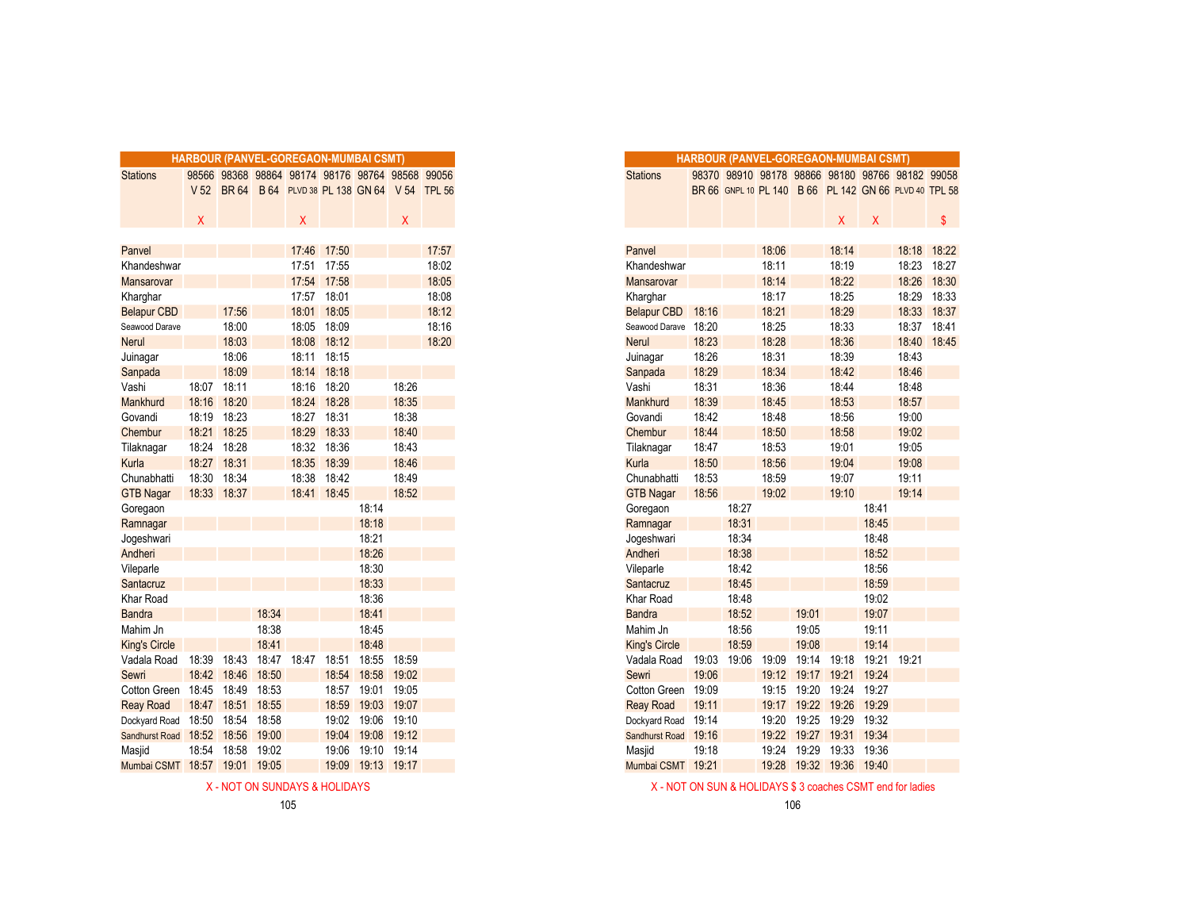|                      |                 |             |       |       | HARBOUR (PANVEL-GOREGAON-MUMBAI CSMT)           |       |             |       |
|----------------------|-----------------|-------------|-------|-------|-------------------------------------------------|-------|-------------|-------|
| <b>Stations</b>      |                 |             |       |       | 98566 98368 98864 98174 98176 98764 98568 99056 |       |             |       |
|                      | V <sub>52</sub> | <b>BR64</b> |       |       | B 64 PLVD 38 PL 138 GN 64 V 54 TPL 56           |       |             |       |
|                      |                 |             |       |       |                                                 |       |             |       |
|                      | X               |             |       | X     |                                                 |       | X           |       |
|                      |                 |             |       |       |                                                 |       |             |       |
| Panvel               |                 |             |       | 17:46 | 17:50                                           |       |             | 17:57 |
| Khandeshwar          |                 |             |       |       | 17:51 17:55                                     |       |             | 18:02 |
| Mansarovar           |                 |             |       |       | 17:54 17:58                                     |       |             | 18:05 |
| Kharghar             |                 |             |       | 17:57 | 18:01                                           |       |             | 18:08 |
| <b>Belapur CBD</b>   |                 | 17:56       |       | 18:01 | 18:05                                           |       |             | 18:12 |
| Seawood Darave       |                 | 18:00       |       | 18:05 | 18:09                                           |       |             | 18:16 |
| Nerul                |                 | 18:03       |       | 18:08 | 18:12                                           |       |             | 18:20 |
| Juinagar             |                 | 18:06       |       |       | 18:11 18:15                                     |       |             |       |
| Sanpada              |                 | 18:09       |       | 18:14 | 18:18                                           |       |             |       |
| Vashi                | 18:07           | 18:11       |       | 18:16 | 18:20                                           |       | 18:26       |       |
| Mankhurd             | 18:16           | 18:20       |       | 18:24 | 18:28                                           |       | 18:35       |       |
| Govandi              | 18:19           | 18:23       |       | 18:27 | 18:31                                           |       | 18:38       |       |
| Chembur              | 18:21           | 18:25       |       | 18:29 | 18:33                                           |       | 18:40       |       |
| Tilaknagar           | 18:24           | 18:28       |       | 18:32 | 18:36                                           |       | 18:43       |       |
| Kurla                | 18:27           | 18:31       |       | 18:35 | 18:39                                           |       | 18:46       |       |
| Chunabhatti          | 18:30           | 18:34       |       | 18:38 | 18:42                                           |       | 18:49       |       |
| <b>GTB Nagar</b>     | 18:33 18:37     |             |       | 18:41 | 18:45                                           |       | 18:52       |       |
| Goregaon             |                 |             |       |       |                                                 | 18:14 |             |       |
| Ramnagar             |                 |             |       |       |                                                 | 18:18 |             |       |
| Jogeshwari           |                 |             |       |       |                                                 | 18:21 |             |       |
| Andheri              |                 |             |       |       |                                                 | 18:26 |             |       |
| Vileparle            |                 |             |       |       |                                                 | 18:30 |             |       |
| Santacruz            |                 |             |       |       |                                                 | 18:33 |             |       |
| <b>Khar Road</b>     |                 |             |       |       |                                                 | 18:36 |             |       |
| <b>Bandra</b>        |                 |             | 18:34 |       |                                                 | 18:41 |             |       |
| Mahim Jn             |                 |             | 18:38 |       |                                                 | 18:45 |             |       |
| <b>King's Circle</b> |                 |             | 18:41 |       |                                                 | 18:48 |             |       |
| Vadala Road          | 18:39           | 18:43       | 18:47 | 18:47 | 18:51                                           | 18:55 | 18:59       |       |
| Sewri                | 18:42           | 18:46       | 18:50 |       | 18:54                                           | 18:58 | 19:02       |       |
| Cotton Green         | 18:45           | 18:49       | 18:53 |       | 18:57                                           | 19:01 | 19:05       |       |
| <b>Reay Road</b>     | 18:47           | 18:51       | 18:55 |       | 18:59                                           | 19:03 | 19:07       |       |
| Dockyard Road        | 18:50           | 18:54       | 18:58 |       | 19:02                                           | 19:06 | 19:10       |       |
| Sandhurst Road       | 18:52           | 18:56       | 19:00 |       | 19:04                                           | 19:08 | 19:12       |       |
| Masjid               | 18:54           | 18:58       | 19:02 |       | 19:06                                           | 19:10 | 19:14       |       |
| Mumbai CSMT          | 18:57           | 19:01       | 19:05 |       | 19:09                                           |       | 19:13 19:17 |       |

|                      |       |             |       | HARBOUR (PANVEL-GOREGAON-MUMBAI CSMT)            |             |       |       |       |
|----------------------|-------|-------------|-------|--------------------------------------------------|-------------|-------|-------|-------|
| <b>Stations</b>      |       |             |       | 98566 98368 98864 98174 98176 98764 98568 99056  |             |       |       |       |
|                      |       |             |       | V 52 BR 64 B 64 PLVD 38 PL 138 GN 64 V 54 TPL 56 |             |       |       |       |
|                      |       |             |       |                                                  |             |       |       |       |
|                      | X     |             |       | X.                                               |             |       | X.    |       |
|                      |       |             |       |                                                  |             |       |       |       |
| Panvel               |       |             |       |                                                  | 17:46 17:50 |       |       | 17:57 |
| Khandeshwar          |       |             |       |                                                  | 17:51 17:55 |       |       | 18:02 |
| <b>Mansarovar</b>    |       |             |       |                                                  | 17:54 17:58 |       |       | 18:05 |
| Kharghar             |       |             |       | 17:57                                            | 18:01       |       |       | 18:08 |
| <b>Belapur CBD</b>   |       | 17:56       |       | 18:01                                            | 18:05       |       |       | 18:12 |
| Seawood Darave       |       | 18:00       |       |                                                  | 18:05 18:09 |       |       | 18:16 |
| <b>Nerul</b>         |       | 18:03       |       | 18:08                                            | 18:12       |       |       | 18:20 |
| Juinagar             |       | 18:06       |       | 18:11                                            | 18:15       |       |       |       |
| Sanpada              |       | 18:09       |       | 18:14                                            | 18:18       |       |       |       |
| Vashi                | 18:07 | 18:11       |       | 18:16                                            | 18:20       |       | 18:26 |       |
| <b>Mankhurd</b>      | 18:16 | 18:20       |       |                                                  | 18:24 18:28 |       | 18:35 |       |
| Govandi              |       | 18:19 18:23 |       | 18:27                                            | 18:31       |       | 18:38 |       |
| Chembur              | 18:21 | 18:25       |       | 18:29                                            | 18:33       |       | 18:40 |       |
| Tilaknagar           | 18:24 | 18:28       |       | 18:32                                            | 18:36       |       | 18:43 |       |
| Kurla                | 18:27 | 18:31       |       | 18:35                                            | 18:39       |       | 18:46 |       |
| Chunabhatti          | 18:30 | 18:34       |       | 18:38                                            | 18:42       |       | 18:49 |       |
| <b>GTB Nagar</b>     |       | 18:33 18:37 |       |                                                  | 18:41 18:45 |       | 18:52 |       |
| Goregaon             |       |             |       |                                                  |             | 18:14 |       |       |
| Ramnagar             |       |             |       |                                                  |             | 18:18 |       |       |
| Jogeshwari           |       |             |       |                                                  |             | 18:21 |       |       |
| Andheri              |       |             |       |                                                  |             | 18:26 |       |       |
| Vileparle            |       |             |       |                                                  |             | 18:30 |       |       |
| Santacruz            |       |             |       |                                                  |             | 18:33 |       |       |
| Khar Road            |       |             |       |                                                  |             | 18:36 |       |       |
| <b>Bandra</b>        |       |             | 18:34 |                                                  |             | 18:41 |       |       |
| Mahim Jn             |       |             | 18:38 |                                                  |             | 18:45 |       |       |
| <b>King's Circle</b> |       |             | 18:41 |                                                  |             | 18:48 |       |       |
| Vadala Road          | 18:39 | 18:43       |       | 18:47 18:47                                      | 18:51       | 18:55 | 18:59 |       |
| Sewri                |       | 18:42 18:46 | 18:50 |                                                  | 18:54       | 18:58 | 19:02 |       |
| Cotton Green         | 18:45 | 18:49       | 18:53 |                                                  | 18:57       | 19:01 | 19:05 |       |
| <b>Reay Road</b>     | 18:47 | 18:51       | 18:55 |                                                  | 18:59       | 19:03 | 19:07 |       |
| Dockyard Road        | 18:50 | 18:54       | 18:58 |                                                  | 19:02       | 19:06 | 19:10 |       |
| Sandhurst Road       | 18:52 | 18:56       | 19:00 |                                                  | 19:04       | 19:08 | 19:12 |       |
| Masjid               | 18:54 | 18:58       | 19:02 |                                                  | 19:06       | 19:10 | 19:14 |       |
| Mumbai CSMT 18:57    |       | 19:01       | 19:05 |                                                  | 19:09       | 19:13 | 19:17 |       |

X - NOT ON SUNDAYS & HOLIDAYS TO A SUNDAYS & HOLIDAYS & HOLIDAYS & S coaches CSMT end for ladies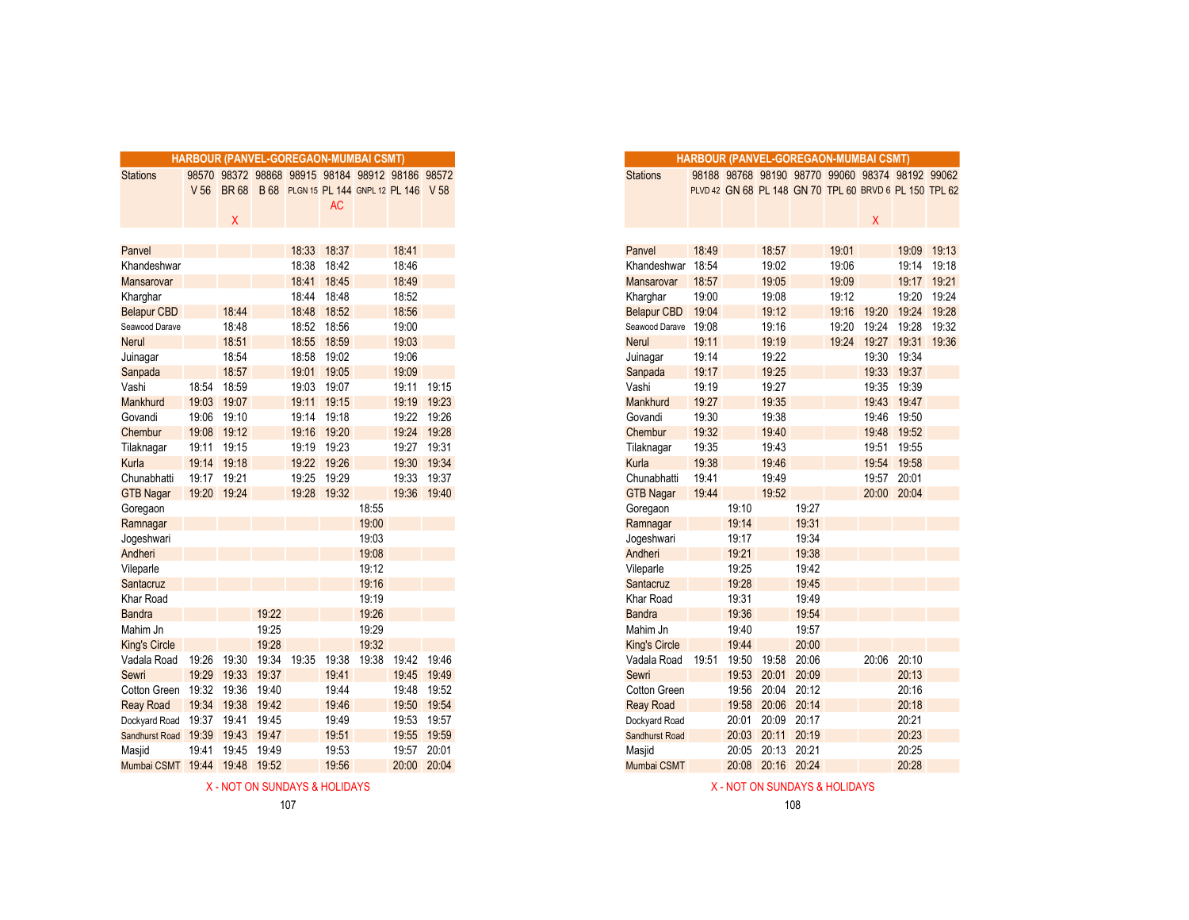|                               | HARBOUR (PANVEL-GOREGAON-MUMBAI CSMT) |             |       |                                                 |           |       |                |             |
|-------------------------------|---------------------------------------|-------------|-------|-------------------------------------------------|-----------|-------|----------------|-------------|
| <b>Stations</b>               |                                       |             |       | 98570 98372 98868 98915 98184 98912 98186 98572 |           |       |                |             |
|                               | V <sub>56</sub>                       | <b>BR68</b> |       | B 68 PLGN 15 PL 144 GNPL 12 PL 146 V 58         |           |       |                |             |
|                               |                                       |             |       |                                                 | <b>AC</b> |       |                |             |
|                               |                                       | X           |       |                                                 |           |       |                |             |
|                               |                                       |             |       | 18:33                                           | 18:37     |       | 18:41          |             |
| Panvel<br>Khandeshwar         |                                       |             |       | 18:38                                           | 18:42     |       | 18:46          |             |
| Mansarovar                    |                                       |             |       |                                                 | 18:45     |       |                |             |
| Kharghar                      |                                       |             |       | 18:41<br>18:44                                  | 18:48     |       | 18:49<br>18:52 |             |
| <b>Belapur CBD</b>            |                                       | 18:44       |       | 18:48                                           | 18:52     |       | 18:56          |             |
| Seawood Darave                |                                       | 18:48       |       | 18:52                                           | 18:56     |       | 19:00          |             |
| <b>Nerul</b>                  |                                       | 18:51       |       | 18:55                                           | 18:59     |       | 19:03          |             |
| Juinagar                      |                                       | 18:54       |       | 18:58                                           | 19:02     |       | 19:06          |             |
| Sanpada                       |                                       | 18:57       |       | 19:01                                           | 19:05     |       | 19:09          |             |
| Vashi                         | 18:54                                 | 18:59       |       | 19:03                                           | 19:07     |       | 19:11 19:15    |             |
| Mankhurd                      | 19:03                                 | 19:07       |       | 19:11                                           | 19:15     |       | 19:19          | 19:23       |
| Govandi                       | 19:06                                 | 19:10       |       | 19:14                                           | 19:18     |       | 19:22          | 19:26       |
| Chembur                       | 19:08                                 | 19:12       |       | 19:16                                           | 19:20     |       | 19:24          | 19:28       |
| Tilaknagar                    |                                       | 19:11 19:15 |       | 19:19                                           | 19:23     |       | 19:27          | 19:31       |
| Kurla                         |                                       | 19:14 19:18 |       | 19:22                                           | 19:26     |       | 19:30          | 19:34       |
| Chunabhatti                   | 19:17                                 | 19:21       |       | 19:25                                           | 19:29     |       | 19:33          | 19:37       |
| <b>GTB Nagar</b>              | 19:20 19:24                           |             |       | 19:28                                           | 19:32     |       |                | 19:36 19:40 |
| Goregaon                      |                                       |             |       |                                                 |           | 18:55 |                |             |
| Ramnagar                      |                                       |             |       |                                                 |           | 19:00 |                |             |
| Jogeshwari                    |                                       |             |       |                                                 |           | 19:03 |                |             |
| Andheri                       |                                       |             |       |                                                 |           | 19:08 |                |             |
| Vileparle                     |                                       |             |       |                                                 |           | 19:12 |                |             |
| Santacruz                     |                                       |             |       |                                                 |           | 19:16 |                |             |
| Khar Road                     |                                       |             |       |                                                 |           | 19:19 |                |             |
| <b>Bandra</b>                 |                                       |             | 19:22 |                                                 |           | 19:26 |                |             |
| Mahim Jn                      |                                       |             | 19:25 |                                                 |           | 19:29 |                |             |
| <b>King's Circle</b>          |                                       |             | 19:28 |                                                 |           | 19:32 |                |             |
| Vadala Road                   | 19:26                                 | 19:30       | 19:34 | 19:35                                           | 19:38     | 19:38 | 19:42          | 19:46       |
| Sewri                         | 19:29                                 | 19:33       | 19:37 |                                                 | 19:41     |       | 19:45          | 19:49       |
| Cotton Green                  | 19:32                                 | 19:36       | 19:40 |                                                 | 19:44     |       | 19:48          | 19:52       |
| <b>Reay Road</b>              |                                       | 19:34 19:38 | 19:42 |                                                 | 19:46     |       | 19:50          | 19:54       |
| Dockyard Road                 | 19:37                                 | 19:41       | 19:45 |                                                 | 19:49     |       | 19:53          | 19:57       |
| Sandhurst Road 19:39          |                                       | 19:43       | 19:47 |                                                 | 19:51     |       | 19:55          | 19:59       |
| Masjid                        | 19:41                                 | 19:45       | 19:49 |                                                 | 19:53     |       | 19:57          | 20:01       |
| Mumbai CSMT 19:44 19:48 19:52 |                                       |             |       |                                                 | 19:56     |       |                | 20:00 20:04 |

|                      |                 |             |       |       | <b>HARBOUR (PANVEL-GOREGAON-MUMBAI CSMT)</b>    |       |             |             |
|----------------------|-----------------|-------------|-------|-------|-------------------------------------------------|-------|-------------|-------------|
| <b>Stations</b>      |                 |             |       |       | 98570 98372 98868 98915 98184 98912 98186 98572 |       |             |             |
|                      | V <sub>56</sub> | <b>BR68</b> |       |       | B 68 PLGN 15 PL 144 GNPL 12 PL 146 V 58         |       |             |             |
|                      |                 |             |       |       | <b>AC</b>                                       |       |             |             |
|                      |                 | Χ           |       |       |                                                 |       |             |             |
|                      |                 |             |       |       |                                                 |       |             |             |
| Panvel               |                 |             |       | 18:33 | 18:37                                           |       | 18:41       |             |
| Khandeshwar          |                 |             |       | 18:38 | 18:42                                           |       | 18:46       |             |
| Mansarovar           |                 |             |       | 18:41 | 18:45                                           |       | 18:49       |             |
| Kharghar             |                 |             |       | 18:44 | 18:48                                           |       | 18:52       |             |
| <b>Belapur CBD</b>   |                 | 18:44       |       | 18:48 | 18:52                                           |       | 18:56       |             |
| Seawood Darave       |                 | 18:48       |       |       | 18:52 18:56                                     |       | 19:00       |             |
| Nerul                |                 | 18:51       |       | 18:55 | 18:59                                           |       | 19:03       |             |
| Juinagar             |                 | 18:54       |       | 18:58 | 19:02                                           |       | 19:06       |             |
| Sanpada              |                 | 18:57       |       | 19:01 | 19:05                                           |       | 19:09       |             |
| Vashi                | 18:54           | 18:59       |       | 19:03 | 19:07                                           |       | 19:11       | 19:15       |
| Mankhurd             | 19:03           | 19:07       |       | 19:11 | 19:15                                           |       | 19:19       | 19:23       |
| Govandi              | 19:06           | 19:10       |       |       | 19:14 19:18                                     |       | 19:22 19:26 |             |
| Chembur              | 19:08           | 19:12       |       | 19:16 | 19:20                                           |       | 19:24       | 19:28       |
| Tilaknagar           | 19:11           | 19:15       |       | 19:19 | 19:23                                           |       | 19:27       | 19:31       |
| Kurla                |                 | 19:14 19:18 |       | 19:22 | 19:26                                           |       | 19:30       | 19:34       |
| Chunabhatti          | 19:17 19:21     |             |       | 19:25 | 19:29                                           |       | 19:33 19:37 |             |
| <b>GTB Nagar</b>     |                 | 19:20 19:24 |       |       | 19:28 19:32                                     |       |             | 19:36 19:40 |
| Goregaon             |                 |             |       |       |                                                 | 18:55 |             |             |
| Ramnagar             |                 |             |       |       |                                                 | 19:00 |             |             |
| Jogeshwari           |                 |             |       |       |                                                 | 19:03 |             |             |
| Andheri              |                 |             |       |       |                                                 | 19:08 |             |             |
| Vileparle            |                 |             |       |       |                                                 | 19:12 |             |             |
| Santacruz            |                 |             |       |       |                                                 | 19:16 |             |             |
| Khar Road            |                 |             |       |       |                                                 | 19:19 |             |             |
| <b>Bandra</b>        |                 |             | 19:22 |       |                                                 | 19:26 |             |             |
| Mahim Jn             |                 |             | 19:25 |       |                                                 | 19:29 |             |             |
| <b>King's Circle</b> |                 |             | 19:28 |       |                                                 | 19:32 |             |             |
| Vadala Road          | 19:26           | 19:30       | 19:34 | 19:35 | 19:38                                           | 19:38 | 19:42 19:46 |             |
| Sewri                | 19:29           | 19:33       | 19:37 |       | 19:41                                           |       | 19:45       | 19:49       |
| Cotton Green         | 19:32           | 19:36       | 19:40 |       | 19:44                                           |       | 19:48       | 19:52       |
| <b>Reay Road</b>     | 19:34           | 19:38       | 19:42 |       | 19:46                                           |       | 19:50 19:54 |             |
| Dockyard Road        | 19:37           | 19:41       | 19:45 |       | 19:49                                           |       | 19:53 19:57 |             |
| Sandhurst Road       | 19:39           | 19:43       | 19:47 |       | 19:51                                           |       | 19:55       | 19:59       |
| Masjid               | 19:41           | 19:45       | 19:49 |       | 19:53                                           |       | 19:57       | 20:01       |
| Mumbai CSMT 19:44    |                 | 19:48       | 19:52 |       | 19:56                                           |       | 20:00       | 20:04       |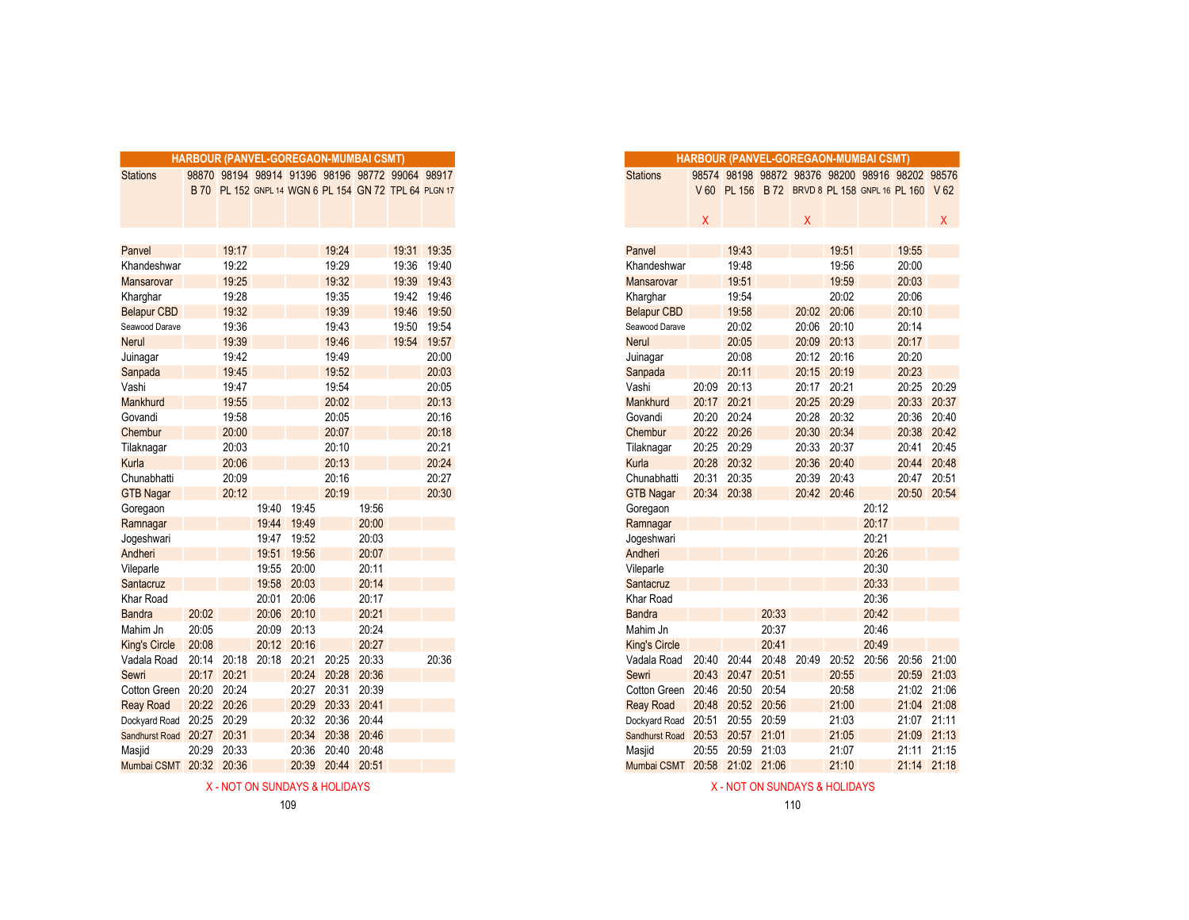|                       |       |       |       |             | <b>HARBOUR (PANVEL-GOREGAON-MUMBAI CSMT)</b> |       |                                                       |       |
|-----------------------|-------|-------|-------|-------------|----------------------------------------------|-------|-------------------------------------------------------|-------|
| <b>Stations</b>       |       |       |       |             |                                              |       | 98870 98194 98914 91396 98196 98772 99064 98917       |       |
|                       |       |       |       |             |                                              |       | B 70 PL 152 GNPL 14 WGN 6 PL 154 GN 72 TPL 64 PLGN 17 |       |
|                       |       |       |       |             |                                              |       |                                                       |       |
|                       |       |       |       |             |                                              |       |                                                       |       |
|                       |       |       |       |             |                                              |       |                                                       |       |
| Panvel                |       | 19:17 |       |             | 19:24                                        |       | 19:31                                                 | 19:35 |
| Khandeshwar           |       | 19:22 |       |             | 19:29                                        |       | 19:36                                                 | 19:40 |
| Mansarovar            |       | 19:25 |       |             | 19:32                                        |       | 19:39                                                 | 19:43 |
| Kharghar              |       | 19:28 |       |             | 19:35                                        |       | 19:42                                                 | 19:46 |
| <b>Belapur CBD</b>    |       | 19:32 |       |             | 19:39                                        |       | 19:46                                                 | 19:50 |
| Seawood Darave        |       | 19:36 |       |             | 19:43                                        |       | 19:50                                                 | 19:54 |
| <b>Nerul</b>          |       | 19:39 |       |             | 19:46                                        |       | 19:54                                                 | 19:57 |
| Juinagar              |       | 19:42 |       |             | 19:49                                        |       |                                                       | 20:00 |
| Sanpada               |       | 19:45 |       |             | 19:52                                        |       |                                                       | 20:03 |
| Vashi                 |       | 19:47 |       |             | 19:54                                        |       |                                                       | 20:05 |
| Mankhurd              |       | 19:55 |       |             | 20:02                                        |       |                                                       | 20:13 |
| Govandi               |       | 19:58 |       |             | 20:05                                        |       |                                                       | 20:16 |
| Chembur               |       | 20:00 |       |             | 20:07                                        |       |                                                       | 20:18 |
| Tilaknagar            |       | 20:03 |       |             | 20:10                                        |       |                                                       | 20:21 |
| Kurla                 |       | 20:06 |       |             | 20:13                                        |       |                                                       | 20:24 |
| Chunabhatti           |       | 20:09 |       |             | 20:16                                        |       |                                                       | 20:27 |
| <b>GTB Nagar</b>      |       | 20:12 |       |             | 20:19                                        |       |                                                       | 20:30 |
| Goregaon              |       |       |       | 19:40 19:45 |                                              | 19:56 |                                                       |       |
| Ramnagar              |       |       |       | 19:44 19:49 |                                              | 20:00 |                                                       |       |
| Jogeshwari            |       |       | 19:47 | 19:52       |                                              | 20:03 |                                                       |       |
| Andheri               |       |       | 19:51 | 19:56       |                                              | 20:07 |                                                       |       |
| Vileparle             |       |       | 19:55 | 20:00       |                                              | 20:11 |                                                       |       |
| Santacruz             |       |       | 19:58 | 20:03       |                                              | 20:14 |                                                       |       |
| Khar Road             |       |       | 20:01 | 20:06       |                                              | 20:17 |                                                       |       |
| <b>Bandra</b>         | 20:02 |       | 20:06 | 20:10       |                                              | 20:21 |                                                       |       |
| Mahim Jn              | 20:05 |       | 20:09 | 20:13       |                                              | 20:24 |                                                       |       |
| <b>King's Circle</b>  | 20:08 |       |       | 20:12 20:16 |                                              | 20:27 |                                                       |       |
| Vadala Road           | 20:14 | 20:18 | 20:18 | 20:21       | 20:25                                        | 20:33 |                                                       | 20:36 |
| Sewri                 | 20:17 | 20:21 |       |             | 20:24 20:28                                  | 20:36 |                                                       |       |
| Cotton Green 20:20    |       | 20:24 |       | 20:27       | 20:31                                        | 20:39 |                                                       |       |
| <b>Reay Road</b>      | 20:22 | 20:26 |       | 20:29       | 20:33                                        | 20:41 |                                                       |       |
| Dockyard Road 20:25   |       | 20:29 |       | 20:32       | 20:36                                        | 20:44 |                                                       |       |
| <b>Sandhurst Road</b> | 20:27 | 20:31 |       | 20:34       | 20:38                                        | 20:46 |                                                       |       |
| Masjid                | 20:29 | 20:33 |       | 20:36       | 20:40                                        | 20:48 |                                                       |       |
| Mumbai CSMT 20:32     |       | 20:36 |       | 20:39       | 20:44                                        | 20:51 |                                                       |       |
|                       |       |       |       |             |                                              |       |                                                       |       |

|    | HARBOUR (PANVEL-GOREGAON-MUMBAI CSMT) |                                                       |       |             |             |       |       |             |
|----|---------------------------------------|-------------------------------------------------------|-------|-------------|-------------|-------|-------|-------------|
|    |                                       | 98870 98194 98914 91396 98196 98772 99064 98917       |       |             |             |       |       |             |
|    |                                       | B 70 PL 152 GNPL 14 WGN 6 PL 154 GN 72 TPL 64 PLGN 17 |       |             |             |       |       |             |
|    |                                       |                                                       |       |             |             |       |       |             |
|    |                                       |                                                       |       |             |             |       |       |             |
|    |                                       |                                                       |       |             |             |       |       |             |
|    |                                       | 19:17                                                 |       |             | 19:24       |       |       | 19:31 19:35 |
| ar |                                       | 19:22                                                 |       |             | 19:29       |       |       | 19:36 19:40 |
|    |                                       | 19:25                                                 |       |             | 19:32       |       |       | 19:39 19:43 |
|    |                                       | 19:28                                                 |       |             | 19:35       |       | 19:42 | 19:46       |
| D  |                                       | 19:32                                                 |       |             | 19:39       |       |       | 19:46 19:50 |
| ve |                                       | 19:36                                                 |       |             | 19:43       |       |       | 19:50 19:54 |
|    |                                       | 19:39                                                 |       |             | 19:46       |       |       | 19:54 19:57 |
|    |                                       | 19:42                                                 |       |             | 19:49       |       |       | 20:00       |
|    |                                       | 19:45                                                 |       |             | 19:52       |       |       | 20:03       |
|    |                                       | 19:47                                                 |       |             | 19:54       |       |       | 20:05       |
|    |                                       | 19:55                                                 |       |             | 20:02       |       |       | 20:13       |
|    |                                       | 19:58                                                 |       |             | 20:05       |       |       | 20:16       |
|    |                                       | 20:00                                                 |       |             | 20:07       |       |       | 20:18       |
|    |                                       | 20:03                                                 |       |             | 20:10       |       |       | 20:21       |
|    |                                       | 20:06                                                 |       |             | 20:13       |       |       | 20:24       |
|    |                                       | 20:09                                                 |       |             | 20:16       |       |       | 20:27       |
|    |                                       | 20:12                                                 |       |             | 20:19       |       |       | 20:30       |
|    |                                       |                                                       |       | 19:40 19:45 |             | 19:56 |       |             |
|    |                                       |                                                       |       | 19:44 19:49 |             | 20:00 |       |             |
|    |                                       |                                                       | 19:47 | 19:52       |             | 20:03 |       |             |
|    |                                       |                                                       |       | 19:51 19:56 |             | 20:07 |       |             |
|    |                                       |                                                       |       | 19:55 20:00 |             | 20:11 |       |             |
|    |                                       |                                                       |       | 19:58 20:03 |             | 20:14 |       |             |
|    |                                       |                                                       | 20:01 | 20:06       |             | 20:17 |       |             |
|    | 20:02                                 |                                                       |       | 20:06 20:10 |             | 20:21 |       |             |
|    | 20:05                                 |                                                       |       | 20:09 20:13 |             | 20:24 |       |             |
|    | 20:08                                 |                                                       |       | 20:12 20:16 |             | 20:27 |       |             |
| d  | 20:14                                 | 20:18                                                 | 20:18 | 20:21       | 20:25       | 20:33 |       | 20:36       |
|    | 20:17                                 | 20:21                                                 |       |             | 20:24 20:28 | 20:36 |       |             |
|    | en 20:20                              | 20:24                                                 |       | 20:27       | 20:31       | 20:39 |       |             |
|    |                                       | 20:22 20:26                                           |       | 20:29       | 20:33       | 20:41 |       |             |
| эd | 20:25                                 | 20:29                                                 |       |             | 20:32 20:36 | 20:44 |       |             |
| ad | 20:27                                 | 20:31                                                 |       | 20:34       | 20:38       | 20:46 |       |             |
|    | 20:29                                 | 20:33                                                 |       | 20:36       | 20:40       | 20:48 |       |             |
|    | T 20:32                               | 20:36                                                 |       | 20:39       | 20:44 20:51 |       |       |             |

X - NOT ON SUNDAYS & HOLIDAYS AND SUNDAYS A HOLIDAYS AND SUNDAYS A HOLIDAYS A HOLIDAYS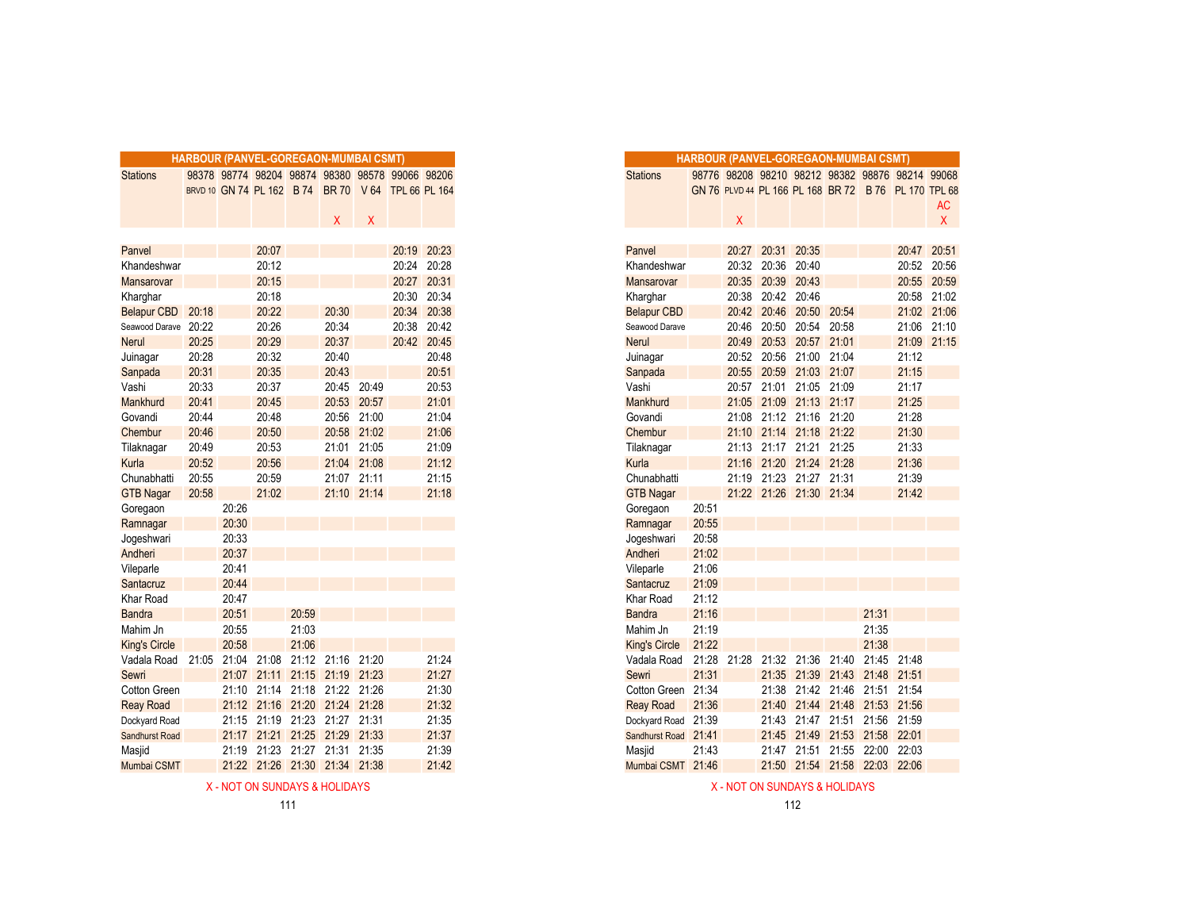|                                           |       |       |       | <b>HARBOUR (PANVEL-GOREGAON-MUMBAI CSMT)</b>       |       |             |       |             |
|-------------------------------------------|-------|-------|-------|----------------------------------------------------|-------|-------------|-------|-------------|
| <b>Stations</b>                           |       |       |       | 98378 98774 98204 98874 98380 98578 99066 98206    |       |             |       |             |
|                                           |       |       |       | BRVD 10 GN 74 PL 162 B 74 BR 70 V 64 TPL 66 PL 164 |       |             |       |             |
|                                           |       |       |       |                                                    |       |             |       |             |
|                                           |       |       |       |                                                    | X     | Χ           |       |             |
|                                           |       |       |       |                                                    |       |             |       |             |
| Panvel                                    |       |       | 20:07 |                                                    |       |             | 20:19 | 20:23       |
| Khandeshwar                               |       |       | 20:12 |                                                    |       |             | 20:24 | 20:28       |
| Mansarovar                                |       |       | 20:15 |                                                    |       |             | 20:27 | 20:31       |
| Kharghar                                  |       |       | 20:18 |                                                    |       |             | 20:30 | 20:34       |
| Belapur CBD 20:18                         |       |       | 20:22 |                                                    | 20:30 |             | 20:34 | 20:38       |
| Seawood Darave 20:22                      |       |       | 20:26 |                                                    | 20:34 |             | 20:38 | 20:42       |
| <b>Nerul</b>                              | 20:25 |       | 20:29 |                                                    | 20:37 |             |       | 20:42 20:45 |
| Juinagar                                  | 20:28 |       | 20:32 |                                                    | 20:40 |             |       | 20:48       |
| Sanpada                                   | 20:31 |       | 20:35 |                                                    | 20:43 |             |       | 20:51       |
| Vashi                                     | 20:33 |       | 20:37 |                                                    | 20:45 | 20:49       |       | 20:53       |
| Mankhurd                                  | 20:41 |       | 20:45 |                                                    | 20:53 | 20:57       |       | 21:01       |
| Govandi                                   | 20:44 |       | 20:48 |                                                    |       | 20:56 21:00 |       | 21:04       |
| Chembur                                   | 20:46 |       | 20:50 |                                                    |       | 20:58 21:02 |       | 21:06       |
| Tilaknagar                                | 20:49 |       | 20:53 |                                                    |       | 21:01 21:05 |       | 21:09       |
| Kurla                                     | 20:52 |       | 20:56 |                                                    |       | 21:04 21:08 |       | 21:12       |
| Chunabhatti                               | 20:55 |       | 20:59 |                                                    |       | 21:07 21:11 |       | 21:15       |
| <b>GTB Nagar</b>                          | 20:58 |       | 21:02 |                                                    |       | 21:10 21:14 |       | 21:18       |
| Goregaon                                  |       | 20:26 |       |                                                    |       |             |       |             |
| Ramnagar                                  |       | 20:30 |       |                                                    |       |             |       |             |
| Jogeshwari                                |       | 20:33 |       |                                                    |       |             |       |             |
| Andheri                                   |       | 20:37 |       |                                                    |       |             |       |             |
| Vileparle                                 |       | 20:41 |       |                                                    |       |             |       |             |
| Santacruz                                 |       | 20:44 |       |                                                    |       |             |       |             |
| Khar Road                                 |       | 20:47 |       |                                                    |       |             |       |             |
| <b>Bandra</b>                             |       | 20:51 |       | 20:59                                              |       |             |       |             |
| Mahim Jn                                  |       | 20:55 |       | 21:03                                              |       |             |       |             |
| <b>King's Circle</b>                      |       | 20:58 |       | 21:06                                              |       |             |       |             |
| Vadala Road 21:05 21:04 21:08 21:12 21:16 |       |       |       |                                                    |       | 21:20       |       | 21:24       |
| Sewri                                     |       |       |       | 21:07 21:11 21:15 21:19 21:23                      |       |             |       | 21:27       |
| Cotton Green                              |       |       |       | 21:10 21:14 21:18 21:22 21:26                      |       |             |       | 21:30       |
| <b>Reay Road</b>                          |       |       |       | 21:12 21:16 21:20 21:24 21:28                      |       |             |       | 21:32       |
| Dockyard Road                             |       | 21:15 |       | 21:19 21:23 21:27 21:31                            |       |             |       | 21:35       |
| Sandhurst Road                            |       |       |       | 21:17 21:21 21:25 21:29                            |       | 21:33       |       | 21:37       |
| Masjid                                    |       |       |       | 21:19 21:23 21:27 21:31 21:35                      |       |             |       | 21:39       |
| Mumbai CSMT                               |       |       |       | 21:22 21:26 21:30 21:34 21:38                      |       |             |       | 21:42       |

|       |                   | RBOUR (PANVEL-GOREGAON-MUMBAI CSMT) |       |                   |                           |                                                    |             |
|-------|-------------------|-------------------------------------|-------|-------------------|---------------------------|----------------------------------------------------|-------------|
|       |                   |                                     |       |                   |                           | 98378 98774 98204 98874 98380 98578 99066 98206    |             |
|       |                   |                                     |       |                   |                           | BRVD 10 GN 74 PL 162 B 74 BR 70 V 64 TPL 66 PL 164 |             |
|       |                   |                                     |       |                   |                           |                                                    |             |
|       |                   |                                     |       | X                 | $\boldsymbol{\mathsf{X}}$ |                                                    |             |
|       |                   | 20:07                               |       |                   |                           |                                                    | 20:19 20:23 |
|       |                   | 20:12                               |       |                   |                           |                                                    | 20:24 20:28 |
|       |                   | 20:15                               |       |                   |                           |                                                    | 20:27 20:31 |
|       |                   | 20:18                               |       |                   |                           |                                                    | 20:30 20:34 |
| 20:18 |                   | 20:22                               |       | 20:30             |                           |                                                    | 20:34 20:38 |
| 20:22 |                   | 20:26                               |       | 20:34             |                           | 20:38                                              | 20:42       |
| 20:25 |                   | 20:29                               |       | 20:37             |                           |                                                    | 20:42 20:45 |
| 20:28 |                   | 20:32                               |       | 20:40             |                           |                                                    | 20:48       |
| 20:31 |                   | 20:35                               |       | 20:43             |                           |                                                    | 20:51       |
| 20:33 |                   | 20:37                               |       | 20:45 20:49       |                           |                                                    | 20:53       |
| 20:41 |                   | 20:45                               |       | 20:53             | 20:57                     |                                                    | 21:01       |
| 20:44 |                   | 20:48                               |       |                   | 20:56 21:00               |                                                    | 21:04       |
| 20:46 |                   | 20:50                               |       |                   | 20:58 21:02               |                                                    | 21:06       |
| 20:49 |                   | 20:53                               |       |                   | 21:01 21:05               |                                                    | 21:09       |
| 20:52 |                   | 20:56                               |       | 21:04 21:08       |                           |                                                    | 21:12       |
| 20:55 |                   | 20:59                               |       | 21:07 21:11       |                           |                                                    | 21:15       |
| 20:58 |                   | 21:02                               |       |                   | 21:10 21:14               |                                                    | 21:18       |
|       | 20:26             |                                     |       |                   |                           |                                                    |             |
|       | 20:30             |                                     |       |                   |                           |                                                    |             |
|       | 20:33             |                                     |       |                   |                           |                                                    |             |
|       | 20:37<br>20:41    |                                     |       |                   |                           |                                                    |             |
|       | 20:44             |                                     |       |                   |                           |                                                    |             |
|       | 20:47             |                                     |       |                   |                           |                                                    |             |
|       | 20:51             |                                     | 20:59 |                   |                           |                                                    |             |
|       | 20:55             |                                     | 21:03 |                   |                           |                                                    |             |
|       | 20:58             |                                     | 21:06 |                   |                           |                                                    |             |
|       | 21:05 21:04 21:08 |                                     |       | 21:12 21:16 21:20 |                           |                                                    | 21:24       |
|       |                   | 21:07 21:11                         |       | 21:15 21:19 21:23 |                           |                                                    | 21:27       |
|       |                   | 21:10 21:14 21:18 21:22 21:26       |       |                   |                           |                                                    | 21:30       |
|       |                   | 21:12 21:16 21:20 21:24 21:28       |       |                   |                           |                                                    | 21:32       |
|       |                   | 21:15 21:19 21:23 21:27 21:31       |       |                   |                           |                                                    | 21:35       |
|       |                   | 21:17 21:21 21:25 21:29 21:33       |       |                   |                           |                                                    | 21:37       |
|       |                   | 21:19 21:23 21:27 21:31 21:35       |       |                   |                           |                                                    | 21:39       |
|       |                   | 21:22 21:26 21:30 21:34 21:38       |       |                   |                           |                                                    | 21:42       |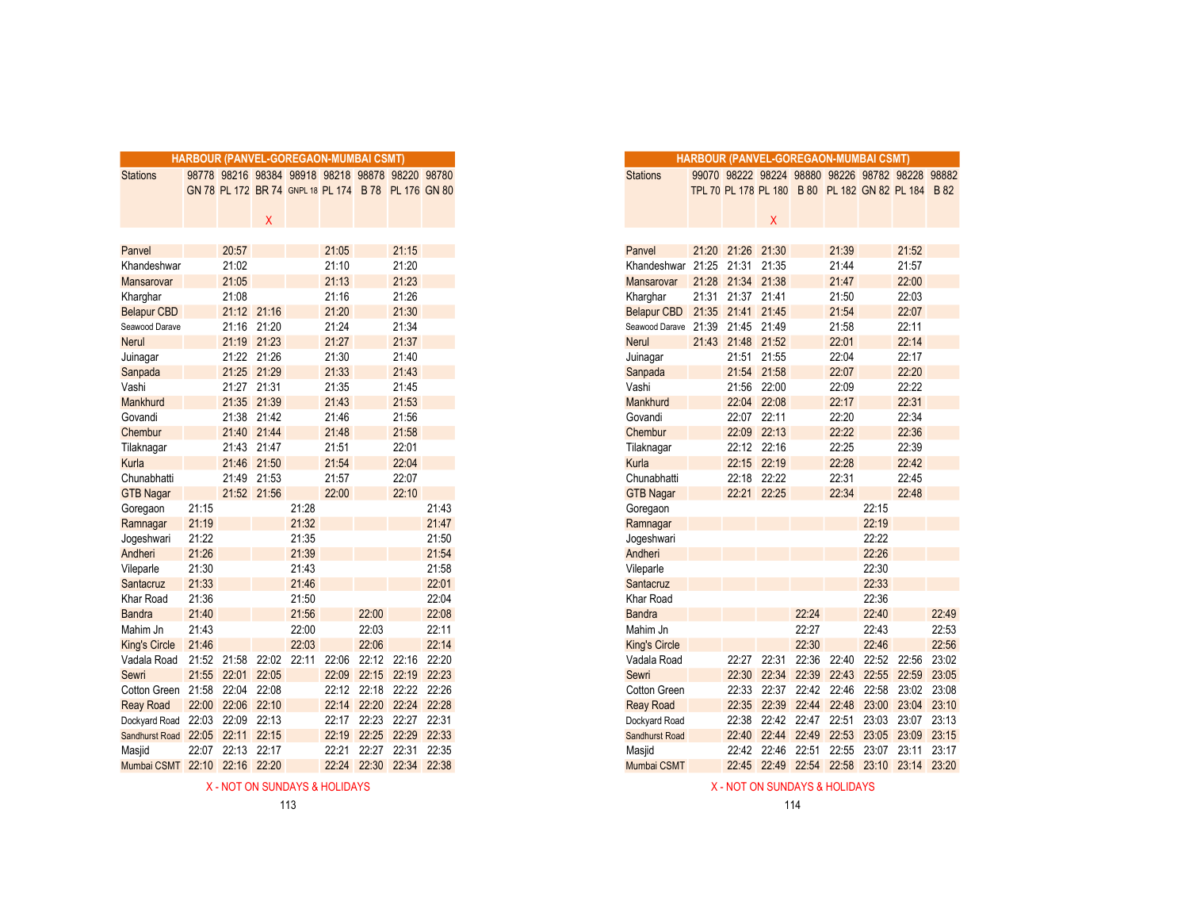|                               |       |                   |             |       | HARBOUR (PANVEL-GOREGAON-MUMBAI CSMT)               |             |                   |             |
|-------------------------------|-------|-------------------|-------------|-------|-----------------------------------------------------|-------------|-------------------|-------------|
| <b>Stations</b>               |       |                   |             |       | 98778 98216 98384 98918 98218 98878 98220 98780     |             |                   |             |
|                               |       |                   |             |       | GN 78 PL 172 BR 74 GNPL 18 PL 174 B 78 PL 176 GN 80 |             |                   |             |
|                               |       |                   |             |       |                                                     |             |                   |             |
|                               |       |                   | Χ           |       |                                                     |             |                   |             |
|                               |       |                   |             |       |                                                     |             |                   |             |
| Panvel                        |       | 20:57             |             |       | 21:05                                               |             | 21:15             |             |
| Khandeshwar                   |       | 21:02             |             |       | 21:10                                               |             | 21:20             |             |
| Mansarovar                    |       | 21:05             |             |       | 21:13                                               |             | 21:23             |             |
| Kharghar                      |       | 21:08             |             |       | 21:16                                               |             | 21:26             |             |
| <b>Belapur CBD</b>            |       | 21:12             | 21:16       |       | 21:20                                               |             | 21:30             |             |
| Seawood Darave                |       |                   | 21:16 21:20 |       | 21:24                                               |             | 21:34             |             |
| <b>Nerul</b>                  |       |                   | 21:19 21:23 |       | 21:27                                               |             | 21:37             |             |
| Juinagar                      |       |                   | 21:22 21:26 |       | 21:30                                               |             | 21:40             |             |
| Sanpada                       |       | 21:25             | 21:29       |       | 21:33                                               |             | 21:43             |             |
| Vashi                         |       | 21:27             | 21:31       |       | 21:35                                               |             | 21:45             |             |
| Mankhurd                      |       | 21:35             | 21:39       |       | 21:43                                               |             | 21:53             |             |
| Govandi                       |       |                   | 21:38 21:42 |       | 21:46                                               |             | 21:56             |             |
| Chembur                       |       |                   | 21:40 21:44 |       | 21:48                                               |             | 21:58             |             |
| Tilaknagar                    |       |                   | 21:43 21:47 |       | 21:51                                               |             | 22:01             |             |
| Kurla                         |       | 21:46             | 21:50       |       | 21:54                                               |             | 22:04             |             |
| Chunabhatti                   |       | 21:49             | 21:53       |       | 21:57                                               |             | 22:07             |             |
| <b>GTB Nagar</b>              |       |                   | 21:52 21:56 |       | 22:00                                               |             | 22:10             |             |
| Goregaon                      | 21:15 |                   |             | 21:28 |                                                     |             |                   | 21:43       |
| Ramnagar                      | 21:19 |                   |             | 21:32 |                                                     |             |                   | 21:47       |
| Jogeshwari                    | 21:22 |                   |             | 21:35 |                                                     |             |                   | 21:50       |
| Andheri                       | 21:26 |                   |             | 21:39 |                                                     |             |                   | 21:54       |
| Vileparle                     | 21:30 |                   |             | 21:43 |                                                     |             |                   | 21:58       |
| Santacruz                     | 21:33 |                   |             | 21:46 |                                                     |             |                   | 22:01       |
| Khar Road                     | 21:36 |                   |             | 21:50 |                                                     |             |                   | 22:04       |
| <b>Bandra</b>                 | 21:40 |                   |             | 21:56 |                                                     | 22:00       |                   | 22:08       |
| Mahim Jn                      | 21:43 |                   |             | 22:00 |                                                     | 22:03       |                   | 22:11       |
| <b>King's Circle</b>          | 21:46 |                   |             | 22:03 |                                                     | 22:06       |                   | 22:14       |
| Vadala Road                   |       | 21:52 21:58       | 22:02       | 22:11 | 22:06                                               | 22:12       | 22:16             | 22:20       |
| Sewri                         |       | 21:55 22:01       | 22:05       |       |                                                     | 22:09 22:15 |                   | 22:19 22:23 |
| Cotton Green 21:58            |       |                   | 22:04 22:08 |       |                                                     |             | 22:12 22:18 22:22 | 22:26       |
| <b>Reay Road</b>              |       | 22:00 22:06 22:10 |             |       | 22:14                                               |             | 22:20 22:24       | 22:28       |
| Dockyard Road 22:03           |       | 22:09             | 22:13       |       |                                                     | 22:17 22:23 | 22:27             | 22:31       |
| Sandhurst Road 22:05          |       | 22:11             | 22:15       |       | 22:19                                               | 22:25       | 22:29             | 22:33       |
| Masjid                        |       | 22:07 22:13       | 22:17       |       | 22:21                                               | 22:27       | 22:31             | 22:35       |
| Mumbai CSMT 22:10 22:16 22:20 |       |                   |             |       | 22:24                                               |             | 22:30 22:34 22:38 |             |

|       |             |              |             |       | <b>RBOUR (PANVEL-GOREGAON-MUMBAI CSMT)</b> |                                                     |       |
|-------|-------------|--------------|-------------|-------|--------------------------------------------|-----------------------------------------------------|-------|
|       |             |              |             |       |                                            | 98778 98216 98384 98918 98218 98878 98220 98780     |       |
|       |             |              |             |       |                                            | GN 78 PL 172 BR 74 GNPL 18 PL 174 B 78 PL 176 GN 80 |       |
|       |             |              |             |       |                                            |                                                     |       |
|       |             | $\mathsf{X}$ |             |       |                                            |                                                     |       |
|       |             |              |             |       |                                            |                                                     |       |
|       | 20:57       |              |             | 21:05 |                                            | 21:15                                               |       |
|       | 21:02       |              |             | 21:10 |                                            | 21:20                                               |       |
|       | 21:05       |              |             | 21:13 |                                            | 21:23                                               |       |
|       | 21:08       |              |             | 21:16 |                                            | 21:26                                               |       |
|       | 21:12 21:16 |              |             | 21:20 |                                            | 21:30                                               |       |
|       | 21:16 21:20 |              |             | 21:24 |                                            | 21:34                                               |       |
|       | 21:19 21:23 |              |             | 21:27 |                                            | 21:37                                               |       |
|       | 21:22 21:26 |              |             | 21:30 |                                            | 21:40                                               |       |
|       | 21:25 21:29 |              |             | 21:33 |                                            | 21:43                                               |       |
|       | 21:27 21:31 |              |             | 21:35 |                                            | 21:45                                               |       |
|       | 21:35 21:39 |              |             | 21:43 |                                            | 21:53                                               |       |
|       | 21:38 21:42 |              |             | 21:46 |                                            | 21:56                                               |       |
|       | 21:40 21:44 |              |             | 21:48 |                                            | 21:58                                               |       |
|       | 21:43 21:47 |              |             | 21:51 |                                            | 22:01                                               |       |
|       | 21:46 21:50 |              |             | 21:54 |                                            | 22:04                                               |       |
|       | 21:49 21:53 |              |             | 21:57 |                                            | 22:07                                               |       |
|       | 21:52 21:56 |              |             | 22:00 |                                            | 22:10                                               |       |
| 21:15 |             |              | 21:28       |       |                                            |                                                     | 21:43 |
| 21:19 |             |              | 21:32       |       |                                            |                                                     | 21:47 |
| 21:22 |             |              | 21:35       |       |                                            |                                                     | 21:50 |
| 21:26 |             |              | 21:39       |       |                                            |                                                     | 21:54 |
| 21:30 |             |              | 21:43       |       |                                            |                                                     | 21:58 |
| 21:33 |             |              | 21:46       |       |                                            |                                                     | 22:01 |
| 21:36 |             |              | 21:50       |       |                                            |                                                     | 22:04 |
| 21:40 |             |              | 21:56       |       | 22:00                                      |                                                     | 22:08 |
| 21:43 |             |              | 22:00       |       | 22:03                                      |                                                     | 22:11 |
| 21:46 |             |              | 22:03       |       | 22:06                                      |                                                     | 22:14 |
|       | 21:52 21:58 | 22:02        | 22:11 22:06 |       |                                            | 22:12 22:16                                         | 22:20 |
| 21:55 | 22:01 22:05 |              |             | 22:09 |                                            | 22:15 22:19 22:23                                   |       |
| 21:58 | 22:04 22:08 |              |             |       |                                            | 22:12 22:18 22:22 22:26                             |       |
| 22:00 | 22:06 22:10 |              |             | 22:14 |                                            | 22:20 22:24 22:28                                   |       |
| 22:03 | 22:09 22:13 |              |             |       |                                            | 22:17 22:23 22:27 22:31                             |       |
| 22:05 | 22:11 22:15 |              |             | 22:19 |                                            | 22:25 22:29 22:33                                   |       |
| 22:07 | 22:13 22:17 |              |             | 22:21 |                                            | 22:27 22:31 22:35                                   |       |
| 22:10 | 22:16 22:20 |              |             | 22:24 | 22:30                                      | 22:34                                               | 22:38 |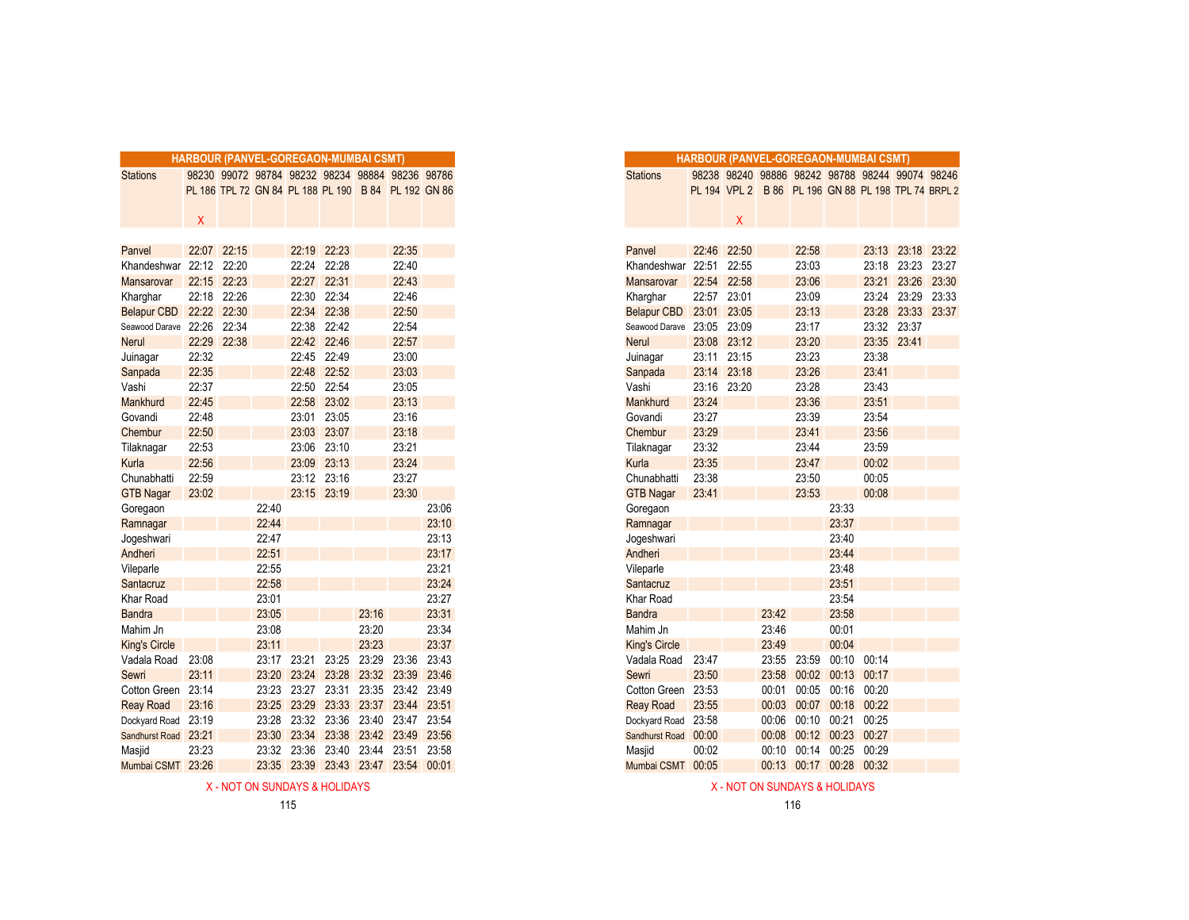|                      |       |             |       | <b>HARBOUR (PANVEL-GOREGAON-MUMBAI CSMT)</b>        |             |       |             |       |
|----------------------|-------|-------------|-------|-----------------------------------------------------|-------------|-------|-------------|-------|
| <b>Stations</b>      |       |             |       | 98230 99072 98784 98232 98234 98884 98236 98786     |             |       |             |       |
|                      |       |             |       | PL 186 TPL 72 GN 84 PL 188 PL 190 B 84 PL 192 GN 86 |             |       |             |       |
|                      |       |             |       |                                                     |             |       |             |       |
|                      | X     |             |       |                                                     |             |       |             |       |
|                      |       |             |       |                                                     |             |       |             |       |
| Panvel               | 22:07 | 22:15       |       | 22:19                                               | 22:23       |       | 22:35       |       |
| Khandeshwar          | 22:12 | 22:20       |       | 22:24                                               | 22:28       |       | 22:40       |       |
| <b>Mansarovar</b>    | 22:15 | 22:23       |       | 22:27                                               | 22:31       |       | 22:43       |       |
| Kharghar             | 22:18 | 22:26       |       | 22:30                                               | 22:34       |       | 22:46       |       |
| Belapur CBD 22:22    |       | 22:30       |       | 22:34                                               | 22:38       |       | 22:50       |       |
| Seawood Darave 22:26 |       | 22:34       |       | 22:38                                               | 22:42       |       | 22:54       |       |
| <b>Nerul</b>         |       | 22:29 22:38 |       |                                                     | 22:42 22:46 |       | 22:57       |       |
| Juinagar             | 22:32 |             |       |                                                     | 22:45 22:49 |       | 23:00       |       |
| Sanpada              | 22:35 |             |       | 22:48                                               | 22:52       |       | 23:03       |       |
| Vashi                | 22:37 |             |       | 22:50                                               | 22:54       |       | 23:05       |       |
| Mankhurd             | 22:45 |             |       | 22:58                                               | 23:02       |       | 23:13       |       |
| Govandi              | 22:48 |             |       |                                                     | 23:01 23:05 |       | 23:16       |       |
| Chembur              | 22:50 |             |       | 23:03                                               | 23:07       |       | 23:18       |       |
| Tilaknagar           | 22:53 |             |       | 23:06                                               | 23:10       |       | 23:21       |       |
| Kurla                | 22:56 |             |       | 23:09                                               | 23:13       |       | 23:24       |       |
| Chunabhatti          | 22:59 |             |       | 23:12                                               | 23:16       |       | 23:27       |       |
| <b>GTB Nagar</b>     | 23:02 |             |       |                                                     | 23:15 23:19 |       | 23:30       |       |
| Goregaon             |       |             | 22:40 |                                                     |             |       |             | 23:06 |
| Ramnagar             |       |             | 22:44 |                                                     |             |       |             | 23:10 |
| Jogeshwari           |       |             | 22:47 |                                                     |             |       |             | 23:13 |
| Andheri              |       |             | 22:51 |                                                     |             |       |             | 23:17 |
| Vileparle            |       |             | 22:55 |                                                     |             |       |             | 23:21 |
| Santacruz            |       |             | 22:58 |                                                     |             |       |             | 23:24 |
| Khar Road            |       |             | 23:01 |                                                     |             |       |             | 23:27 |
| <b>Bandra</b>        |       |             | 23:05 |                                                     |             | 23:16 |             | 23:31 |
| Mahim Jn             |       |             | 23:08 |                                                     |             | 23:20 |             | 23:34 |
| <b>King's Circle</b> |       |             | 23:11 |                                                     |             | 23:23 |             | 23:37 |
| Vadala Road          | 23:08 |             |       | 23:17 23:21                                         | 23:25       | 23:29 | 23:36       | 23:43 |
| Sewri                | 23:11 |             | 23:20 | 23:24                                               | 23:28       |       | 23:32 23:39 | 23:46 |
| Cotton Green 23:14   |       |             | 23:23 | 23:27                                               | 23:31       | 23:35 | 23:42 23:49 |       |
| <b>Reay Road</b>     | 23:16 |             | 23:25 | 23:29                                               | 23:33       | 23:37 | 23:44       | 23:51 |
| Dockyard Road 23:19  |       |             | 23:28 | 23:32                                               | 23:36       | 23:40 | 23:47       | 23:54 |
| Sandhurst Road       | 23:21 |             | 23:30 | 23:34                                               | 23:38       |       | 23:42 23:49 | 23:56 |
| Masjid               | 23:23 |             | 23:32 | 23:36                                               | 23:40       | 23:44 | 23:51       | 23:58 |
| Mumbai CSMT          | 23:26 |             | 23:35 | 23:39                                               | 23:43       | 23:47 | 23:54       | 00:01 |

|                           |       |       | <b>RBOUR (PANVEL-GOREGAON-MUMBAI CSMT)</b> |             |       |                                                     |       |
|---------------------------|-------|-------|--------------------------------------------|-------------|-------|-----------------------------------------------------|-------|
|                           |       |       |                                            |             |       | 98230 99072 98784 98232 98234 98884 98236 98786     |       |
|                           |       |       |                                            |             |       | PL 186 TPL 72 GN 84 PL 188 PL 190 B 84 PL 192 GN 86 |       |
|                           |       |       |                                            |             |       |                                                     |       |
| $\boldsymbol{\mathsf{X}}$ |       |       |                                            |             |       |                                                     |       |
|                           |       |       |                                            |             |       |                                                     |       |
| 22:07                     | 22:15 |       | 22:19                                      | 22:23       |       | 22:35                                               |       |
| 22:12 22:20               |       |       | 22:24 22:28                                |             |       | 22:40                                               |       |
| 22:15                     | 22:23 |       | 22:27                                      | 22:31       |       | 22:43                                               |       |
| 22:18                     | 22:26 |       | 22:30 22:34                                |             |       | 22:46                                               |       |
| 22:22 22:30               |       |       | 22:34 22:38                                |             |       | 22:50                                               |       |
| 22:26 22:34               |       |       | 22:38 22:42                                |             |       | 22:54                                               |       |
| 22:29 22:38               |       |       | 22:42 22:46                                |             |       | 22:57                                               |       |
| 22:32                     |       |       | 22:45 22:49                                |             |       | 23:00                                               |       |
| 22:35                     |       |       | 22:48 22:52                                |             |       | 23:03                                               |       |
| 22:37                     |       |       |                                            | 22:50 22:54 |       | 23:05                                               |       |
| 22:45                     |       |       |                                            | 22:58 23:02 |       | 23:13                                               |       |
| 22:48                     |       |       | 23:01                                      | 23:05       |       | 23:16                                               |       |
| 22:50                     |       |       | 23:03                                      | 23:07       |       | 23:18                                               |       |
| 22:53                     |       |       | 23:06 23:10                                |             |       | 23:21                                               |       |
| 22:56                     |       |       | 23:09 23:13                                |             |       | 23:24                                               |       |
| 22:59                     |       |       | 23:12 23:16                                |             |       | 23:27                                               |       |
| 23:02                     |       |       |                                            | 23:15 23:19 |       | 23:30                                               |       |
|                           |       | 22:40 |                                            |             |       |                                                     | 23:06 |
|                           |       | 22:44 |                                            |             |       |                                                     | 23:10 |
|                           |       | 22:47 |                                            |             |       |                                                     | 23:13 |
|                           |       | 22:51 |                                            |             |       |                                                     | 23:17 |
|                           |       | 22:55 |                                            |             |       |                                                     | 23:21 |
|                           |       | 22:58 |                                            |             |       |                                                     | 23:24 |
|                           |       | 23:01 |                                            |             |       |                                                     | 23:27 |
|                           |       | 23:05 |                                            |             | 23:16 |                                                     | 23:31 |
|                           |       | 23:08 |                                            |             | 23:20 |                                                     | 23:34 |
|                           |       | 23:11 |                                            |             | 23:23 |                                                     | 23:37 |
| 23:08                     |       | 23:17 | 23:21                                      | 23:25       | 23:29 | 23:36                                               | 23:43 |
| 23:11                     |       |       | 23:20 23:24                                |             |       | 23:28 23:32 23:39 23:46                             |       |
| 23:14                     |       |       | 23:23 23:27 23:31                          |             |       | 23:35 23:42 23:49                                   |       |
| 23:16                     |       | 23:25 | 23:29                                      |             |       | 23:33 23:37 23:44 23:51                             |       |
| 23:19                     |       | 23:28 | 23:32 23:36                                |             |       | 23:40 23:47 23:54                                   |       |
| 23:21                     |       | 23:30 |                                            |             |       | 23:34 23:38 23:42 23:49 23:56                       |       |
| 23:23                     |       | 23:32 | 23:36 23:40                                |             | 23:44 | 23:51 23:58                                         |       |
| 23:26                     |       |       |                                            |             |       | 23:35 23:39 23:43 23:47 23:54 00:01                 |       |